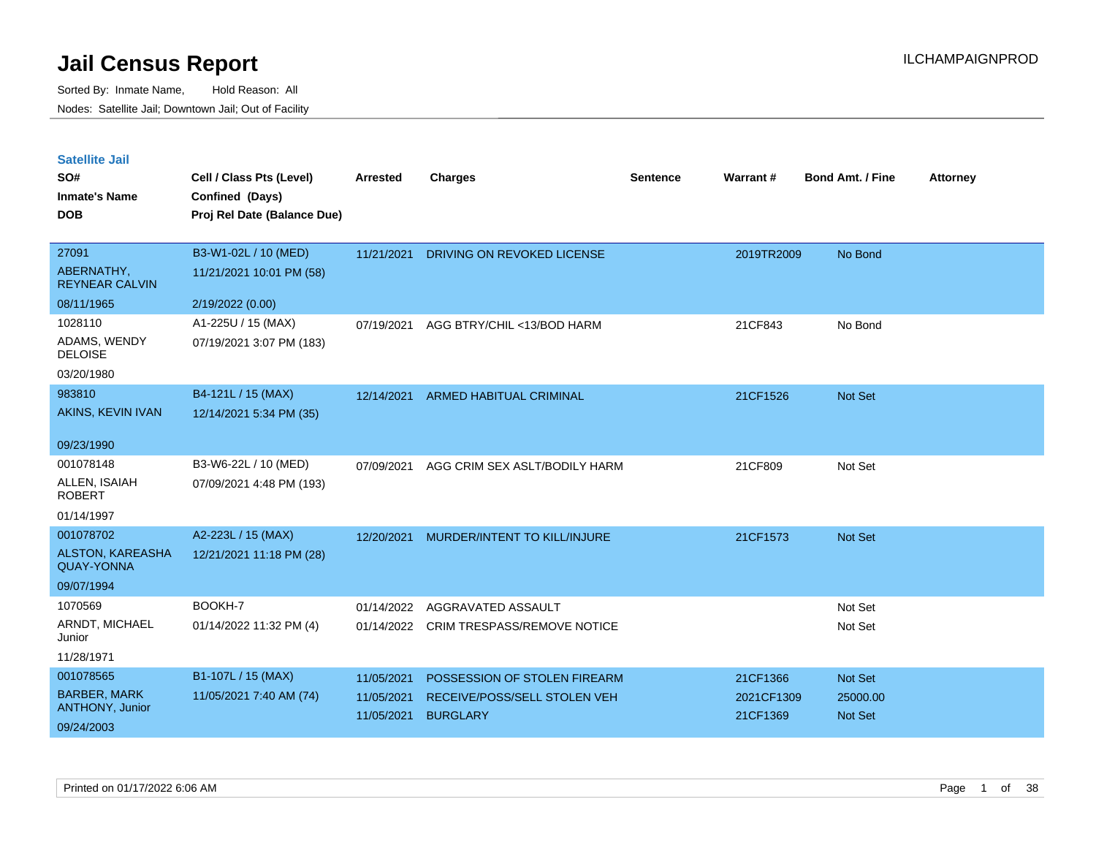| <b>Satellite Jail</b> |  |
|-----------------------|--|
|                       |  |

| 27091<br>B3-W1-02L / 10 (MED)<br>No Bond<br>11/21/2021<br>DRIVING ON REVOKED LICENSE<br>2019TR2009                     |  |
|------------------------------------------------------------------------------------------------------------------------|--|
|                                                                                                                        |  |
| ABERNATHY,<br>11/21/2021 10:01 PM (58)<br><b>REYNEAR CALVIN</b>                                                        |  |
| 08/11/1965<br>2/19/2022 (0.00)                                                                                         |  |
| 1028110<br>A1-225U / 15 (MAX)<br>No Bond<br>07/19/2021<br>AGG BTRY/CHIL <13/BOD HARM<br>21CF843                        |  |
| ADAMS, WENDY<br>07/19/2021 3:07 PM (183)<br><b>DELOISE</b>                                                             |  |
| 03/20/1980                                                                                                             |  |
| 983810<br>B4-121L / 15 (MAX)<br>Not Set<br>12/14/2021<br>ARMED HABITUAL CRIMINAL<br>21CF1526                           |  |
| AKINS, KEVIN IVAN<br>12/14/2021 5:34 PM (35)                                                                           |  |
| 09/23/1990                                                                                                             |  |
| 001078148<br>B3-W6-22L / 10 (MED)<br>AGG CRIM SEX ASLT/BODILY HARM<br>21CF809<br>Not Set<br>07/09/2021                 |  |
| ALLEN, ISAIAH<br>07/09/2021 4:48 PM (193)<br><b>ROBERT</b>                                                             |  |
| 01/14/1997                                                                                                             |  |
| 001078702<br>A2-223L / 15 (MAX)<br>MURDER/INTENT TO KILL/INJURE<br>21CF1573<br>Not Set<br>12/20/2021                   |  |
| ALSTON, KAREASHA<br>12/21/2021 11:18 PM (28)<br><b>QUAY-YONNA</b>                                                      |  |
| 09/07/1994                                                                                                             |  |
| 1070569<br>BOOKH-7<br>Not Set<br>01/14/2022<br>AGGRAVATED ASSAULT                                                      |  |
| ARNDT, MICHAEL<br>01/14/2022 11:32 PM (4)<br>01/14/2022 CRIM TRESPASS/REMOVE NOTICE<br>Not Set<br>Junior               |  |
| 11/28/1971                                                                                                             |  |
| 001078565<br>B1-107L / 15 (MAX)<br>11/05/2021<br>POSSESSION OF STOLEN FIREARM<br>21CF1366<br>Not Set                   |  |
| <b>BARBER, MARK</b><br>11/05/2021 7:40 AM (74)<br>11/05/2021<br>RECEIVE/POSS/SELL STOLEN VEH<br>2021CF1309<br>25000.00 |  |
| <b>ANTHONY, Junior</b><br><b>BURGLARY</b><br>Not Set<br>11/05/2021<br>21CF1369<br>09/24/2003                           |  |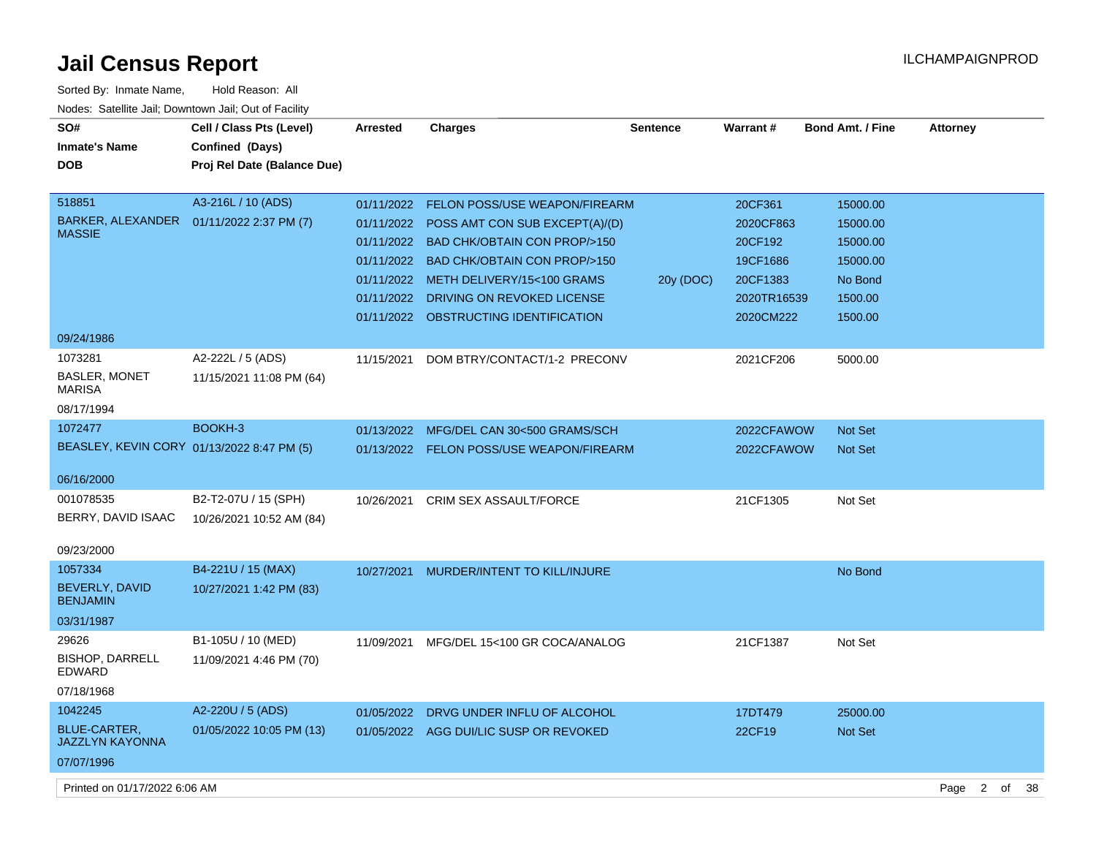| Sorted By: Inmate Name,                               | Hold Reason: All            |                 |                                        |                 |             |                         |                 |
|-------------------------------------------------------|-----------------------------|-----------------|----------------------------------------|-----------------|-------------|-------------------------|-----------------|
| Nodes: Satellite Jail; Downtown Jail; Out of Facility |                             |                 |                                        |                 |             |                         |                 |
| SO#                                                   | Cell / Class Pts (Level)    | <b>Arrested</b> | <b>Charges</b>                         | <b>Sentence</b> | Warrant#    | <b>Bond Amt. / Fine</b> | <b>Attorney</b> |
| <b>Inmate's Name</b>                                  | Confined (Days)             |                 |                                        |                 |             |                         |                 |
| <b>DOB</b>                                            | Proj Rel Date (Balance Due) |                 |                                        |                 |             |                         |                 |
|                                                       |                             |                 |                                        |                 |             |                         |                 |
| 518851                                                | A3-216L / 10 (ADS)          | 01/11/2022      | FELON POSS/USE WEAPON/FIREARM          |                 | 20CF361     | 15000.00                |                 |
| BARKER, ALEXANDER  01/11/2022 2:37 PM (7)             |                             | 01/11/2022      | POSS AMT CON SUB EXCEPT(A)/(D)         |                 | 2020CF863   | 15000.00                |                 |
| <b>MASSIE</b>                                         |                             | 01/11/2022      | <b>BAD CHK/OBTAIN CON PROP/&gt;150</b> |                 | 20CF192     | 15000.00                |                 |
|                                                       |                             | 01/11/2022      | <b>BAD CHK/OBTAIN CON PROP/&gt;150</b> |                 | 19CF1686    | 15000.00                |                 |
|                                                       |                             | 01/11/2022      | METH DELIVERY/15<100 GRAMS             | 20y (DOC)       | 20CF1383    | No Bond                 |                 |
|                                                       |                             | 01/11/2022      | DRIVING ON REVOKED LICENSE             |                 | 2020TR16539 | 1500.00                 |                 |
|                                                       |                             | 01/11/2022      | OBSTRUCTING IDENTIFICATION             |                 | 2020CM222   | 1500.00                 |                 |
| 09/24/1986                                            |                             |                 |                                        |                 |             |                         |                 |
| 1073281                                               | A2-222L / 5 (ADS)           | 11/15/2021      | DOM BTRY/CONTACT/1-2 PRECONV           |                 | 2021CF206   | 5000.00                 |                 |
| <b>BASLER, MONET</b><br><b>MARISA</b>                 | 11/15/2021 11:08 PM (64)    |                 |                                        |                 |             |                         |                 |
| 08/17/1994                                            |                             |                 |                                        |                 |             |                         |                 |
| 1072477                                               | BOOKH-3                     | 01/13/2022      | MFG/DEL CAN 30<500 GRAMS/SCH           |                 | 2022CFAWOW  | <b>Not Set</b>          |                 |
| BEASLEY, KEVIN CORY 01/13/2022 8:47 PM (5)            |                             | 01/13/2022      | FELON POSS/USE WEAPON/FIREARM          |                 | 2022CFAWOW  | <b>Not Set</b>          |                 |
|                                                       |                             |                 |                                        |                 |             |                         |                 |
| 06/16/2000                                            |                             |                 |                                        |                 |             |                         |                 |
| 001078535                                             | B2-T2-07U / 15 (SPH)        | 10/26/2021      | <b>CRIM SEX ASSAULT/FORCE</b>          |                 | 21CF1305    | Not Set                 |                 |
| BERRY, DAVID ISAAC                                    | 10/26/2021 10:52 AM (84)    |                 |                                        |                 |             |                         |                 |
| 09/23/2000                                            |                             |                 |                                        |                 |             |                         |                 |
| 1057334                                               | B4-221U / 15 (MAX)          | 10/27/2021      | MURDER/INTENT TO KILL/INJURE           |                 |             | No Bond                 |                 |
| <b>BEVERLY, DAVID</b>                                 | 10/27/2021 1:42 PM (83)     |                 |                                        |                 |             |                         |                 |
| <b>BENJAMIN</b>                                       |                             |                 |                                        |                 |             |                         |                 |
| 03/31/1987                                            |                             |                 |                                        |                 |             |                         |                 |
| 29626                                                 | B1-105U / 10 (MED)          | 11/09/2021      | MFG/DEL 15<100 GR COCA/ANALOG          |                 | 21CF1387    | Not Set                 |                 |
| <b>BISHOP, DARRELL</b><br><b>EDWARD</b>               | 11/09/2021 4:46 PM (70)     |                 |                                        |                 |             |                         |                 |
| 07/18/1968                                            |                             |                 |                                        |                 |             |                         |                 |
| 1042245                                               | A2-220U / 5 (ADS)           | 01/05/2022      | DRVG UNDER INFLU OF ALCOHOL            |                 | 17DT479     | 25000.00                |                 |
| <b>BLUE-CARTER,</b><br><b>JAZZLYN KAYONNA</b>         | 01/05/2022 10:05 PM (13)    |                 | 01/05/2022 AGG DUI/LIC SUSP OR REVOKED |                 | 22CF19      | <b>Not Set</b>          |                 |
| 07/07/1996                                            |                             |                 |                                        |                 |             |                         |                 |

Printed on 01/17/2022 6:06 AM Page 2 of 38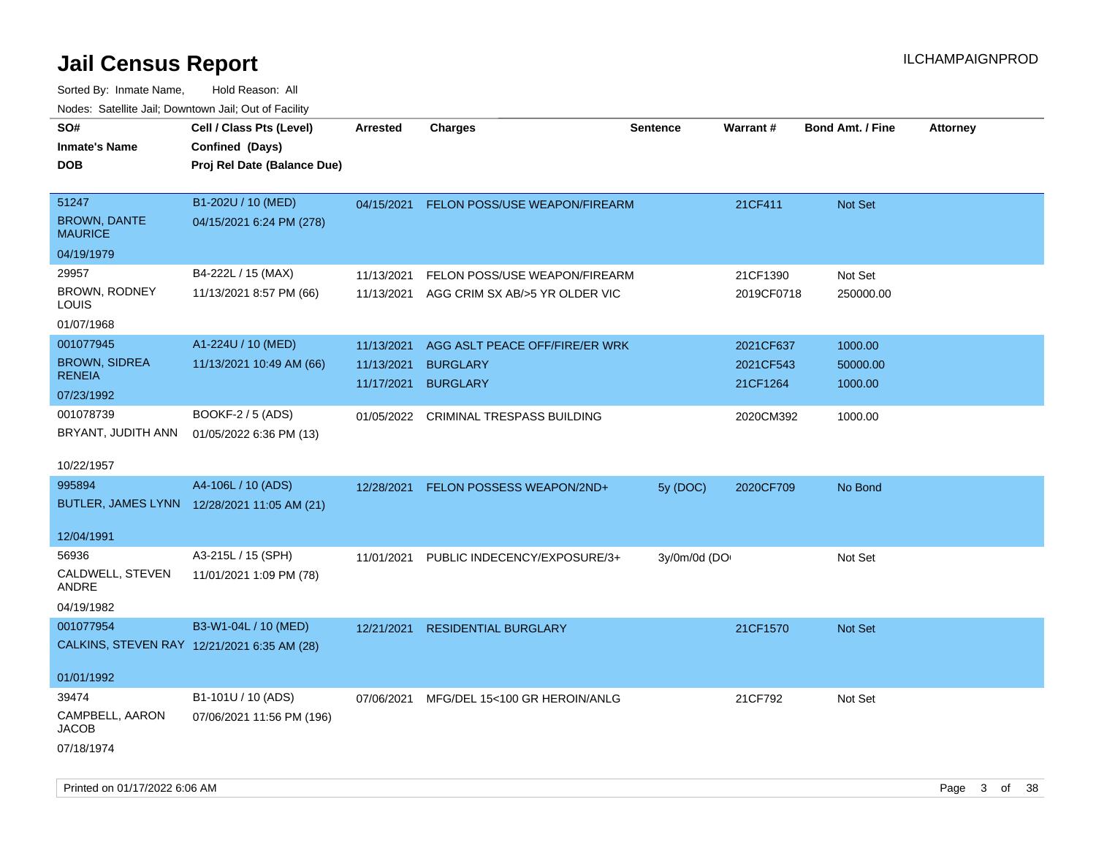| ivuutos. Saltiilit Jali, Duwilluwii Jali, Oul of Facility |                                             |                 |                                       |                 |            |                         |                 |
|-----------------------------------------------------------|---------------------------------------------|-----------------|---------------------------------------|-----------------|------------|-------------------------|-----------------|
| SO#                                                       | Cell / Class Pts (Level)                    | <b>Arrested</b> | <b>Charges</b>                        | <b>Sentence</b> | Warrant#   | <b>Bond Amt. / Fine</b> | <b>Attorney</b> |
| <b>Inmate's Name</b>                                      | Confined (Days)                             |                 |                                       |                 |            |                         |                 |
| DOB                                                       | Proj Rel Date (Balance Due)                 |                 |                                       |                 |            |                         |                 |
|                                                           |                                             |                 |                                       |                 |            |                         |                 |
| 51247                                                     | B1-202U / 10 (MED)                          | 04/15/2021      | FELON POSS/USE WEAPON/FIREARM         |                 | 21CF411    | Not Set                 |                 |
| <b>BROWN, DANTE</b><br><b>MAURICE</b>                     | 04/15/2021 6:24 PM (278)                    |                 |                                       |                 |            |                         |                 |
| 04/19/1979                                                |                                             |                 |                                       |                 |            |                         |                 |
| 29957                                                     | B4-222L / 15 (MAX)                          | 11/13/2021      | FELON POSS/USE WEAPON/FIREARM         |                 | 21CF1390   | Not Set                 |                 |
| BROWN, RODNEY<br>LOUIS                                    | 11/13/2021 8:57 PM (66)                     | 11/13/2021      | AGG CRIM SX AB/>5 YR OLDER VIC        |                 | 2019CF0718 | 250000.00               |                 |
| 01/07/1968                                                |                                             |                 |                                       |                 |            |                         |                 |
| 001077945                                                 | A1-224U / 10 (MED)                          | 11/13/2021      | AGG ASLT PEACE OFF/FIRE/ER WRK        |                 | 2021CF637  | 1000.00                 |                 |
| <b>BROWN, SIDREA</b>                                      | 11/13/2021 10:49 AM (66)                    | 11/13/2021      | <b>BURGLARY</b>                       |                 | 2021CF543  | 50000.00                |                 |
| <b>RENEIA</b>                                             |                                             | 11/17/2021      | <b>BURGLARY</b>                       |                 | 21CF1264   | 1000.00                 |                 |
| 07/23/1992                                                |                                             |                 |                                       |                 |            |                         |                 |
| 001078739                                                 | BOOKF-2 / 5 (ADS)                           |                 | 01/05/2022 CRIMINAL TRESPASS BUILDING |                 | 2020CM392  | 1000.00                 |                 |
| BRYANT, JUDITH ANN                                        | 01/05/2022 6:36 PM (13)                     |                 |                                       |                 |            |                         |                 |
| 10/22/1957                                                |                                             |                 |                                       |                 |            |                         |                 |
| 995894                                                    | A4-106L / 10 (ADS)                          | 12/28/2021      | FELON POSSESS WEAPON/2ND+             | 5y (DOC)        | 2020CF709  | No Bond                 |                 |
|                                                           | BUTLER, JAMES LYNN 12/28/2021 11:05 AM (21) |                 |                                       |                 |            |                         |                 |
| 12/04/1991                                                |                                             |                 |                                       |                 |            |                         |                 |
| 56936                                                     | A3-215L / 15 (SPH)                          | 11/01/2021      | PUBLIC INDECENCY/EXPOSURE/3+          | 3y/0m/0d (DO    |            | Not Set                 |                 |
| CALDWELL, STEVEN<br>ANDRE                                 | 11/01/2021 1:09 PM (78)                     |                 |                                       |                 |            |                         |                 |
| 04/19/1982                                                |                                             |                 |                                       |                 |            |                         |                 |
| 001077954                                                 | B3-W1-04L / 10 (MED)                        | 12/21/2021      | <b>RESIDENTIAL BURGLARY</b>           |                 | 21CF1570   | <b>Not Set</b>          |                 |
|                                                           | CALKINS, STEVEN RAY 12/21/2021 6:35 AM (28) |                 |                                       |                 |            |                         |                 |
|                                                           |                                             |                 |                                       |                 |            |                         |                 |
| 01/01/1992                                                |                                             |                 |                                       |                 |            |                         |                 |
| 39474                                                     | B1-101U / 10 (ADS)                          | 07/06/2021      | MFG/DEL 15<100 GR HEROIN/ANLG         |                 | 21CF792    | Not Set                 |                 |
| CAMPBELL, AARON<br>JACOB                                  | 07/06/2021 11:56 PM (196)                   |                 |                                       |                 |            |                         |                 |
| 07/18/1974                                                |                                             |                 |                                       |                 |            |                         |                 |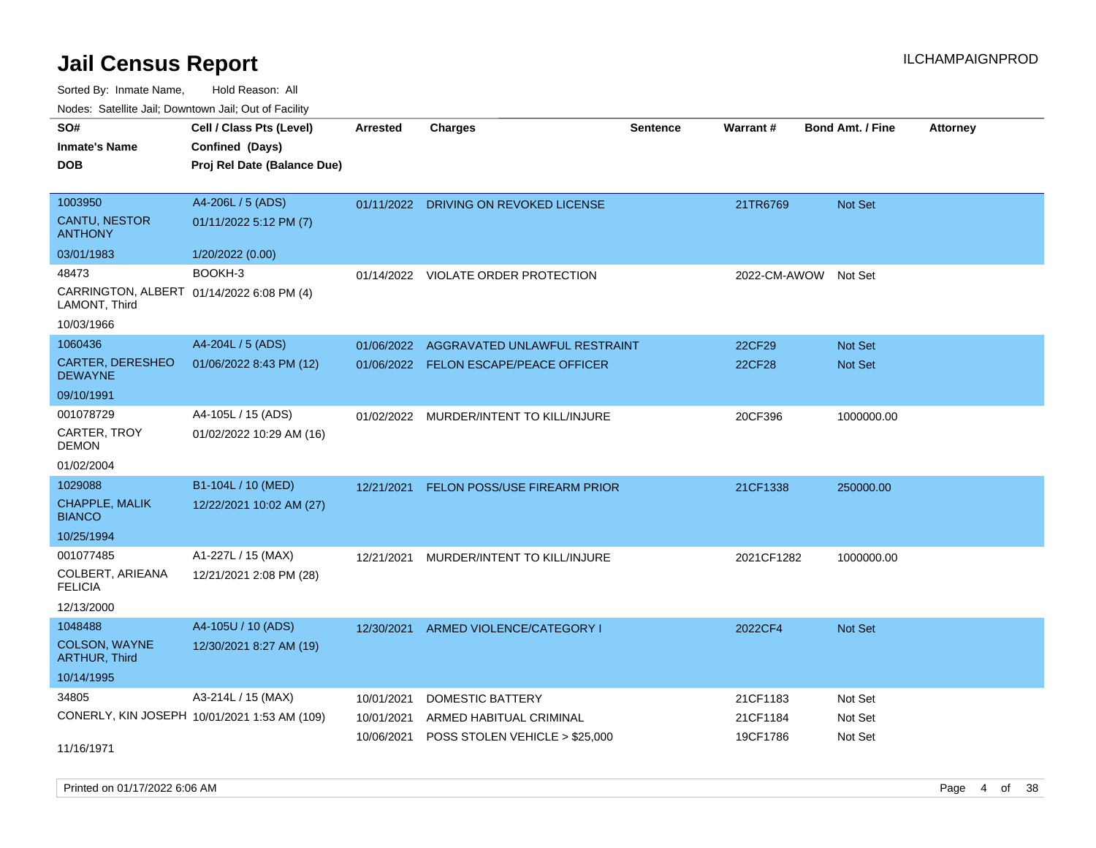Sorted By: Inmate Name, Hold Reason: All Nodes: Satellite Jail; Downtown Jail; Out of Facility

| SO#<br><b>Inmate's Name</b><br><b>DOB</b>                                         | Cell / Class Pts (Level)<br>Confined (Days)<br>Proj Rel Date (Balance Due) | <b>Arrested</b>                        | <b>Charges</b>                                                                       | <b>Sentence</b> | <b>Warrant#</b>                  | <b>Bond Amt. / Fine</b>       | <b>Attorney</b> |
|-----------------------------------------------------------------------------------|----------------------------------------------------------------------------|----------------------------------------|--------------------------------------------------------------------------------------|-----------------|----------------------------------|-------------------------------|-----------------|
| 1003950<br><b>CANTU, NESTOR</b><br><b>ANTHONY</b><br>03/01/1983                   | A4-206L / 5 (ADS)<br>01/11/2022 5:12 PM (7)                                | 01/11/2022                             | DRIVING ON REVOKED LICENSE                                                           |                 | 21TR6769                         | Not Set                       |                 |
| 48473<br>CARRINGTON, ALBERT 01/14/2022 6:08 PM (4)<br>LAMONT, Third<br>10/03/1966 | 1/20/2022 (0.00)<br>BOOKH-3                                                | 01/14/2022                             | VIOLATE ORDER PROTECTION                                                             |                 | 2022-CM-AWOW                     | Not Set                       |                 |
| 1060436<br><b>CARTER, DERESHEO</b><br><b>DEWAYNE</b><br>09/10/1991                | A4-204L / 5 (ADS)<br>01/06/2022 8:43 PM (12)                               | 01/06/2022                             | AGGRAVATED UNLAWFUL RESTRAINT<br>01/06/2022 FELON ESCAPE/PEACE OFFICER               |                 | 22CF29<br><b>22CF28</b>          | Not Set<br>Not Set            |                 |
| 001078729<br>CARTER, TROY<br><b>DEMON</b><br>01/02/2004                           | A4-105L / 15 (ADS)<br>01/02/2022 10:29 AM (16)                             |                                        | 01/02/2022 MURDER/INTENT TO KILL/INJURE                                              |                 | 20CF396                          | 1000000.00                    |                 |
| 1029088<br>CHAPPLE, MALIK<br><b>BIANCO</b><br>10/25/1994                          | B1-104L / 10 (MED)<br>12/22/2021 10:02 AM (27)                             | 12/21/2021                             | FELON POSS/USE FIREARM PRIOR                                                         |                 | 21CF1338                         | 250000.00                     |                 |
| 001077485<br>COLBERT, ARIEANA<br><b>FELICIA</b><br>12/13/2000                     | A1-227L / 15 (MAX)<br>12/21/2021 2:08 PM (28)                              | 12/21/2021                             | MURDER/INTENT TO KILL/INJURE                                                         |                 | 2021CF1282                       | 1000000.00                    |                 |
| 1048488<br>COLSON, WAYNE<br><b>ARTHUR, Third</b><br>10/14/1995                    | A4-105U / 10 (ADS)<br>12/30/2021 8:27 AM (19)                              | 12/30/2021                             | ARMED VIOLENCE/CATEGORY I                                                            |                 | 2022CF4                          | Not Set                       |                 |
| 34805<br>11/16/1971                                                               | A3-214L / 15 (MAX)<br>CONERLY, KIN JOSEPH 10/01/2021 1:53 AM (109)         | 10/01/2021<br>10/01/2021<br>10/06/2021 | <b>DOMESTIC BATTERY</b><br>ARMED HABITUAL CRIMINAL<br>POSS STOLEN VEHICLE > \$25,000 |                 | 21CF1183<br>21CF1184<br>19CF1786 | Not Set<br>Not Set<br>Not Set |                 |

Printed on 01/17/2022 6:06 AM Page 4 of 38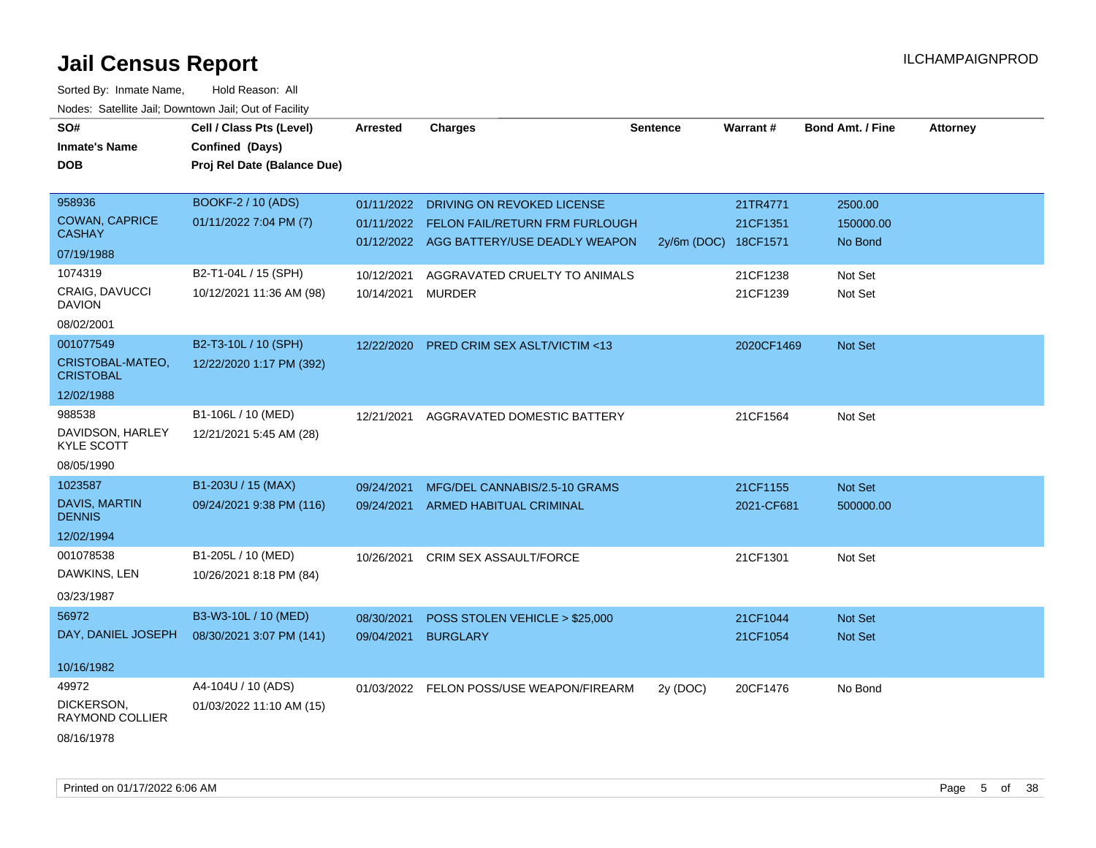| SO#                                    | Cell / Class Pts (Level)    | <b>Arrested</b> | <b>Charges</b>                            | <b>Sentence</b> | Warrant#             | <b>Bond Amt. / Fine</b> | <b>Attorney</b> |
|----------------------------------------|-----------------------------|-----------------|-------------------------------------------|-----------------|----------------------|-------------------------|-----------------|
| <b>Inmate's Name</b>                   | Confined (Days)             |                 |                                           |                 |                      |                         |                 |
| <b>DOB</b>                             | Proj Rel Date (Balance Due) |                 |                                           |                 |                      |                         |                 |
|                                        |                             |                 |                                           |                 |                      |                         |                 |
| 958936                                 | BOOKF-2 / 10 (ADS)          |                 | 01/11/2022 DRIVING ON REVOKED LICENSE     |                 | 21TR4771             | 2500.00                 |                 |
| <b>COWAN, CAPRICE</b>                  | 01/11/2022 7:04 PM (7)      |                 | 01/11/2022 FELON FAIL/RETURN FRM FURLOUGH |                 | 21CF1351             | 150000.00               |                 |
| <b>CASHAY</b>                          |                             |                 | 01/12/2022 AGG BATTERY/USE DEADLY WEAPON  |                 | 2y/6m (DOC) 18CF1571 | No Bond                 |                 |
| 07/19/1988                             |                             |                 |                                           |                 |                      |                         |                 |
| 1074319                                | B2-T1-04L / 15 (SPH)        | 10/12/2021      | AGGRAVATED CRUELTY TO ANIMALS             |                 | 21CF1238             | Not Set                 |                 |
| <b>CRAIG, DAVUCCI</b><br><b>DAVION</b> | 10/12/2021 11:36 AM (98)    | 10/14/2021      | MURDER                                    |                 | 21CF1239             | Not Set                 |                 |
| 08/02/2001                             |                             |                 |                                           |                 |                      |                         |                 |
| 001077549                              | B2-T3-10L / 10 (SPH)        | 12/22/2020      | PRED CRIM SEX ASLT/VICTIM <13             |                 | 2020CF1469           | Not Set                 |                 |
| CRISTOBAL-MATEO,<br><b>CRISTOBAL</b>   | 12/22/2020 1:17 PM (392)    |                 |                                           |                 |                      |                         |                 |
| 12/02/1988                             |                             |                 |                                           |                 |                      |                         |                 |
| 988538                                 | B1-106L / 10 (MED)          | 12/21/2021      | AGGRAVATED DOMESTIC BATTERY               |                 | 21CF1564             | Not Set                 |                 |
| DAVIDSON, HARLEY<br><b>KYLE SCOTT</b>  | 12/21/2021 5:45 AM (28)     |                 |                                           |                 |                      |                         |                 |
| 08/05/1990                             |                             |                 |                                           |                 |                      |                         |                 |
| 1023587                                | B1-203U / 15 (MAX)          | 09/24/2021      | MFG/DEL CANNABIS/2.5-10 GRAMS             |                 | 21CF1155             | Not Set                 |                 |
| DAVIS, MARTIN<br><b>DENNIS</b>         | 09/24/2021 9:38 PM (116)    |                 | 09/24/2021 ARMED HABITUAL CRIMINAL        |                 | 2021-CF681           | 500000.00               |                 |
| 12/02/1994                             |                             |                 |                                           |                 |                      |                         |                 |
| 001078538                              | B1-205L / 10 (MED)          | 10/26/2021      | <b>CRIM SEX ASSAULT/FORCE</b>             |                 | 21CF1301             | Not Set                 |                 |
| DAWKINS, LEN                           | 10/26/2021 8:18 PM (84)     |                 |                                           |                 |                      |                         |                 |
| 03/23/1987                             |                             |                 |                                           |                 |                      |                         |                 |
| 56972                                  | B3-W3-10L / 10 (MED)        | 08/30/2021      | POSS STOLEN VEHICLE > \$25,000            |                 | 21CF1044             | <b>Not Set</b>          |                 |
| DAY, DANIEL JOSEPH                     | 08/30/2021 3:07 PM (141)    | 09/04/2021      | <b>BURGLARY</b>                           |                 | 21CF1054             | Not Set                 |                 |
|                                        |                             |                 |                                           |                 |                      |                         |                 |
| 10/16/1982                             |                             |                 |                                           |                 |                      |                         |                 |
| 49972                                  | A4-104U / 10 (ADS)          |                 | 01/03/2022 FELON POSS/USE WEAPON/FIREARM  | 2y (DOC)        | 20CF1476             | No Bond                 |                 |
| DICKERSON,<br>RAYMOND COLLIER          | 01/03/2022 11:10 AM (15)    |                 |                                           |                 |                      |                         |                 |
| 08/16/1978                             |                             |                 |                                           |                 |                      |                         |                 |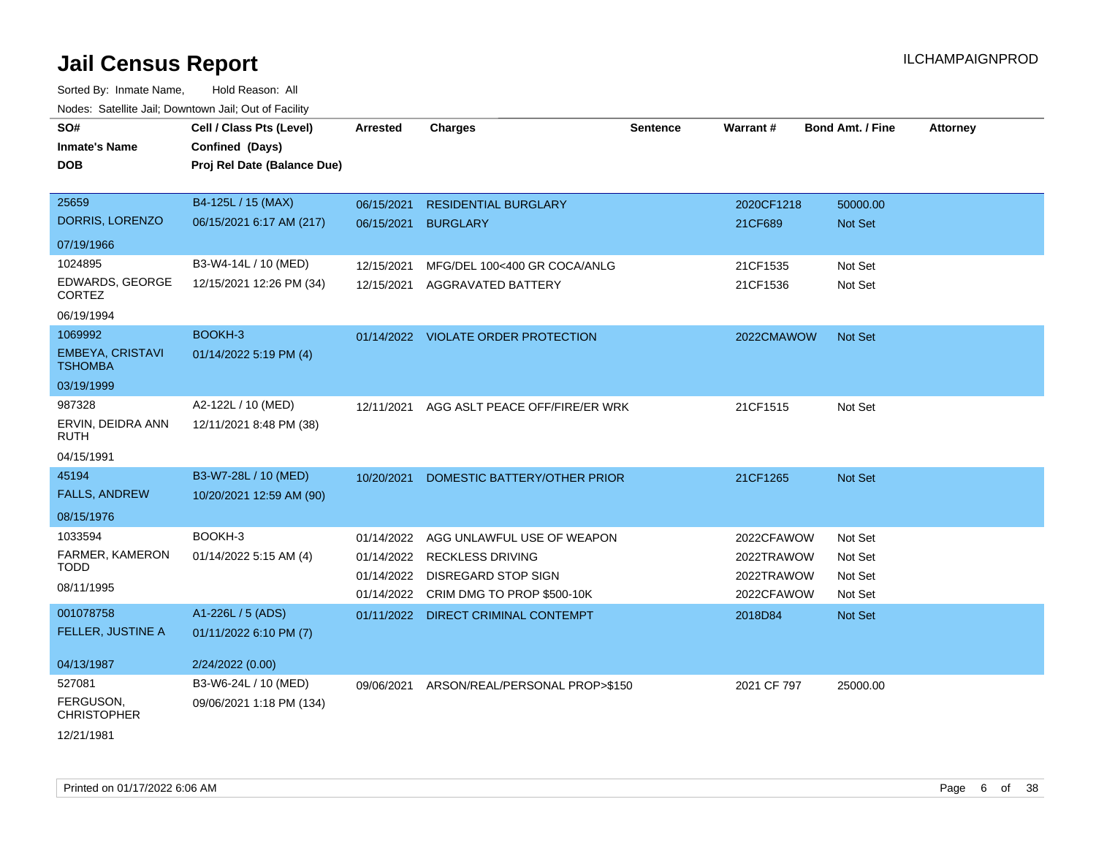| rouce. Calcillic Jali, Downtown Jali, Out of Facility |                                             |                 |                                       |                 |                 |                         |                 |
|-------------------------------------------------------|---------------------------------------------|-----------------|---------------------------------------|-----------------|-----------------|-------------------------|-----------------|
| SO#<br><b>Inmate's Name</b>                           | Cell / Class Pts (Level)<br>Confined (Days) | <b>Arrested</b> | <b>Charges</b>                        | <b>Sentence</b> | <b>Warrant#</b> | <b>Bond Amt. / Fine</b> | <b>Attorney</b> |
|                                                       |                                             |                 |                                       |                 |                 |                         |                 |
| <b>DOB</b>                                            | Proj Rel Date (Balance Due)                 |                 |                                       |                 |                 |                         |                 |
|                                                       |                                             |                 |                                       |                 |                 |                         |                 |
| 25659                                                 | B4-125L / 15 (MAX)                          | 06/15/2021      | <b>RESIDENTIAL BURGLARY</b>           |                 | 2020CF1218      | 50000.00                |                 |
| DORRIS, LORENZO                                       | 06/15/2021 6:17 AM (217)                    | 06/15/2021      | <b>BURGLARY</b>                       |                 | 21CF689         | Not Set                 |                 |
| 07/19/1966                                            |                                             |                 |                                       |                 |                 |                         |                 |
| 1024895                                               | B3-W4-14L / 10 (MED)                        | 12/15/2021      | MFG/DEL 100<400 GR COCA/ANLG          |                 | 21CF1535        | Not Set                 |                 |
| EDWARDS, GEORGE<br><b>CORTEZ</b>                      | 12/15/2021 12:26 PM (34)                    | 12/15/2021      | <b>AGGRAVATED BATTERY</b>             |                 | 21CF1536        | Not Set                 |                 |
| 06/19/1994                                            |                                             |                 |                                       |                 |                 |                         |                 |
| 1069992                                               | BOOKH-3                                     |                 | 01/14/2022 VIOLATE ORDER PROTECTION   |                 | 2022CMAWOW      | Not Set                 |                 |
| <b>EMBEYA, CRISTAVI</b><br><b>TSHOMBA</b>             | 01/14/2022 5:19 PM (4)                      |                 |                                       |                 |                 |                         |                 |
| 03/19/1999                                            |                                             |                 |                                       |                 |                 |                         |                 |
| 987328                                                | A2-122L / 10 (MED)                          | 12/11/2021      | AGG ASLT PEACE OFF/FIRE/ER WRK        |                 | 21CF1515        | Not Set                 |                 |
| ERVIN, DEIDRA ANN<br>RUTH                             | 12/11/2021 8:48 PM (38)                     |                 |                                       |                 |                 |                         |                 |
| 04/15/1991                                            |                                             |                 |                                       |                 |                 |                         |                 |
| 45194                                                 | B3-W7-28L / 10 (MED)                        | 10/20/2021      | DOMESTIC BATTERY/OTHER PRIOR          |                 | 21CF1265        | <b>Not Set</b>          |                 |
| <b>FALLS, ANDREW</b>                                  | 10/20/2021 12:59 AM (90)                    |                 |                                       |                 |                 |                         |                 |
| 08/15/1976                                            |                                             |                 |                                       |                 |                 |                         |                 |
| 1033594                                               | BOOKH-3                                     | 01/14/2022      | AGG UNLAWFUL USE OF WEAPON            |                 | 2022CFAWOW      | Not Set                 |                 |
| FARMER, KAMERON                                       | 01/14/2022 5:15 AM (4)                      |                 | 01/14/2022 RECKLESS DRIVING           |                 | 2022TRAWOW      | Not Set                 |                 |
| TODD                                                  |                                             | 01/14/2022      | DISREGARD STOP SIGN                   |                 | 2022TRAWOW      | Not Set                 |                 |
| 08/11/1995                                            |                                             |                 | 01/14/2022 CRIM DMG TO PROP \$500-10K |                 | 2022CFAWOW      | Not Set                 |                 |
| 001078758                                             | A1-226L / 5 (ADS)                           |                 | 01/11/2022 DIRECT CRIMINAL CONTEMPT   |                 | 2018D84         | Not Set                 |                 |
| <b>FELLER, JUSTINE A</b>                              | 01/11/2022 6:10 PM (7)                      |                 |                                       |                 |                 |                         |                 |
|                                                       |                                             |                 |                                       |                 |                 |                         |                 |
| 04/13/1987                                            | 2/24/2022 (0.00)                            |                 |                                       |                 |                 |                         |                 |
| 527081                                                | B3-W6-24L / 10 (MED)                        | 09/06/2021      | ARSON/REAL/PERSONAL PROP>\$150        |                 | 2021 CF 797     | 25000.00                |                 |
| FERGUSON,<br><b>CHRISTOPHER</b>                       | 09/06/2021 1:18 PM (134)                    |                 |                                       |                 |                 |                         |                 |
| 12/21/1981                                            |                                             |                 |                                       |                 |                 |                         |                 |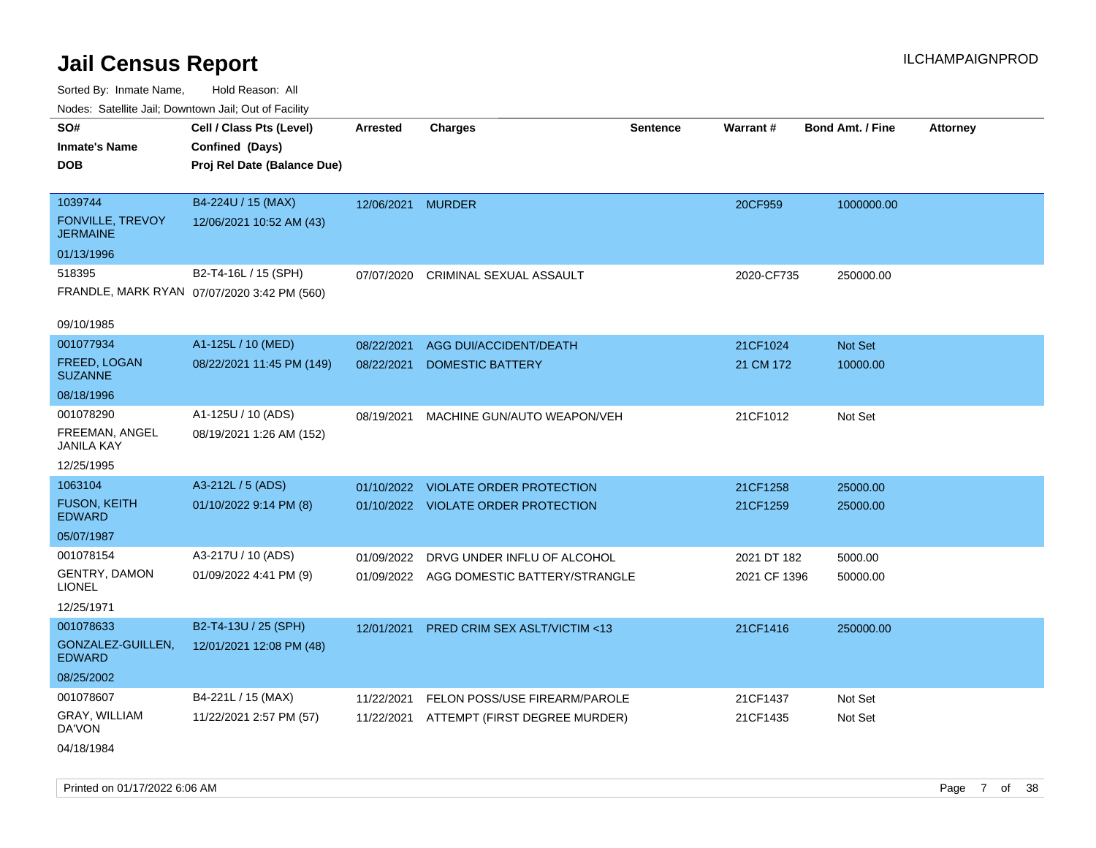Sorted By: Inmate Name, Hold Reason: All Nodes: Satellite Jail; Downtown Jail; Out of Facility

| Noues. Sateme Jan, Downtown Jan, Out or Facility |                                             |                   |                                          |          |              |                         |                 |
|--------------------------------------------------|---------------------------------------------|-------------------|------------------------------------------|----------|--------------|-------------------------|-----------------|
| SO#                                              | Cell / Class Pts (Level)                    | Arrested          | <b>Charges</b>                           | Sentence | Warrant#     | <b>Bond Amt. / Fine</b> | <b>Attorney</b> |
| <b>Inmate's Name</b>                             | Confined (Days)                             |                   |                                          |          |              |                         |                 |
| <b>DOB</b>                                       | Proj Rel Date (Balance Due)                 |                   |                                          |          |              |                         |                 |
|                                                  |                                             |                   |                                          |          |              |                         |                 |
| 1039744                                          | B4-224U / 15 (MAX)                          | 12/06/2021 MURDER |                                          |          | 20CF959      | 1000000.00              |                 |
| <b>FONVILLE, TREVOY</b><br><b>JERMAINE</b>       | 12/06/2021 10:52 AM (43)                    |                   |                                          |          |              |                         |                 |
| 01/13/1996                                       |                                             |                   |                                          |          |              |                         |                 |
| 518395                                           | B2-T4-16L / 15 (SPH)                        | 07/07/2020        | CRIMINAL SEXUAL ASSAULT                  |          | 2020-CF735   | 250000.00               |                 |
|                                                  | FRANDLE, MARK RYAN 07/07/2020 3:42 PM (560) |                   |                                          |          |              |                         |                 |
| 09/10/1985                                       |                                             |                   |                                          |          |              |                         |                 |
| 001077934                                        | A1-125L / 10 (MED)                          | 08/22/2021        | AGG DUI/ACCIDENT/DEATH                   |          | 21CF1024     | Not Set                 |                 |
| FREED, LOGAN<br><b>SUZANNE</b>                   | 08/22/2021 11:45 PM (149)                   | 08/22/2021        | <b>DOMESTIC BATTERY</b>                  |          | 21 CM 172    | 10000.00                |                 |
| 08/18/1996                                       |                                             |                   |                                          |          |              |                         |                 |
| 001078290                                        | A1-125U / 10 (ADS)                          | 08/19/2021        | MACHINE GUN/AUTO WEAPON/VEH              |          | 21CF1012     | Not Set                 |                 |
| FREEMAN, ANGEL<br><b>JANILA KAY</b>              | 08/19/2021 1:26 AM (152)                    |                   |                                          |          |              |                         |                 |
| 12/25/1995                                       |                                             |                   |                                          |          |              |                         |                 |
| 1063104                                          | A3-212L / 5 (ADS)                           |                   | 01/10/2022 VIOLATE ORDER PROTECTION      |          | 21CF1258     | 25000.00                |                 |
| <b>FUSON, KEITH</b><br><b>EDWARD</b>             | 01/10/2022 9:14 PM (8)                      |                   | 01/10/2022 VIOLATE ORDER PROTECTION      |          | 21CF1259     | 25000.00                |                 |
| 05/07/1987                                       |                                             |                   |                                          |          |              |                         |                 |
| 001078154                                        | A3-217U / 10 (ADS)                          | 01/09/2022        | DRVG UNDER INFLU OF ALCOHOL              |          | 2021 DT 182  | 5000.00                 |                 |
| <b>GENTRY, DAMON</b><br><b>LIONEL</b>            | 01/09/2022 4:41 PM (9)                      |                   | 01/09/2022 AGG DOMESTIC BATTERY/STRANGLE |          | 2021 CF 1396 | 50000.00                |                 |
| 12/25/1971                                       |                                             |                   |                                          |          |              |                         |                 |
| 001078633                                        | B2-T4-13U / 25 (SPH)                        | 12/01/2021        | PRED CRIM SEX ASLT/VICTIM <13            |          | 21CF1416     | 250000.00               |                 |
| GONZALEZ-GUILLEN,<br><b>EDWARD</b>               | 12/01/2021 12:08 PM (48)                    |                   |                                          |          |              |                         |                 |
| 08/25/2002                                       |                                             |                   |                                          |          |              |                         |                 |
| 001078607                                        | B4-221L / 15 (MAX)                          | 11/22/2021        | FELON POSS/USE FIREARM/PAROLE            |          | 21CF1437     | Not Set                 |                 |
| GRAY, WILLIAM<br>DA'VON                          | 11/22/2021 2:57 PM (57)                     | 11/22/2021        | ATTEMPT (FIRST DEGREE MURDER)            |          | 21CF1435     | Not Set                 |                 |
| 04/18/1984                                       |                                             |                   |                                          |          |              |                         |                 |

Printed on 01/17/2022 6:06 AM Page 7 of 38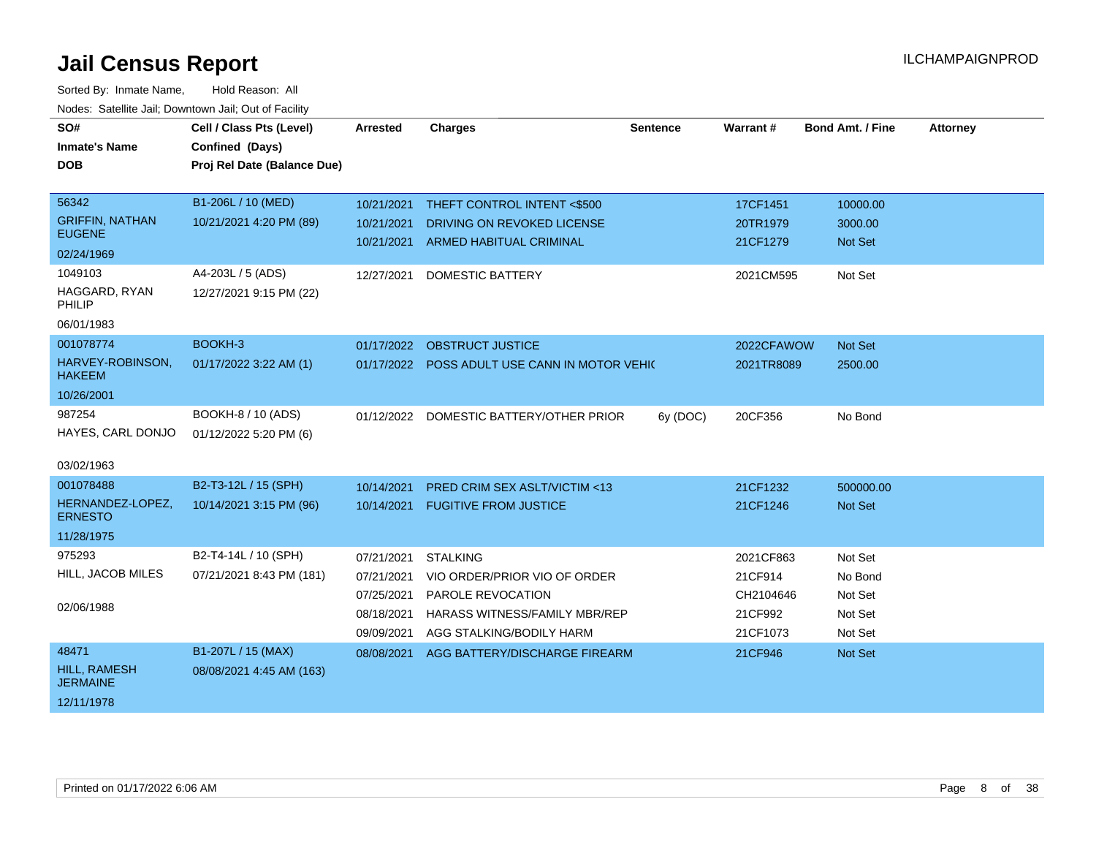| SO#<br><b>Inmate's Name</b><br><b>DOB</b>                                                                          | Cell / Class Pts (Level)<br>Confined (Days)<br>Proj Rel Date (Balance Due)                    | <b>Arrested</b>                                                    | <b>Charges</b>                                                                                                                    | <b>Sentence</b> | Warrant#                                                 | <b>Bond Amt. / Fine</b>                             | <b>Attorney</b> |
|--------------------------------------------------------------------------------------------------------------------|-----------------------------------------------------------------------------------------------|--------------------------------------------------------------------|-----------------------------------------------------------------------------------------------------------------------------------|-----------------|----------------------------------------------------------|-----------------------------------------------------|-----------------|
| 56342<br><b>GRIFFIN, NATHAN</b><br><b>EUGENE</b><br>02/24/1969<br>1049103<br>HAGGARD, RYAN<br>PHILIP<br>06/01/1983 | B1-206L / 10 (MED)<br>10/21/2021 4:20 PM (89)<br>A4-203L / 5 (ADS)<br>12/27/2021 9:15 PM (22) | 10/21/2021<br>10/21/2021<br>10/21/2021<br>12/27/2021               | THEFT CONTROL INTENT <\$500<br>DRIVING ON REVOKED LICENSE<br><b>ARMED HABITUAL CRIMINAL</b><br><b>DOMESTIC BATTERY</b>            |                 | 17CF1451<br>20TR1979<br>21CF1279<br>2021CM595            | 10000.00<br>3000.00<br><b>Not Set</b><br>Not Set    |                 |
| 001078774<br>HARVEY-ROBINSON,<br><b>HAKEEM</b><br>10/26/2001                                                       | BOOKH-3<br>01/17/2022 3:22 AM (1)                                                             | 01/17/2022                                                         | <b>OBSTRUCT JUSTICE</b><br>01/17/2022 POSS ADULT USE CANN IN MOTOR VEHIC                                                          |                 | 2022CFAWOW<br>2021TR8089                                 | Not Set<br>2500.00                                  |                 |
| 987254<br>HAYES, CARL DONJO<br>03/02/1963                                                                          | BOOKH-8 / 10 (ADS)<br>01/12/2022 5:20 PM (6)                                                  |                                                                    | 01/12/2022 DOMESTIC BATTERY/OTHER PRIOR                                                                                           | 6y (DOC)        | 20CF356                                                  | No Bond                                             |                 |
| 001078488<br>HERNANDEZ-LOPEZ,<br><b>ERNESTO</b><br>11/28/1975                                                      | B2-T3-12L / 15 (SPH)<br>10/14/2021 3:15 PM (96)                                               | 10/14/2021                                                         | <b>PRED CRIM SEX ASLT/VICTIM &lt;13</b><br>10/14/2021 FUGITIVE FROM JUSTICE                                                       |                 | 21CF1232<br>21CF1246                                     | 500000.00<br><b>Not Set</b>                         |                 |
| 975293<br>HILL, JACOB MILES<br>02/06/1988                                                                          | B2-T4-14L / 10 (SPH)<br>07/21/2021 8:43 PM (181)                                              | 07/21/2021<br>07/21/2021<br>07/25/2021<br>08/18/2021<br>09/09/2021 | <b>STALKING</b><br>VIO ORDER/PRIOR VIO OF ORDER<br>PAROLE REVOCATION<br>HARASS WITNESS/FAMILY MBR/REP<br>AGG STALKING/BODILY HARM |                 | 2021CF863<br>21CF914<br>CH2104646<br>21CF992<br>21CF1073 | Not Set<br>No Bond<br>Not Set<br>Not Set<br>Not Set |                 |
| 48471<br>HILL, RAMESH<br><b>JERMAINE</b><br>12/11/1978                                                             | B1-207L / 15 (MAX)<br>08/08/2021 4:45 AM (163)                                                | 08/08/2021                                                         | AGG BATTERY/DISCHARGE FIREARM                                                                                                     |                 | 21CF946                                                  | Not Set                                             |                 |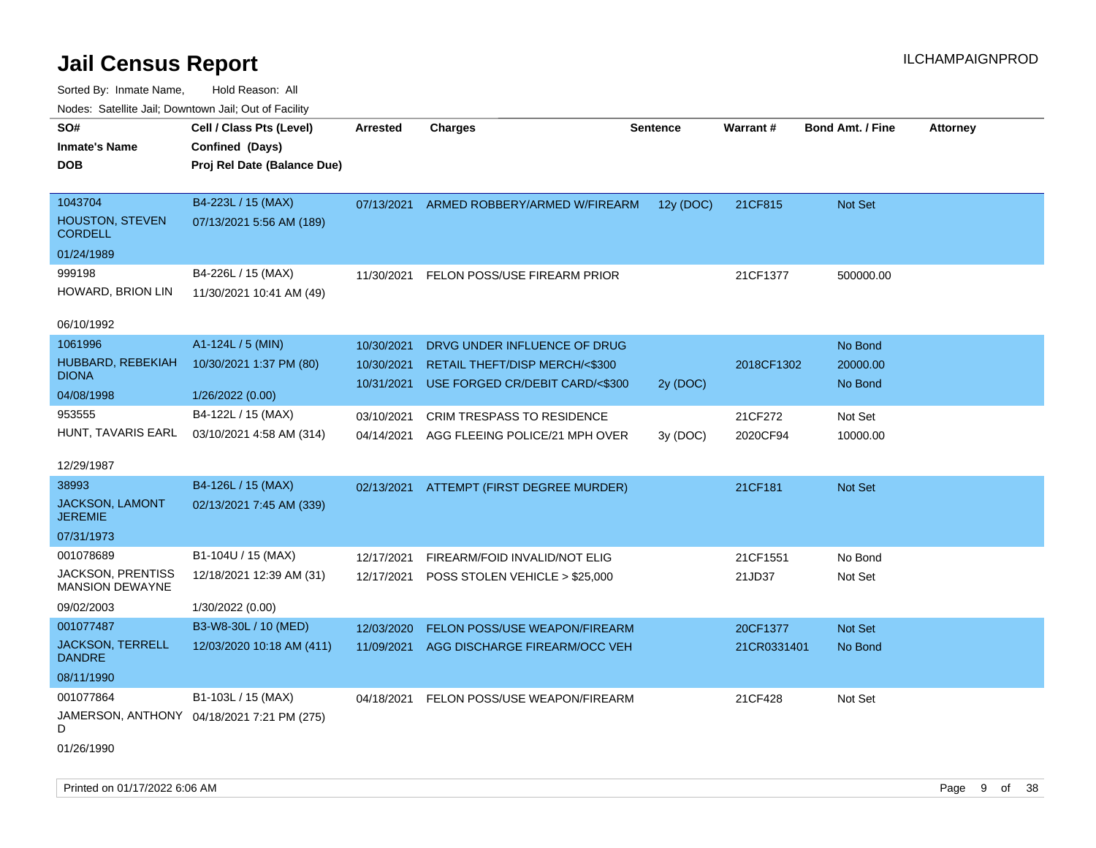Sorted By: Inmate Name, Hold Reason: All Nodes: Satellite Jail; Downtown Jail; Out of Facility

| voues. Saleline Jail, Downtown Jail, Out of Facility |                                            |                 |                                          |                 |                 |                         |                 |
|------------------------------------------------------|--------------------------------------------|-----------------|------------------------------------------|-----------------|-----------------|-------------------------|-----------------|
| SO#                                                  | Cell / Class Pts (Level)                   | <b>Arrested</b> | <b>Charges</b>                           | <b>Sentence</b> | <b>Warrant#</b> | <b>Bond Amt. / Fine</b> | <b>Attorney</b> |
| <b>Inmate's Name</b>                                 | Confined (Days)                            |                 |                                          |                 |                 |                         |                 |
| <b>DOB</b>                                           | Proj Rel Date (Balance Due)                |                 |                                          |                 |                 |                         |                 |
|                                                      |                                            |                 |                                          |                 |                 |                         |                 |
| 1043704                                              | B4-223L / 15 (MAX)                         | 07/13/2021      | ARMED ROBBERY/ARMED W/FIREARM            | 12y (DOC)       | 21CF815         | <b>Not Set</b>          |                 |
| <b>HOUSTON, STEVEN</b><br><b>CORDELL</b>             | 07/13/2021 5:56 AM (189)                   |                 |                                          |                 |                 |                         |                 |
| 01/24/1989                                           |                                            |                 |                                          |                 |                 |                         |                 |
| 999198                                               | B4-226L / 15 (MAX)                         | 11/30/2021      | <b>FELON POSS/USE FIREARM PRIOR</b>      |                 | 21CF1377        | 500000.00               |                 |
| HOWARD, BRION LIN                                    | 11/30/2021 10:41 AM (49)                   |                 |                                          |                 |                 |                         |                 |
| 06/10/1992                                           |                                            |                 |                                          |                 |                 |                         |                 |
| 1061996                                              | A1-124L / 5 (MIN)                          | 10/30/2021      | DRVG UNDER INFLUENCE OF DRUG             |                 |                 | No Bond                 |                 |
| HUBBARD, REBEKIAH                                    | 10/30/2021 1:37 PM (80)                    | 10/30/2021      | <b>RETAIL THEFT/DISP MERCH/&lt;\$300</b> |                 | 2018CF1302      | 20000.00                |                 |
| <b>DIONA</b>                                         |                                            | 10/31/2021      | USE FORGED CR/DEBIT CARD/<\$300          | 2y (DOC)        |                 | No Bond                 |                 |
| 04/08/1998                                           | 1/26/2022 (0.00)                           |                 |                                          |                 |                 |                         |                 |
| 953555                                               | B4-122L / 15 (MAX)                         | 03/10/2021      | CRIM TRESPASS TO RESIDENCE               |                 | 21CF272         | Not Set                 |                 |
| HUNT, TAVARIS EARL                                   | 03/10/2021 4:58 AM (314)                   | 04/14/2021      | AGG FLEEING POLICE/21 MPH OVER           | 3y (DOC)        | 2020CF94        | 10000.00                |                 |
| 12/29/1987                                           |                                            |                 |                                          |                 |                 |                         |                 |
| 38993                                                | B4-126L / 15 (MAX)                         | 02/13/2021      | ATTEMPT (FIRST DEGREE MURDER)            |                 | 21CF181         | <b>Not Set</b>          |                 |
| <b>JACKSON, LAMONT</b><br><b>JEREMIE</b>             | 02/13/2021 7:45 AM (339)                   |                 |                                          |                 |                 |                         |                 |
| 07/31/1973                                           |                                            |                 |                                          |                 |                 |                         |                 |
| 001078689                                            | B1-104U / 15 (MAX)                         | 12/17/2021      | FIREARM/FOID INVALID/NOT ELIG            |                 | 21CF1551        | No Bond                 |                 |
| <b>JACKSON, PRENTISS</b><br><b>MANSION DEWAYNE</b>   | 12/18/2021 12:39 AM (31)                   | 12/17/2021      | POSS STOLEN VEHICLE > \$25,000           |                 | 21JD37          | Not Set                 |                 |
| 09/02/2003                                           | 1/30/2022 (0.00)                           |                 |                                          |                 |                 |                         |                 |
| 001077487                                            | B3-W8-30L / 10 (MED)                       | 12/03/2020      | FELON POSS/USE WEAPON/FIREARM            |                 | 20CF1377        | <b>Not Set</b>          |                 |
| <b>JACKSON, TERRELL</b><br><b>DANDRE</b>             | 12/03/2020 10:18 AM (411)                  | 11/09/2021      | AGG DISCHARGE FIREARM/OCC VEH            |                 | 21CR0331401     | No Bond                 |                 |
| 08/11/1990                                           |                                            |                 |                                          |                 |                 |                         |                 |
| 001077864                                            | B1-103L / 15 (MAX)                         | 04/18/2021      | FELON POSS/USE WEAPON/FIREARM            |                 | 21CF428         | Not Set                 |                 |
| D                                                    | JAMERSON, ANTHONY 04/18/2021 7:21 PM (275) |                 |                                          |                 |                 |                         |                 |
|                                                      |                                            |                 |                                          |                 |                 |                         |                 |

01/26/1990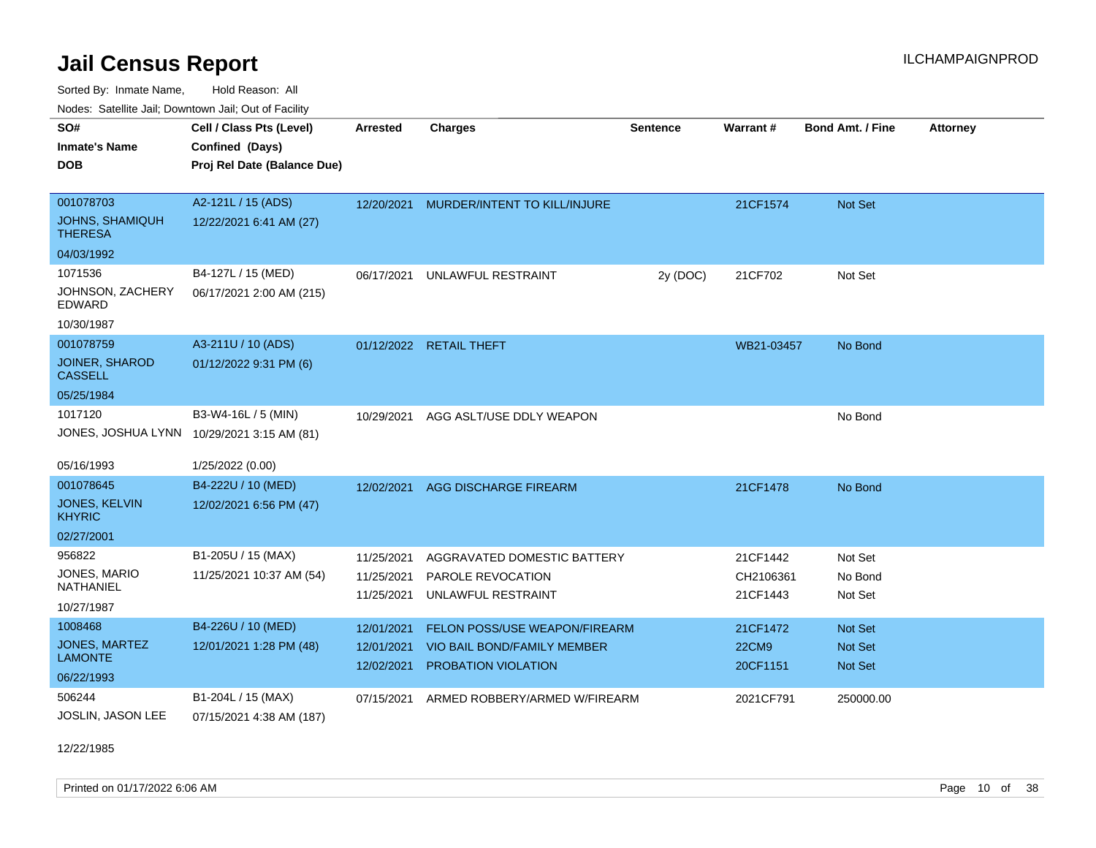**CEL ATTA:** CHARGE **CHARGE AFTER CHARGE AFTER CHARGE ATT** 

Sorted By: Inmate Name, Hold Reason: All Nodes: Satellite Jail; Downtown Jail; Out of Facility

| Nodes: Satellite Jail; Downtown Jail; Out of Facility |                             |          |                |  |  |  |  |
|-------------------------------------------------------|-----------------------------|----------|----------------|--|--|--|--|
| SO#                                                   | Cell / Class Pts (Level)    | Arrested | <b>Charges</b> |  |  |  |  |
| <b>Inmate's Name</b>                                  | <b>Confined (Days)</b>      |          |                |  |  |  |  |
| DOB                                                   | Proj Rel Date (Balance Due) |          |                |  |  |  |  |

| 001078703                                  | A2-121L / 15 (ADS)       | 12/20/2021               | MURDER/INTENT TO KILL/INJURE       |          | 21CF1574              | Not Set            |
|--------------------------------------------|--------------------------|--------------------------|------------------------------------|----------|-----------------------|--------------------|
| <b>JOHNS, SHAMIQUH</b><br><b>THERESA</b>   | 12/22/2021 6:41 AM (27)  |                          |                                    |          |                       |                    |
| 04/03/1992                                 |                          |                          |                                    |          |                       |                    |
| 1071536                                    | B4-127L / 15 (MED)       | 06/17/2021               | UNLAWFUL RESTRAINT                 | 2y (DOC) | 21CF702               | Not Set            |
| JOHNSON, ZACHERY<br>EDWARD                 | 06/17/2021 2:00 AM (215) |                          |                                    |          |                       |                    |
| 10/30/1987                                 |                          |                          |                                    |          |                       |                    |
| 001078759                                  | A3-211U / 10 (ADS)       |                          | 01/12/2022 RETAIL THEFT            |          | WB21-03457            | No Bond            |
| <b>JOINER, SHAROD</b><br><b>CASSELL</b>    | 01/12/2022 9:31 PM (6)   |                          |                                    |          |                       |                    |
| 05/25/1984                                 |                          |                          |                                    |          |                       |                    |
| 1017120                                    | B3-W4-16L / 5 (MIN)      | 10/29/2021               | AGG ASLT/USE DDLY WEAPON           |          |                       | No Bond            |
| JONES, JOSHUA LYNN 10/29/2021 3:15 AM (81) |                          |                          |                                    |          |                       |                    |
| 05/16/1993                                 | 1/25/2022 (0.00)         |                          |                                    |          |                       |                    |
| 001078645                                  | B4-222U / 10 (MED)       | 12/02/2021               | AGG DISCHARGE FIREARM              |          | 21CF1478              | No Bond            |
| JONES, KELVIN<br><b>KHYRIC</b>             | 12/02/2021 6:56 PM (47)  |                          |                                    |          |                       |                    |
| 02/27/2001                                 |                          |                          |                                    |          |                       |                    |
| 956822                                     | B1-205U / 15 (MAX)       | 11/25/2021               | AGGRAVATED DOMESTIC BATTERY        |          | 21CF1442              | Not Set            |
| JONES, MARIO<br>NATHANIEL                  | 11/25/2021 10:37 AM (54) | 11/25/2021<br>11/25/2021 | PAROLE REVOCATION                  |          | CH2106361<br>21CF1443 | No Bond<br>Not Set |
| 10/27/1987                                 |                          |                          | UNLAWFUL RESTRAINT                 |          |                       |                    |
| 1008468                                    | B4-226U / 10 (MED)       | 12/01/2021               | FELON POSS/USE WEAPON/FIREARM      |          | 21CF1472              | <b>Not Set</b>     |
| <b>JONES, MARTEZ</b>                       | 12/01/2021 1:28 PM (48)  | 12/01/2021               | <b>VIO BAIL BOND/FAMILY MEMBER</b> |          | <b>22CM9</b>          | <b>Not Set</b>     |
| <b>LAMONTE</b>                             |                          | 12/02/2021               | <b>PROBATION VIOLATION</b>         |          | 20CF1151              | <b>Not Set</b>     |
| 06/22/1993                                 |                          |                          |                                    |          |                       |                    |
| 506244                                     | B1-204L / 15 (MAX)       | 07/15/2021               | ARMED ROBBERY/ARMED W/FIREARM      |          | 2021CF791             | 250000.00          |
| JOSLIN, JASON LEE                          | 07/15/2021 4:38 AM (187) |                          |                                    |          |                       |                    |

**Sentence**

12/22/1985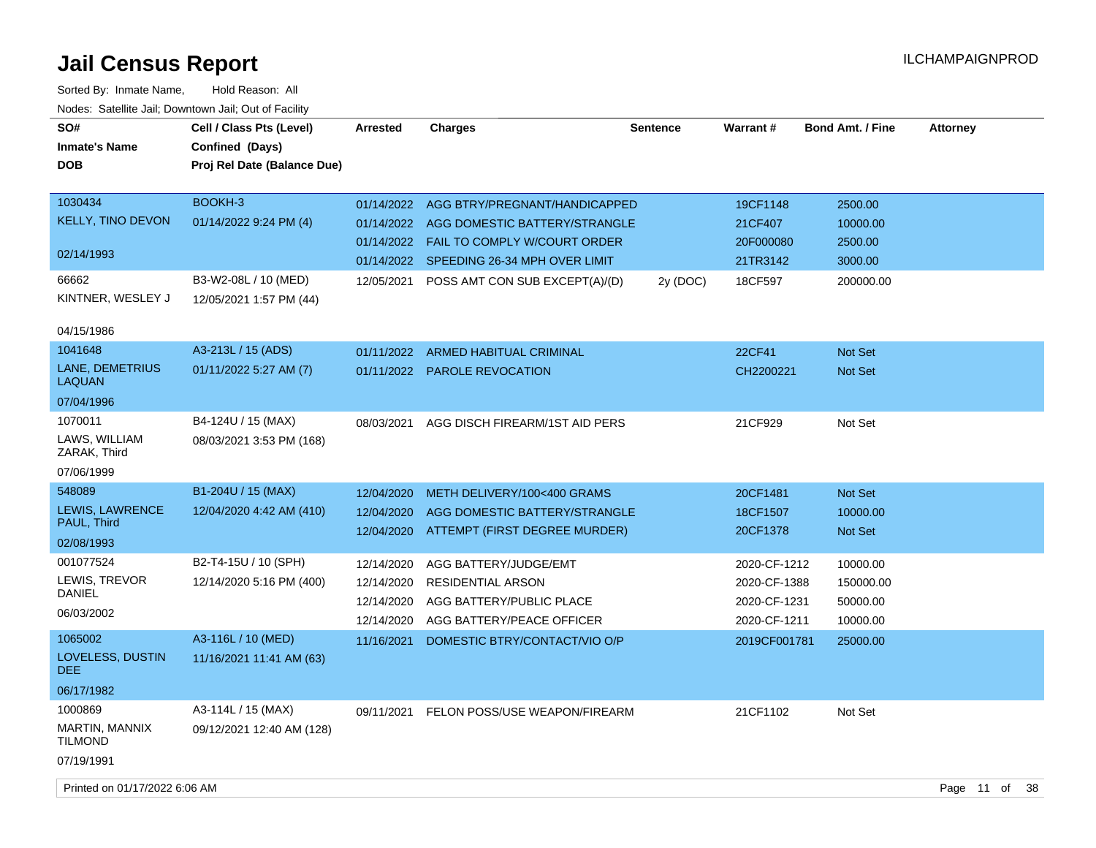| SO#<br><b>Inmate's Name</b><br><b>DOB</b> | Cell / Class Pts (Level)<br>Confined (Days)<br>Proj Rel Date (Balance Due) | <b>Arrested</b> | <b>Charges</b>                           | <b>Sentence</b> | <b>Warrant#</b> | <b>Bond Amt. / Fine</b> | <b>Attorney</b> |
|-------------------------------------------|----------------------------------------------------------------------------|-----------------|------------------------------------------|-----------------|-----------------|-------------------------|-----------------|
| 1030434                                   | BOOKH-3                                                                    | 01/14/2022      | AGG BTRY/PREGNANT/HANDICAPPED            |                 | 19CF1148        | 2500.00                 |                 |
| <b>KELLY, TINO DEVON</b>                  | 01/14/2022 9:24 PM (4)                                                     |                 | 01/14/2022 AGG DOMESTIC BATTERY/STRANGLE |                 | 21CF407         | 10000.00                |                 |
|                                           |                                                                            |                 | 01/14/2022  FAIL TO COMPLY W/COURT ORDER |                 | 20F000080       | 2500.00                 |                 |
| 02/14/1993                                |                                                                            |                 | 01/14/2022 SPEEDING 26-34 MPH OVER LIMIT |                 | 21TR3142        | 3000.00                 |                 |
| 66662                                     | B3-W2-08L / 10 (MED)                                                       | 12/05/2021      | POSS AMT CON SUB EXCEPT(A)/(D)           | 2y (DOC)        | 18CF597         | 200000.00               |                 |
| KINTNER, WESLEY J                         | 12/05/2021 1:57 PM (44)                                                    |                 |                                          |                 |                 |                         |                 |
| 04/15/1986                                |                                                                            |                 |                                          |                 |                 |                         |                 |
| 1041648                                   | A3-213L / 15 (ADS)                                                         | 01/11/2022      | ARMED HABITUAL CRIMINAL                  |                 | 22CF41          | <b>Not Set</b>          |                 |
| LANE, DEMETRIUS<br><b>LAQUAN</b>          | 01/11/2022 5:27 AM (7)                                                     |                 | 01/11/2022 PAROLE REVOCATION             |                 | CH2200221       | Not Set                 |                 |
| 07/04/1996                                |                                                                            |                 |                                          |                 |                 |                         |                 |
| 1070011                                   | B4-124U / 15 (MAX)                                                         | 08/03/2021      | AGG DISCH FIREARM/1ST AID PERS           |                 | 21CF929         | Not Set                 |                 |
| LAWS, WILLIAM<br>ZARAK, Third             | 08/03/2021 3:53 PM (168)                                                   |                 |                                          |                 |                 |                         |                 |
| 07/06/1999                                |                                                                            |                 |                                          |                 |                 |                         |                 |
| 548089                                    | B1-204U / 15 (MAX)                                                         | 12/04/2020      | METH DELIVERY/100<400 GRAMS              |                 | 20CF1481        | <b>Not Set</b>          |                 |
| LEWIS, LAWRENCE                           | 12/04/2020 4:42 AM (410)                                                   | 12/04/2020      | AGG DOMESTIC BATTERY/STRANGLE            |                 | 18CF1507        | 10000.00                |                 |
| PAUL, Third                               |                                                                            |                 | 12/04/2020 ATTEMPT (FIRST DEGREE MURDER) |                 | 20CF1378        | Not Set                 |                 |
| 02/08/1993                                |                                                                            |                 |                                          |                 |                 |                         |                 |
| 001077524                                 | B2-T4-15U / 10 (SPH)                                                       | 12/14/2020      | AGG BATTERY/JUDGE/EMT                    |                 | 2020-CF-1212    | 10000.00                |                 |
| LEWIS, TREVOR<br><b>DANIEL</b>            | 12/14/2020 5:16 PM (400)                                                   | 12/14/2020      | <b>RESIDENTIAL ARSON</b>                 |                 | 2020-CF-1388    | 150000.00               |                 |
| 06/03/2002                                |                                                                            | 12/14/2020      | AGG BATTERY/PUBLIC PLACE                 |                 | 2020-CF-1231    | 50000.00                |                 |
|                                           |                                                                            | 12/14/2020      | AGG BATTERY/PEACE OFFICER                |                 | 2020-CF-1211    | 10000.00                |                 |
| 1065002                                   | A3-116L / 10 (MED)                                                         | 11/16/2021      | DOMESTIC BTRY/CONTACT/VIO O/P            |                 | 2019CF001781    | 25000.00                |                 |
| LOVELESS, DUSTIN<br>DEE.                  | 11/16/2021 11:41 AM (63)                                                   |                 |                                          |                 |                 |                         |                 |
| 06/17/1982                                |                                                                            |                 |                                          |                 |                 |                         |                 |
| 1000869                                   | A3-114L / 15 (MAX)                                                         | 09/11/2021      | <b>FELON POSS/USE WEAPON/FIREARM</b>     |                 | 21CF1102        | Not Set                 |                 |
| MARTIN, MANNIX<br><b>TILMOND</b>          | 09/12/2021 12:40 AM (128)                                                  |                 |                                          |                 |                 |                         |                 |
| 07/19/1991                                |                                                                            |                 |                                          |                 |                 |                         |                 |
| Printed on 01/17/2022 6:06 AM             |                                                                            |                 |                                          |                 |                 |                         | Page 11 of 38   |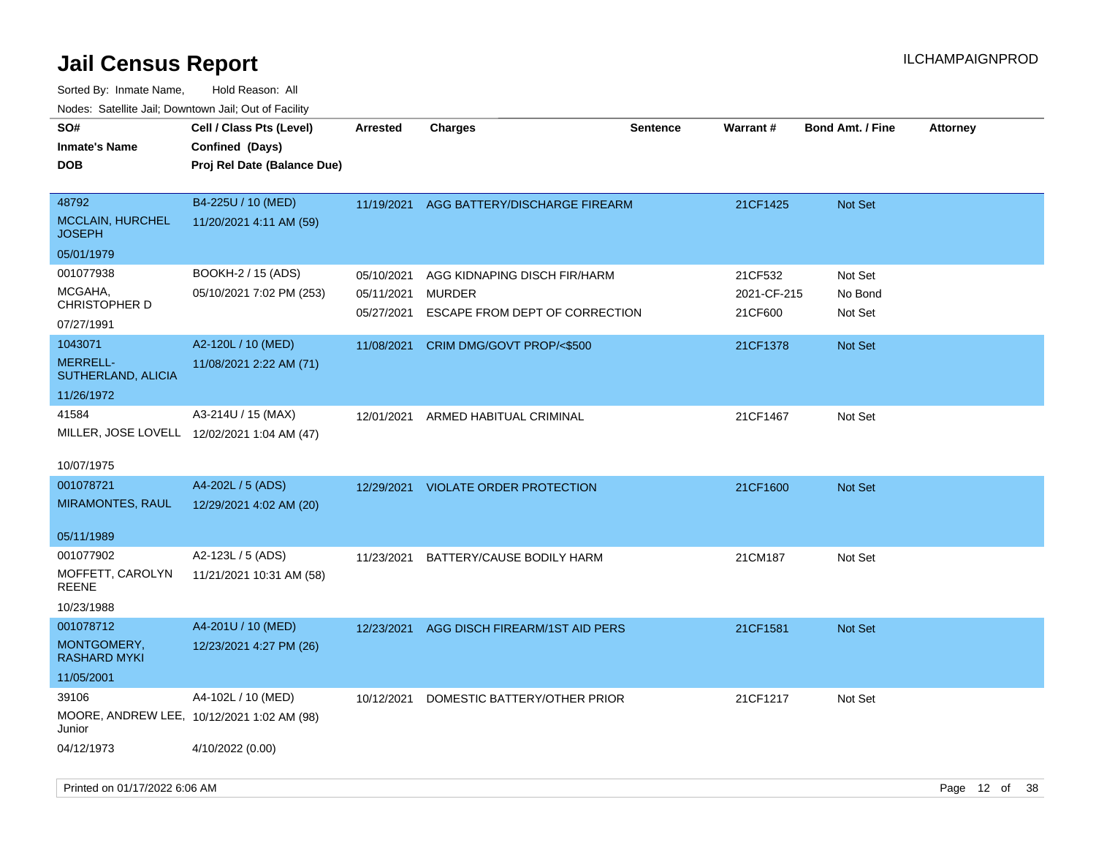| roaco. Catolino dall, Downtown dall, Out of Fability |                                                                            |                          |                                                 |                 |                        |                         |                 |
|------------------------------------------------------|----------------------------------------------------------------------------|--------------------------|-------------------------------------------------|-----------------|------------------------|-------------------------|-----------------|
| SO#<br><b>Inmate's Name</b><br><b>DOB</b>            | Cell / Class Pts (Level)<br>Confined (Days)<br>Proj Rel Date (Balance Due) | Arrested                 | <b>Charges</b>                                  | <b>Sentence</b> | <b>Warrant#</b>        | <b>Bond Amt. / Fine</b> | <b>Attorney</b> |
| 48792<br><b>MCCLAIN, HURCHEL</b><br><b>JOSEPH</b>    | B4-225U / 10 (MED)<br>11/20/2021 4:11 AM (59)                              | 11/19/2021               | AGG BATTERY/DISCHARGE FIREARM                   |                 | 21CF1425               | Not Set                 |                 |
| 05/01/1979                                           |                                                                            |                          |                                                 |                 |                        |                         |                 |
| 001077938                                            | BOOKH-2 / 15 (ADS)                                                         | 05/10/2021               | AGG KIDNAPING DISCH FIR/HARM                    |                 | 21CF532                | Not Set                 |                 |
| MCGAHA,<br>CHRISTOPHER D                             | 05/10/2021 7:02 PM (253)                                                   | 05/11/2021<br>05/27/2021 | <b>MURDER</b><br>ESCAPE FROM DEPT OF CORRECTION |                 | 2021-CF-215<br>21CF600 | No Bond<br>Not Set      |                 |
| 07/27/1991                                           |                                                                            |                          |                                                 |                 |                        |                         |                 |
| 1043071                                              | A2-120L / 10 (MED)                                                         | 11/08/2021               | CRIM DMG/GOVT PROP/<\$500                       |                 | 21CF1378               | Not Set                 |                 |
| <b>MERRELL-</b><br>SUTHERLAND, ALICIA                | 11/08/2021 2:22 AM (71)                                                    |                          |                                                 |                 |                        |                         |                 |
| 11/26/1972                                           |                                                                            |                          |                                                 |                 |                        |                         |                 |
| 41584                                                | A3-214U / 15 (MAX)                                                         | 12/01/2021               | ARMED HABITUAL CRIMINAL                         |                 | 21CF1467               | Not Set                 |                 |
|                                                      | MILLER, JOSE LOVELL 12/02/2021 1:04 AM (47)                                |                          |                                                 |                 |                        |                         |                 |
| 10/07/1975                                           |                                                                            |                          |                                                 |                 |                        |                         |                 |
| 001078721                                            | A4-202L / 5 (ADS)                                                          |                          | 12/29/2021 VIOLATE ORDER PROTECTION             |                 | 21CF1600               | <b>Not Set</b>          |                 |
| <b>MIRAMONTES, RAUL</b>                              | 12/29/2021 4:02 AM (20)                                                    |                          |                                                 |                 |                        |                         |                 |
| 05/11/1989                                           |                                                                            |                          |                                                 |                 |                        |                         |                 |
| 001077902                                            | A2-123L / 5 (ADS)                                                          | 11/23/2021               | BATTERY/CAUSE BODILY HARM                       |                 | 21CM187                | Not Set                 |                 |
| MOFFETT, CAROLYN<br><b>REENE</b>                     | 11/21/2021 10:31 AM (58)                                                   |                          |                                                 |                 |                        |                         |                 |
| 10/23/1988                                           |                                                                            |                          |                                                 |                 |                        |                         |                 |
| 001078712                                            | A4-201U / 10 (MED)                                                         | 12/23/2021               | AGG DISCH FIREARM/1ST AID PERS                  |                 | 21CF1581               | <b>Not Set</b>          |                 |
| MONTGOMERY,<br>RASHARD MYKI                          | 12/23/2021 4:27 PM (26)                                                    |                          |                                                 |                 |                        |                         |                 |
| 11/05/2001                                           |                                                                            |                          |                                                 |                 |                        |                         |                 |
| 39106                                                | A4-102L / 10 (MED)                                                         | 10/12/2021               | DOMESTIC BATTERY/OTHER PRIOR                    |                 | 21CF1217               | Not Set                 |                 |
| Junior                                               | MOORE, ANDREW LEE, 10/12/2021 1:02 AM (98)                                 |                          |                                                 |                 |                        |                         |                 |
| 04/12/1973                                           | 4/10/2022 (0.00)                                                           |                          |                                                 |                 |                        |                         |                 |
|                                                      |                                                                            |                          |                                                 |                 |                        |                         |                 |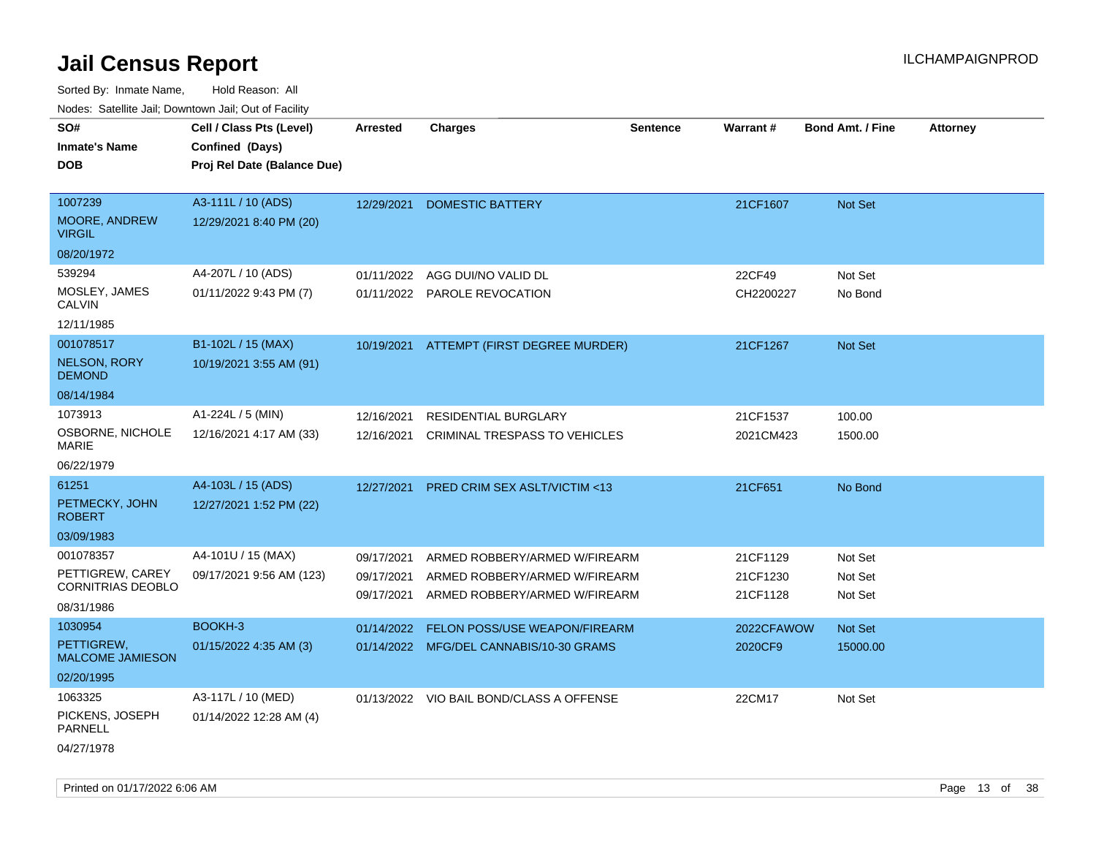| Noues. Salenne Jan, Downlown Jan, Out or Facility |                             |            |                                          |          |            |                         |                 |
|---------------------------------------------------|-----------------------------|------------|------------------------------------------|----------|------------|-------------------------|-----------------|
| SO#                                               | Cell / Class Pts (Level)    | Arrested   | <b>Charges</b>                           | Sentence | Warrant#   | <b>Bond Amt. / Fine</b> | <b>Attorney</b> |
| <b>Inmate's Name</b>                              | Confined (Days)             |            |                                          |          |            |                         |                 |
| <b>DOB</b>                                        | Proj Rel Date (Balance Due) |            |                                          |          |            |                         |                 |
|                                                   |                             |            |                                          |          |            |                         |                 |
| 1007239                                           | A3-111L / 10 (ADS)          | 12/29/2021 | <b>DOMESTIC BATTERY</b>                  |          | 21CF1607   | Not Set                 |                 |
| <b>MOORE, ANDREW</b><br><b>VIRGIL</b>             | 12/29/2021 8:40 PM (20)     |            |                                          |          |            |                         |                 |
| 08/20/1972                                        |                             |            |                                          |          |            |                         |                 |
| 539294                                            | A4-207L / 10 (ADS)          | 01/11/2022 | AGG DUI/NO VALID DL                      |          | 22CF49     | Not Set                 |                 |
| MOSLEY, JAMES<br>CALVIN                           | 01/11/2022 9:43 PM (7)      | 01/11/2022 | <b>PAROLE REVOCATION</b>                 |          | CH2200227  | No Bond                 |                 |
| 12/11/1985                                        |                             |            |                                          |          |            |                         |                 |
| 001078517                                         | B1-102L / 15 (MAX)          | 10/19/2021 | ATTEMPT (FIRST DEGREE MURDER)            |          | 21CF1267   | Not Set                 |                 |
| <b>NELSON, RORY</b><br><b>DEMOND</b>              | 10/19/2021 3:55 AM (91)     |            |                                          |          |            |                         |                 |
| 08/14/1984                                        |                             |            |                                          |          |            |                         |                 |
| 1073913                                           | $A1-224L / 5$ (MIN)         | 12/16/2021 | RESIDENTIAL BURGLARY                     |          | 21CF1537   | 100.00                  |                 |
| OSBORNE, NICHOLE<br>MARIE                         | 12/16/2021 4:17 AM (33)     | 12/16/2021 | CRIMINAL TRESPASS TO VEHICLES            |          | 2021CM423  | 1500.00                 |                 |
| 06/22/1979                                        |                             |            |                                          |          |            |                         |                 |
| 61251                                             | A4-103L / 15 (ADS)          | 12/27/2021 | PRED CRIM SEX ASLT/VICTIM <13            |          | 21CF651    | No Bond                 |                 |
| PETMECKY, JOHN<br><b>ROBERT</b>                   | 12/27/2021 1:52 PM (22)     |            |                                          |          |            |                         |                 |
| 03/09/1983                                        |                             |            |                                          |          |            |                         |                 |
| 001078357                                         | A4-101U / 15 (MAX)          | 09/17/2021 | ARMED ROBBERY/ARMED W/FIREARM            |          | 21CF1129   | Not Set                 |                 |
| PETTIGREW, CAREY                                  | 09/17/2021 9:56 AM (123)    | 09/17/2021 | ARMED ROBBERY/ARMED W/FIREARM            |          | 21CF1230   | Not Set                 |                 |
| <b>CORNITRIAS DEOBLO</b>                          |                             | 09/17/2021 | ARMED ROBBERY/ARMED W/FIREARM            |          | 21CF1128   | Not Set                 |                 |
| 08/31/1986                                        |                             |            |                                          |          |            |                         |                 |
| 1030954                                           | BOOKH-3                     | 01/14/2022 | <b>FELON POSS/USE WEAPON/FIREARM</b>     |          | 2022CFAWOW | Not Set                 |                 |
| PETTIGREW,<br><b>MALCOME JAMIESON</b>             | 01/15/2022 4:35 AM (3)      |            | 01/14/2022 MFG/DEL CANNABIS/10-30 GRAMS  |          | 2020CF9    | 15000.00                |                 |
| 02/20/1995                                        |                             |            |                                          |          |            |                         |                 |
| 1063325                                           | A3-117L / 10 (MED)          |            | 01/13/2022 VIO BAIL BOND/CLASS A OFFENSE |          | 22CM17     | Not Set                 |                 |
| PICKENS, JOSEPH<br>PARNELL                        | 01/14/2022 12:28 AM (4)     |            |                                          |          |            |                         |                 |
| 04/27/1978                                        |                             |            |                                          |          |            |                         |                 |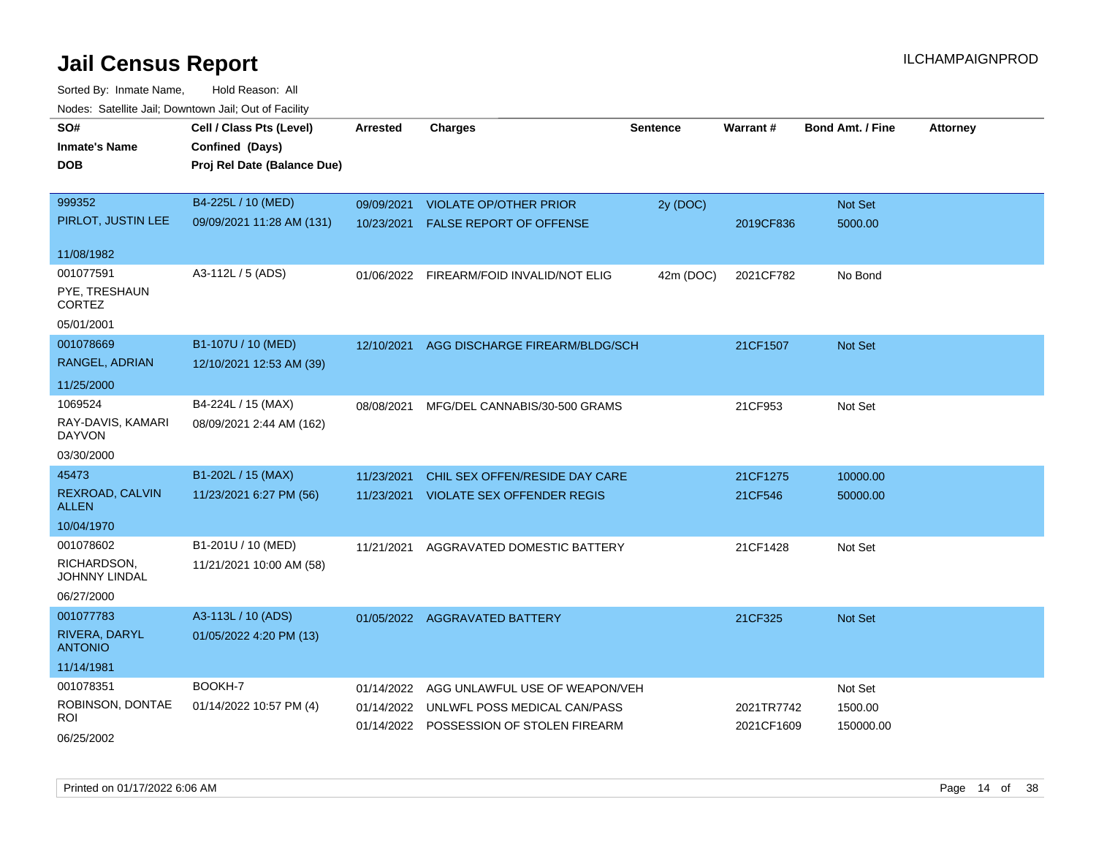| SO#<br><b>Inmate's Name</b><br><b>DOB</b>     | Cell / Class Pts (Level)<br>Confined (Days)<br>Proj Rel Date (Balance Due) | <b>Arrested</b> | <b>Charges</b>                                                          | <b>Sentence</b> | <b>Warrant#</b>          | <b>Bond Amt. / Fine</b> | <b>Attorney</b> |
|-----------------------------------------------|----------------------------------------------------------------------------|-----------------|-------------------------------------------------------------------------|-----------------|--------------------------|-------------------------|-----------------|
| 999352<br>PIRLOT, JUSTIN LEE                  | B4-225L / 10 (MED)                                                         | 09/09/2021      | <b>VIOLATE OP/OTHER PRIOR</b>                                           | 2y (DOC)        |                          | Not Set                 |                 |
|                                               | 09/09/2021 11:28 AM (131)                                                  | 10/23/2021      | FALSE REPORT OF OFFENSE                                                 |                 | 2019CF836                | 5000.00                 |                 |
| 11/08/1982                                    |                                                                            |                 |                                                                         |                 |                          |                         |                 |
| 001077591<br>PYE, TRESHAUN<br><b>CORTEZ</b>   | A3-112L / 5 (ADS)                                                          |                 | 01/06/2022 FIREARM/FOID INVALID/NOT ELIG                                | 42m (DOC)       | 2021CF782                | No Bond                 |                 |
| 05/01/2001                                    |                                                                            |                 |                                                                         |                 |                          |                         |                 |
| 001078669<br>RANGEL, ADRIAN                   | B1-107U / 10 (MED)<br>12/10/2021 12:53 AM (39)                             | 12/10/2021      | AGG DISCHARGE FIREARM/BLDG/SCH                                          |                 | 21CF1507                 | <b>Not Set</b>          |                 |
| 11/25/2000                                    |                                                                            |                 |                                                                         |                 |                          |                         |                 |
| 1069524<br>RAY-DAVIS, KAMARI<br><b>DAYVON</b> | B4-224L / 15 (MAX)<br>08/09/2021 2:44 AM (162)                             | 08/08/2021      | MFG/DEL CANNABIS/30-500 GRAMS                                           |                 | 21CF953                  | Not Set                 |                 |
| 03/30/2000                                    |                                                                            |                 |                                                                         |                 |                          |                         |                 |
| 45473                                         | B1-202L / 15 (MAX)                                                         | 11/23/2021      | CHIL SEX OFFEN/RESIDE DAY CARE                                          |                 | 21CF1275                 | 10000.00                |                 |
| REXROAD, CALVIN<br><b>ALLEN</b>               | 11/23/2021 6:27 PM (56)                                                    | 11/23/2021      | <b>VIOLATE SEX OFFENDER REGIS</b>                                       |                 | 21CF546                  | 50000.00                |                 |
| 10/04/1970                                    |                                                                            |                 |                                                                         |                 |                          |                         |                 |
| 001078602                                     | B1-201U / 10 (MED)                                                         | 11/21/2021      | AGGRAVATED DOMESTIC BATTERY                                             |                 | 21CF1428                 | Not Set                 |                 |
| RICHARDSON,<br>JOHNNY LINDAL                  | 11/21/2021 10:00 AM (58)                                                   |                 |                                                                         |                 |                          |                         |                 |
| 06/27/2000                                    |                                                                            |                 |                                                                         |                 |                          |                         |                 |
| 001077783                                     | A3-113L / 10 (ADS)                                                         |                 | 01/05/2022 AGGRAVATED BATTERY                                           |                 | 21CF325                  | Not Set                 |                 |
| RIVERA, DARYL<br><b>ANTONIO</b>               | 01/05/2022 4:20 PM (13)                                                    |                 |                                                                         |                 |                          |                         |                 |
| 11/14/1981                                    |                                                                            |                 |                                                                         |                 |                          |                         |                 |
| 001078351                                     | BOOKH-7                                                                    | 01/14/2022      | AGG UNLAWFUL USE OF WEAPON/VEH                                          |                 |                          | Not Set                 |                 |
| ROBINSON, DONTAE<br>ROI                       | 01/14/2022 10:57 PM (4)                                                    | 01/14/2022      | UNLWFL POSS MEDICAL CAN/PASS<br>01/14/2022 POSSESSION OF STOLEN FIREARM |                 | 2021TR7742<br>2021CF1609 | 1500.00<br>150000.00    |                 |
| 06/25/2002                                    |                                                                            |                 |                                                                         |                 |                          |                         |                 |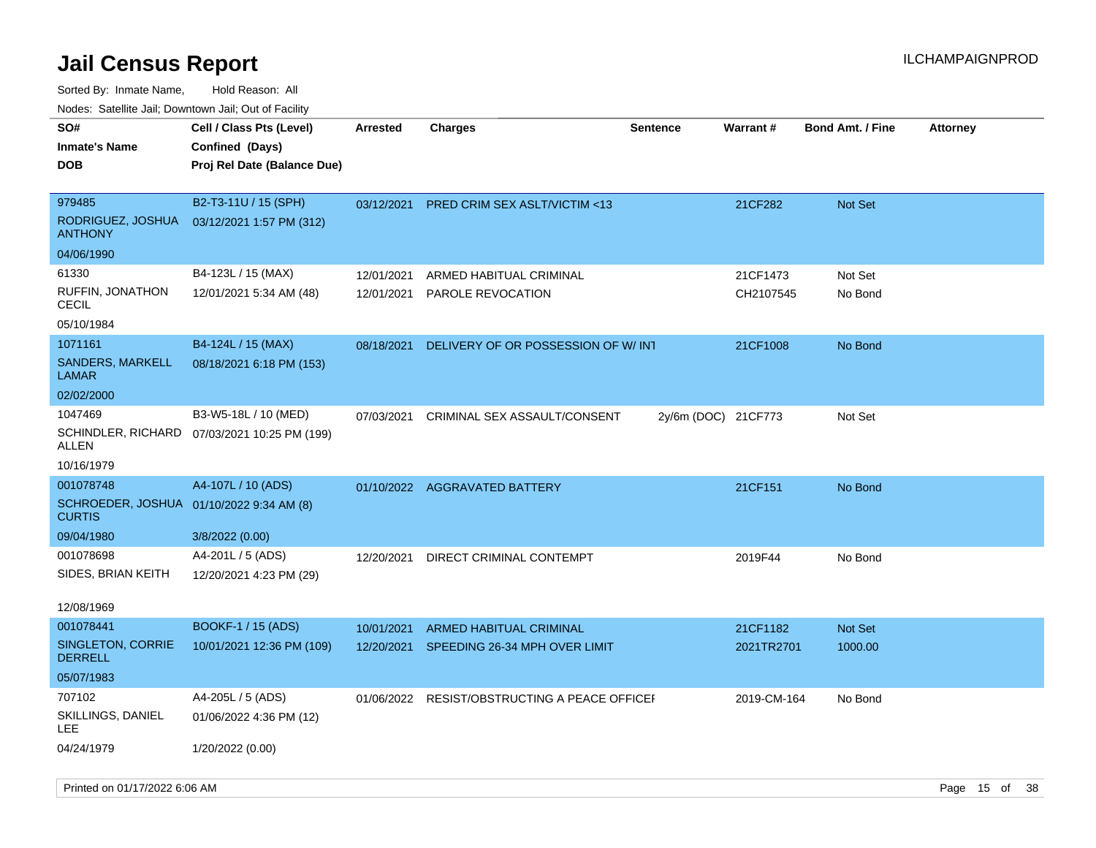Sorted By: Inmate Name, Hold Reason: All Nodes: Satellite Jail; Downtown Jail; Out of Facility

| ivuuto. Galeinle Jan, Downlown Jan, Oul of Facility       |                                              |                 |                                               |                     |             |                         |                 |
|-----------------------------------------------------------|----------------------------------------------|-----------------|-----------------------------------------------|---------------------|-------------|-------------------------|-----------------|
| SO#                                                       | Cell / Class Pts (Level)                     | <b>Arrested</b> | <b>Charges</b>                                | <b>Sentence</b>     | Warrant#    | <b>Bond Amt. / Fine</b> | <b>Attorney</b> |
| <b>Inmate's Name</b>                                      | Confined (Days)                              |                 |                                               |                     |             |                         |                 |
| <b>DOB</b>                                                | Proj Rel Date (Balance Due)                  |                 |                                               |                     |             |                         |                 |
|                                                           |                                              |                 |                                               |                     |             |                         |                 |
| 979485                                                    | B2-T3-11U / 15 (SPH)                         | 03/12/2021      | PRED CRIM SEX ASLT/VICTIM <13                 |                     | 21CF282     | Not Set                 |                 |
| RODRIGUEZ, JOSHUA<br><b>ANTHONY</b>                       | 03/12/2021 1:57 PM (312)                     |                 |                                               |                     |             |                         |                 |
| 04/06/1990                                                |                                              |                 |                                               |                     |             |                         |                 |
| 61330                                                     | B4-123L / 15 (MAX)                           | 12/01/2021      | ARMED HABITUAL CRIMINAL                       |                     | 21CF1473    | Not Set                 |                 |
| RUFFIN, JONATHON<br><b>CECIL</b>                          | 12/01/2021 5:34 AM (48)                      |                 | 12/01/2021 PAROLE REVOCATION                  |                     | CH2107545   | No Bond                 |                 |
| 05/10/1984                                                |                                              |                 |                                               |                     |             |                         |                 |
| 1071161                                                   | B4-124L / 15 (MAX)                           | 08/18/2021      | DELIVERY OF OR POSSESSION OF W/INT            |                     | 21CF1008    | No Bond                 |                 |
| <b>SANDERS, MARKELL</b><br><b>LAMAR</b>                   | 08/18/2021 6:18 PM (153)                     |                 |                                               |                     |             |                         |                 |
| 02/02/2000                                                |                                              |                 |                                               |                     |             |                         |                 |
| 1047469                                                   | B3-W5-18L / 10 (MED)                         | 07/03/2021      | CRIMINAL SEX ASSAULT/CONSENT                  | 2y/6m (DOC) 21CF773 |             | Not Set                 |                 |
| ALLEN                                                     | SCHINDLER, RICHARD 07/03/2021 10:25 PM (199) |                 |                                               |                     |             |                         |                 |
| 10/16/1979                                                |                                              |                 |                                               |                     |             |                         |                 |
| 001078748                                                 | A4-107L / 10 (ADS)                           |                 | 01/10/2022 AGGRAVATED BATTERY                 |                     | 21CF151     | No Bond                 |                 |
| SCHROEDER, JOSHUA 01/10/2022 9:34 AM (8)<br><b>CURTIS</b> |                                              |                 |                                               |                     |             |                         |                 |
| 09/04/1980                                                | 3/8/2022 (0.00)                              |                 |                                               |                     |             |                         |                 |
| 001078698                                                 | A4-201L / 5 (ADS)                            | 12/20/2021      | DIRECT CRIMINAL CONTEMPT                      |                     | 2019F44     | No Bond                 |                 |
| SIDES, BRIAN KEITH                                        | 12/20/2021 4:23 PM (29)                      |                 |                                               |                     |             |                         |                 |
|                                                           |                                              |                 |                                               |                     |             |                         |                 |
| 12/08/1969                                                |                                              |                 |                                               |                     |             |                         |                 |
| 001078441                                                 | BOOKF-1 / 15 (ADS)                           | 10/01/2021      | <b>ARMED HABITUAL CRIMINAL</b>                |                     | 21CF1182    | <b>Not Set</b>          |                 |
| <b>SINGLETON, CORRIE</b><br><b>DERRELL</b>                | 10/01/2021 12:36 PM (109)                    |                 | 12/20/2021 SPEEDING 26-34 MPH OVER LIMIT      |                     | 2021TR2701  | 1000.00                 |                 |
| 05/07/1983                                                |                                              |                 |                                               |                     |             |                         |                 |
| 707102                                                    | A4-205L / 5 (ADS)                            |                 | 01/06/2022 RESIST/OBSTRUCTING A PEACE OFFICEI |                     | 2019-CM-164 | No Bond                 |                 |
| SKILLINGS, DANIEL<br>LEE                                  | 01/06/2022 4:36 PM (12)                      |                 |                                               |                     |             |                         |                 |
| 04/24/1979                                                | 1/20/2022 (0.00)                             |                 |                                               |                     |             |                         |                 |

Printed on 01/17/2022 6:06 AM Page 15 of 38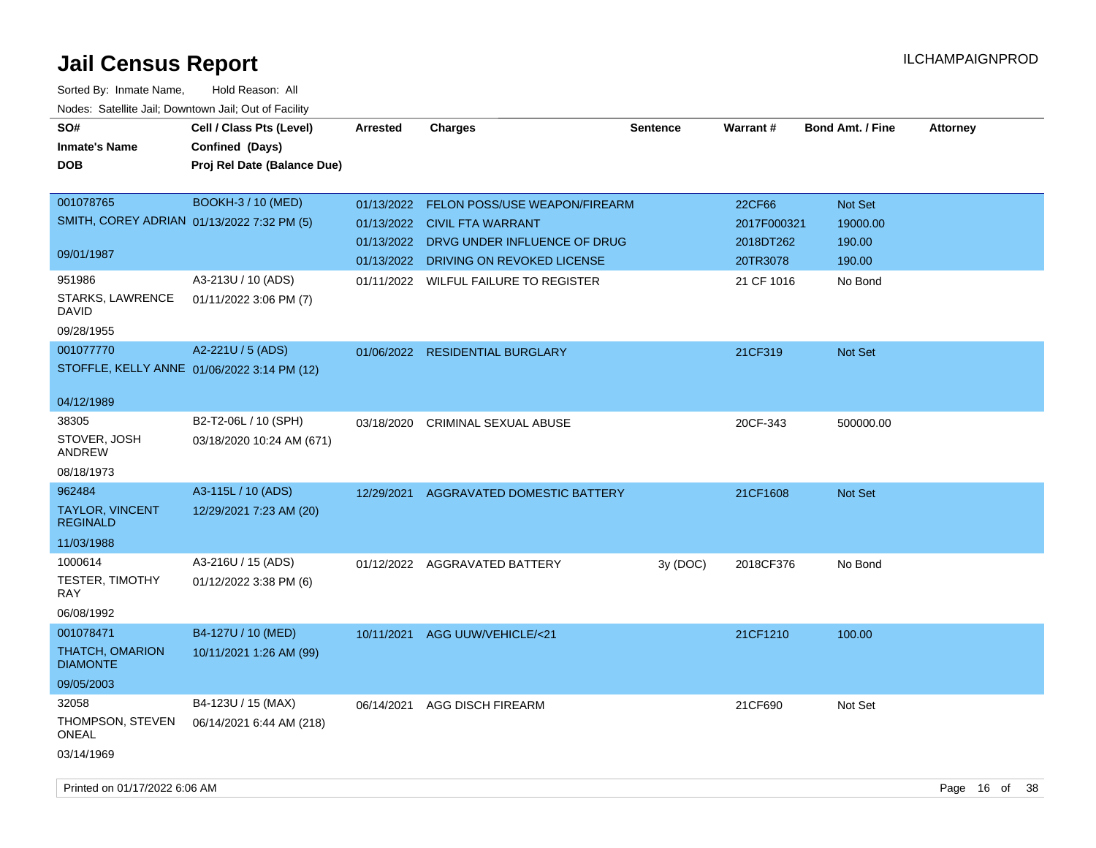| SO#<br><b>Inmate's Name</b><br><b>DOB</b>                             | Cell / Class Pts (Level)<br>Confined (Days)<br>Proj Rel Date (Balance Due) | <b>Arrested</b>          | <b>Charges</b>                                                                                                                         | <b>Sentence</b> | Warrant#                                       | <b>Bond Amt. / Fine</b>                 | <b>Attorney</b> |
|-----------------------------------------------------------------------|----------------------------------------------------------------------------|--------------------------|----------------------------------------------------------------------------------------------------------------------------------------|-----------------|------------------------------------------------|-----------------------------------------|-----------------|
| 001078765<br>SMITH, COREY ADRIAN 01/13/2022 7:32 PM (5)<br>09/01/1987 | <b>BOOKH-3 / 10 (MED)</b>                                                  | 01/13/2022<br>01/13/2022 | 01/13/2022 FELON POSS/USE WEAPON/FIREARM<br>01/13/2022 CIVIL FTA WARRANT<br>DRVG UNDER INFLUENCE OF DRUG<br>DRIVING ON REVOKED LICENSE |                 | 22CF66<br>2017F000321<br>2018DT262<br>20TR3078 | Not Set<br>19000.00<br>190.00<br>190.00 |                 |
| 951986<br>STARKS, LAWRENCE<br><b>DAVID</b><br>09/28/1955              | A3-213U / 10 (ADS)<br>01/11/2022 3:06 PM (7)                               |                          | 01/11/2022 WILFUL FAILURE TO REGISTER                                                                                                  |                 | 21 CF 1016                                     | No Bond                                 |                 |
| 001077770<br>STOFFLE, KELLY ANNE 01/06/2022 3:14 PM (12)              | A2-221U / 5 (ADS)                                                          |                          | 01/06/2022 RESIDENTIAL BURGLARY                                                                                                        |                 | 21CF319                                        | Not Set                                 |                 |
| 04/12/1989<br>38305<br>STOVER, JOSH<br>ANDREW<br>08/18/1973           | B2-T2-06L / 10 (SPH)<br>03/18/2020 10:24 AM (671)                          | 03/18/2020               | <b>CRIMINAL SEXUAL ABUSE</b>                                                                                                           |                 | 20CF-343                                       | 500000.00                               |                 |
| 962484<br>TAYLOR, VINCENT<br><b>REGINALD</b><br>11/03/1988            | A3-115L / 10 (ADS)<br>12/29/2021 7:23 AM (20)                              | 12/29/2021               | AGGRAVATED DOMESTIC BATTERY                                                                                                            |                 | 21CF1608                                       | Not Set                                 |                 |
| 1000614<br>TESTER, TIMOTHY<br><b>RAY</b><br>06/08/1992                | A3-216U / 15 (ADS)<br>01/12/2022 3:38 PM (6)                               |                          | 01/12/2022 AGGRAVATED BATTERY                                                                                                          | 3y (DOC)        | 2018CF376                                      | No Bond                                 |                 |
| 001078471<br>THATCH, OMARION<br><b>DIAMONTE</b><br>09/05/2003         | B4-127U / 10 (MED)<br>10/11/2021 1:26 AM (99)                              | 10/11/2021               | AGG UUW/VEHICLE/<21                                                                                                                    |                 | 21CF1210                                       | 100.00                                  |                 |
| 32058<br>THOMPSON, STEVEN<br><b>ONEAL</b><br>03/14/1969               | B4-123U / 15 (MAX)<br>06/14/2021 6:44 AM (218)                             | 06/14/2021               | <b>AGG DISCH FIREARM</b>                                                                                                               |                 | 21CF690                                        | Not Set                                 |                 |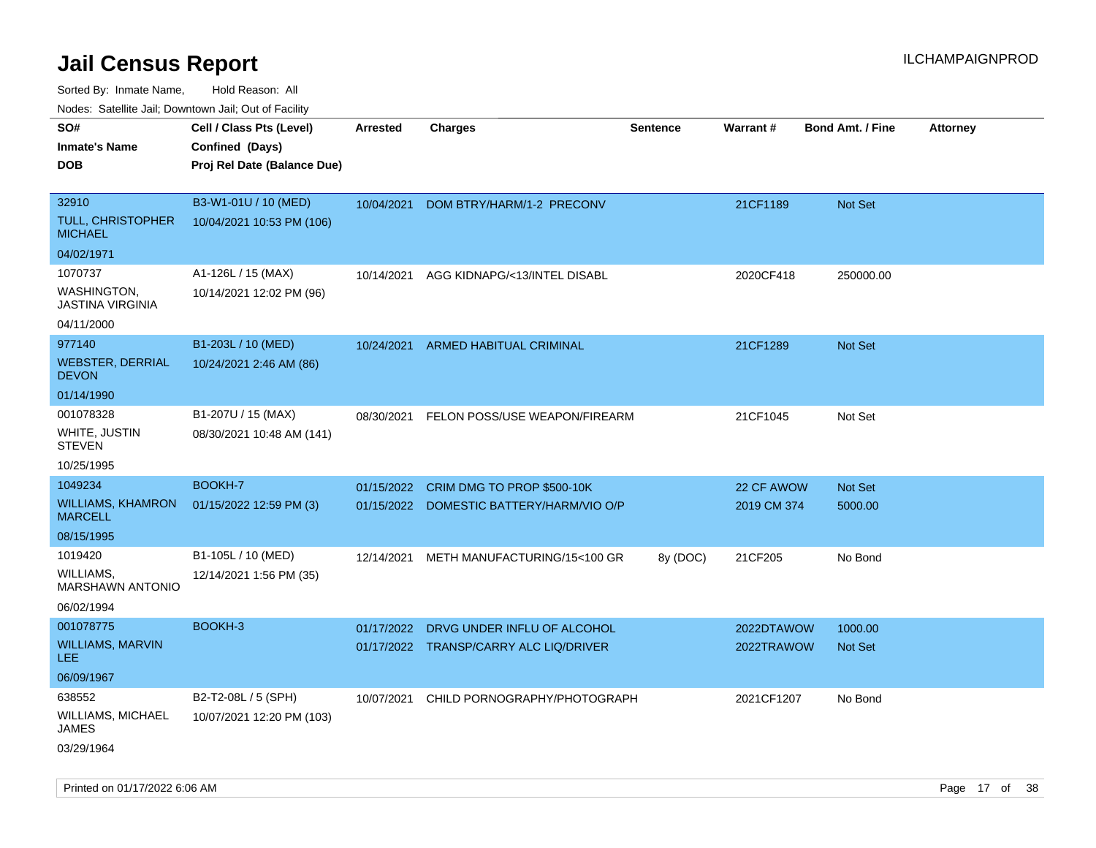Sorted By: Inmate Name, Hold Reason: All

Nodes: Satellite Jail; Downtown Jail; Out of Facility

| rougs. Calcing Jan, Downtown Jan, Out of Facility |                                                                            |                 |                                          |                 |             |                         |                 |
|---------------------------------------------------|----------------------------------------------------------------------------|-----------------|------------------------------------------|-----------------|-------------|-------------------------|-----------------|
| SO#<br><b>Inmate's Name</b><br><b>DOB</b>         | Cell / Class Pts (Level)<br>Confined (Days)<br>Proj Rel Date (Balance Due) | <b>Arrested</b> | <b>Charges</b>                           | <b>Sentence</b> | Warrant#    | <b>Bond Amt. / Fine</b> | <b>Attorney</b> |
| 32910<br>TULL, CHRISTOPHER<br><b>MICHAEL</b>      | B3-W1-01U / 10 (MED)<br>10/04/2021 10:53 PM (106)                          | 10/04/2021      | DOM BTRY/HARM/1-2 PRECONV                |                 | 21CF1189    | Not Set                 |                 |
| 04/02/1971                                        |                                                                            |                 |                                          |                 |             |                         |                 |
| 1070737<br>WASHINGTON,<br><b>JASTINA VIRGINIA</b> | A1-126L / 15 (MAX)<br>10/14/2021 12:02 PM (96)                             | 10/14/2021      | AGG KIDNAPG/<13/INTEL DISABL             |                 | 2020CF418   | 250000.00               |                 |
| 04/11/2000                                        |                                                                            |                 |                                          |                 |             |                         |                 |
| 977140<br><b>WEBSTER, DERRIAL</b><br><b>DEVON</b> | B1-203L / 10 (MED)<br>10/24/2021 2:46 AM (86)                              | 10/24/2021      | ARMED HABITUAL CRIMINAL                  |                 | 21CF1289    | Not Set                 |                 |
| 01/14/1990                                        |                                                                            |                 |                                          |                 |             |                         |                 |
| 001078328<br>WHITE, JUSTIN<br><b>STEVEN</b>       | B1-207U / 15 (MAX)<br>08/30/2021 10:48 AM (141)                            | 08/30/2021      | FELON POSS/USE WEAPON/FIREARM            |                 | 21CF1045    | Not Set                 |                 |
| 10/25/1995                                        |                                                                            |                 |                                          |                 |             |                         |                 |
| 1049234                                           | BOOKH-7                                                                    | 01/15/2022      | CRIM DMG TO PROP \$500-10K               |                 | 22 CF AWOW  | Not Set                 |                 |
| <b>WILLIAMS, KHAMRON</b><br><b>MARCELL</b>        | 01/15/2022 12:59 PM (3)                                                    |                 | 01/15/2022 DOMESTIC BATTERY/HARM/VIO O/P |                 | 2019 CM 374 | 5000.00                 |                 |
| 08/15/1995                                        |                                                                            |                 |                                          |                 |             |                         |                 |
| 1019420                                           | B1-105L / 10 (MED)                                                         | 12/14/2021      | METH MANUFACTURING/15<100 GR             | 8y (DOC)        | 21CF205     | No Bond                 |                 |
| WILLIAMS.<br>MARSHAWN ANTONIO                     | 12/14/2021 1:56 PM (35)                                                    |                 |                                          |                 |             |                         |                 |
| 06/02/1994                                        |                                                                            |                 |                                          |                 |             |                         |                 |
| 001078775                                         | BOOKH-3                                                                    | 01/17/2022      | DRVG UNDER INFLU OF ALCOHOL              |                 | 2022DTAWOW  | 1000.00                 |                 |
| WILLIAMS, MARVIN<br>LEE.                          |                                                                            |                 | 01/17/2022 TRANSP/CARRY ALC LIQ/DRIVER   |                 | 2022TRAWOW  | <b>Not Set</b>          |                 |
| 06/09/1967                                        |                                                                            |                 |                                          |                 |             |                         |                 |
| 638552                                            | B2-T2-08L / 5 (SPH)                                                        | 10/07/2021      | CHILD PORNOGRAPHY/PHOTOGRAPH             |                 | 2021CF1207  | No Bond                 |                 |
| WILLIAMS, MICHAEL<br>JAMES                        | 10/07/2021 12:20 PM (103)                                                  |                 |                                          |                 |             |                         |                 |
| 03/29/1964                                        |                                                                            |                 |                                          |                 |             |                         |                 |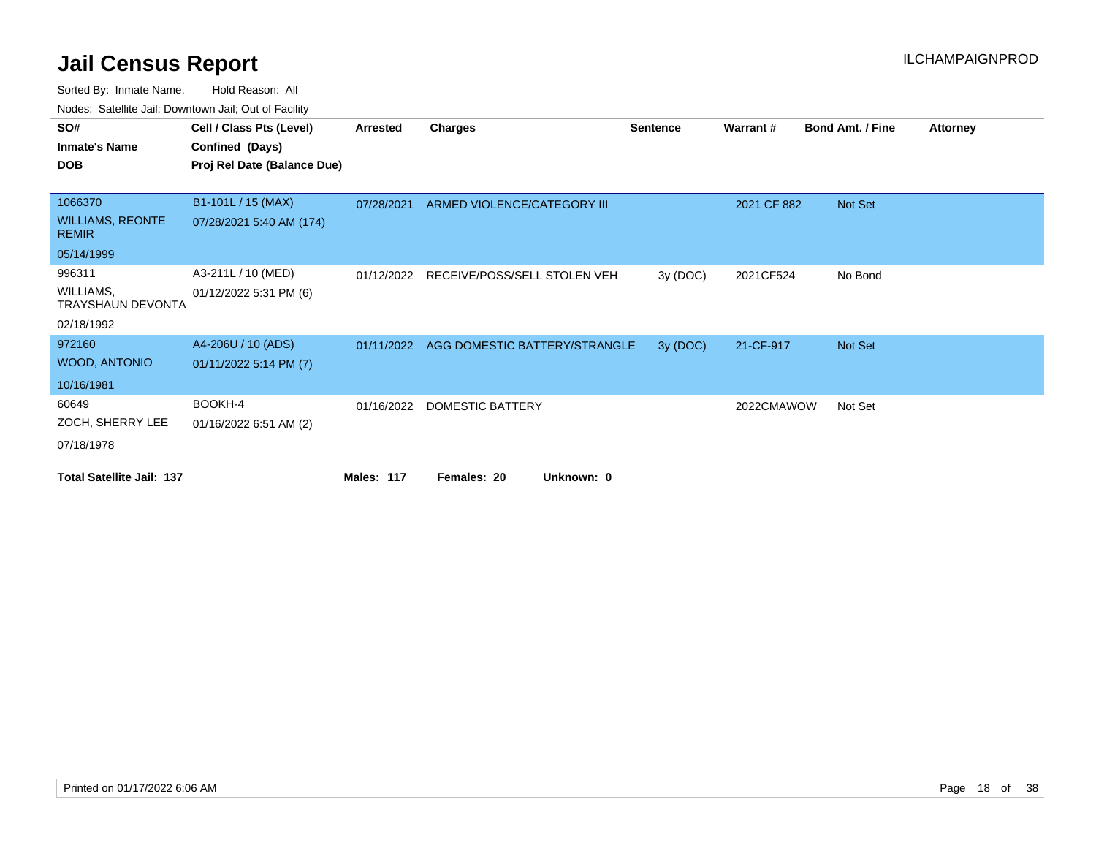| roaco. Calcillo call, Downtown call, Out of Facility |                             |                   |                               |                 |                 |                         |                 |
|------------------------------------------------------|-----------------------------|-------------------|-------------------------------|-----------------|-----------------|-------------------------|-----------------|
| SO#                                                  | Cell / Class Pts (Level)    | Arrested          | <b>Charges</b>                | <b>Sentence</b> | <b>Warrant#</b> | <b>Bond Amt. / Fine</b> | <b>Attorney</b> |
| <b>Inmate's Name</b>                                 | Confined (Days)             |                   |                               |                 |                 |                         |                 |
| <b>DOB</b>                                           | Proj Rel Date (Balance Due) |                   |                               |                 |                 |                         |                 |
|                                                      |                             |                   |                               |                 |                 |                         |                 |
| 1066370                                              | B1-101L / 15 (MAX)          | 07/28/2021        | ARMED VIOLENCE/CATEGORY III   |                 | 2021 CF 882     | Not Set                 |                 |
| <b>WILLIAMS, REONTE</b><br><b>REMIR</b>              | 07/28/2021 5:40 AM (174)    |                   |                               |                 |                 |                         |                 |
| 05/14/1999                                           |                             |                   |                               |                 |                 |                         |                 |
| 996311                                               | A3-211L / 10 (MED)          | 01/12/2022        | RECEIVE/POSS/SELL STOLEN VEH  | 3y (DOC)        | 2021CF524       | No Bond                 |                 |
| WILLIAMS,<br><b>TRAYSHAUN DEVONTA</b>                | 01/12/2022 5:31 PM (6)      |                   |                               |                 |                 |                         |                 |
| 02/18/1992                                           |                             |                   |                               |                 |                 |                         |                 |
| 972160                                               | A4-206U / 10 (ADS)          | 01/11/2022        | AGG DOMESTIC BATTERY/STRANGLE | 3y (DOC)        | 21-CF-917       | Not Set                 |                 |
| <b>WOOD, ANTONIO</b>                                 | 01/11/2022 5:14 PM (7)      |                   |                               |                 |                 |                         |                 |
| 10/16/1981                                           |                             |                   |                               |                 |                 |                         |                 |
| 60649                                                | BOOKH-4                     | 01/16/2022        | DOMESTIC BATTERY              |                 | 2022CMAWOW      | Not Set                 |                 |
| ZOCH, SHERRY LEE                                     | 01/16/2022 6:51 AM (2)      |                   |                               |                 |                 |                         |                 |
| 07/18/1978                                           |                             |                   |                               |                 |                 |                         |                 |
| <b>Total Satellite Jail: 137</b>                     |                             | <b>Males: 117</b> | Unknown: 0<br>Females: 20     |                 |                 |                         |                 |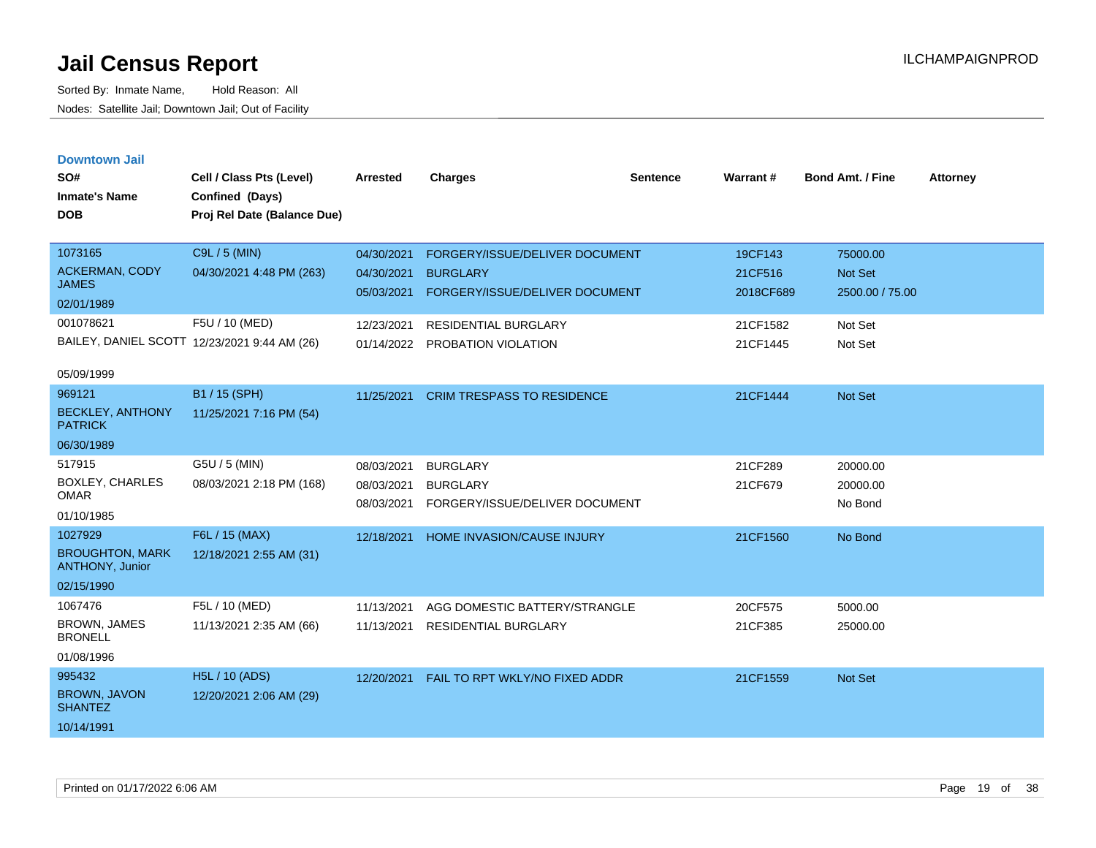| <b>Downtown Jail</b> |  |
|----------------------|--|
|                      |  |
|                      |  |

| SO#<br><b>Inmate's Name</b><br><b>DOB</b>                                   | Cell / Class Pts (Level)<br>Confined (Days)<br>Proj Rel Date (Balance Due) | <b>Arrested</b>                                      | <b>Charges</b>                                                                                                     | <b>Sentence</b> | <b>Warrant#</b>                             | <b>Bond Amt. / Fine</b>                                  | <b>Attorney</b> |
|-----------------------------------------------------------------------------|----------------------------------------------------------------------------|------------------------------------------------------|--------------------------------------------------------------------------------------------------------------------|-----------------|---------------------------------------------|----------------------------------------------------------|-----------------|
| 1073165<br><b>ACKERMAN, CODY</b><br><b>JAMES</b><br>02/01/1989<br>001078621 | C9L / 5 (MIN)<br>04/30/2021 4:48 PM (263)<br>F5U / 10 (MED)                | 04/30/2021<br>04/30/2021<br>05/03/2021<br>12/23/2021 | FORGERY/ISSUE/DELIVER DOCUMENT<br><b>BURGLARY</b><br>FORGERY/ISSUE/DELIVER DOCUMENT<br><b>RESIDENTIAL BURGLARY</b> |                 | 19CF143<br>21CF516<br>2018CF689<br>21CF1582 | 75000.00<br><b>Not Set</b><br>2500.00 / 75.00<br>Not Set |                 |
| 05/09/1999                                                                  | BAILEY, DANIEL SCOTT 12/23/2021 9:44 AM (26)                               | 01/14/2022                                           | PROBATION VIOLATION                                                                                                |                 | 21CF1445                                    | Not Set                                                  |                 |
| 969121<br><b>BECKLEY, ANTHONY</b><br><b>PATRICK</b><br>06/30/1989           | B1 / 15 (SPH)<br>11/25/2021 7:16 PM (54)                                   | 11/25/2021                                           | <b>CRIM TRESPASS TO RESIDENCE</b>                                                                                  |                 | 21CF1444                                    | <b>Not Set</b>                                           |                 |
| 517915<br><b>BOXLEY, CHARLES</b><br><b>OMAR</b><br>01/10/1985               | G5U / 5 (MIN)<br>08/03/2021 2:18 PM (168)                                  | 08/03/2021<br>08/03/2021<br>08/03/2021               | <b>BURGLARY</b><br><b>BURGLARY</b><br>FORGERY/ISSUE/DELIVER DOCUMENT                                               |                 | 21CF289<br>21CF679                          | 20000.00<br>20000.00<br>No Bond                          |                 |
| 1027929<br><b>BROUGHTON, MARK</b><br>ANTHONY, Junior<br>02/15/1990          | F6L / 15 (MAX)<br>12/18/2021 2:55 AM (31)                                  | 12/18/2021                                           | <b>HOME INVASION/CAUSE INJURY</b>                                                                                  |                 | 21CF1560                                    | No Bond                                                  |                 |
| 1067476<br>BROWN, JAMES<br><b>BRONELL</b><br>01/08/1996                     | F5L / 10 (MED)<br>11/13/2021 2:35 AM (66)                                  | 11/13/2021<br>11/13/2021                             | AGG DOMESTIC BATTERY/STRANGLE<br><b>RESIDENTIAL BURGLARY</b>                                                       |                 | 20CF575<br>21CF385                          | 5000.00<br>25000.00                                      |                 |
| 995432<br>BROWN, JAVON<br><b>SHANTEZ</b><br>10/14/1991                      | H5L / 10 (ADS)<br>12/20/2021 2:06 AM (29)                                  | 12/20/2021                                           | FAIL TO RPT WKLY/NO FIXED ADDR                                                                                     |                 | 21CF1559                                    | <b>Not Set</b>                                           |                 |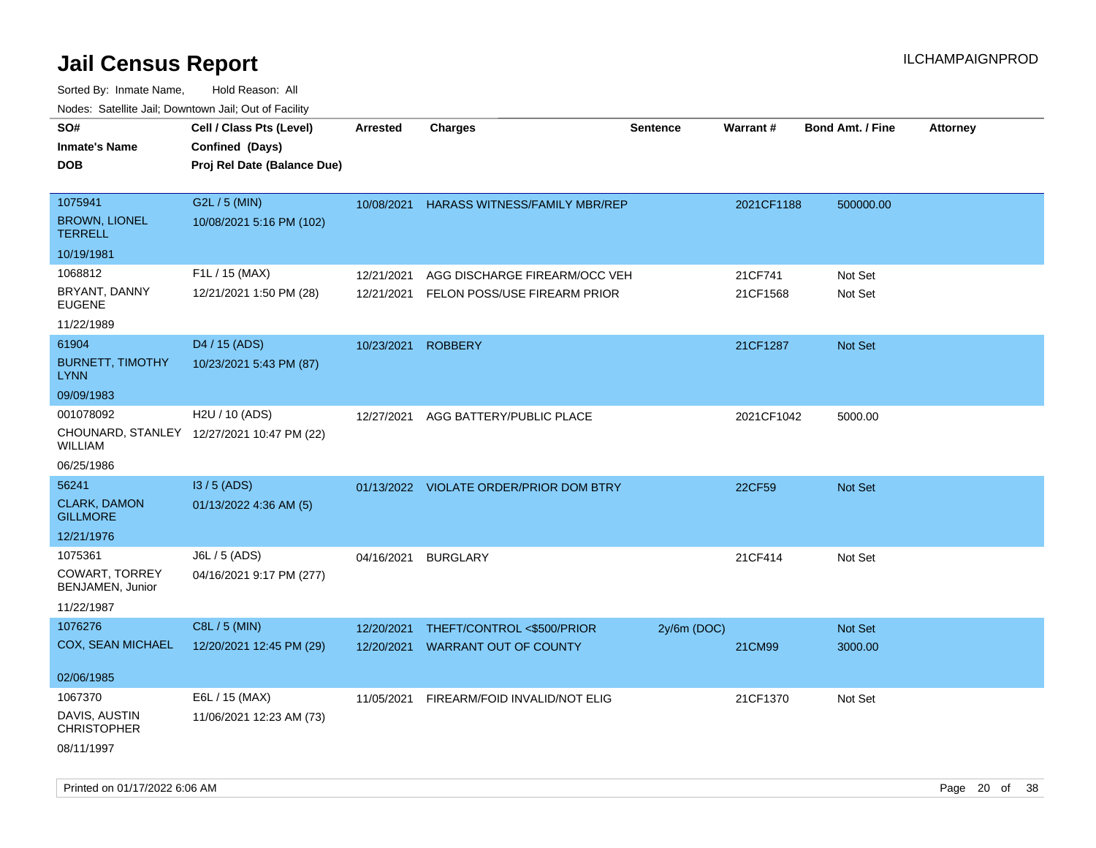| roaco. Calcinio dan, Downtown dan, Cal or Fability |                                            |                 |                                         |                 |                 |                         |                 |
|----------------------------------------------------|--------------------------------------------|-----------------|-----------------------------------------|-----------------|-----------------|-------------------------|-----------------|
| SO#                                                | Cell / Class Pts (Level)                   | <b>Arrested</b> | <b>Charges</b>                          | <b>Sentence</b> | <b>Warrant#</b> | <b>Bond Amt. / Fine</b> | <b>Attorney</b> |
| Inmate's Name                                      | Confined (Days)                            |                 |                                         |                 |                 |                         |                 |
| DOB                                                | Proj Rel Date (Balance Due)                |                 |                                         |                 |                 |                         |                 |
|                                                    |                                            |                 |                                         |                 |                 |                         |                 |
| 1075941                                            | G2L / 5 (MIN)                              | 10/08/2021      | <b>HARASS WITNESS/FAMILY MBR/REP</b>    |                 | 2021CF1188      | 500000.00               |                 |
| <b>BROWN, LIONEL</b><br>TERRELL                    | 10/08/2021 5:16 PM (102)                   |                 |                                         |                 |                 |                         |                 |
| 10/19/1981                                         |                                            |                 |                                         |                 |                 |                         |                 |
| 1068812                                            | F1L / 15 (MAX)                             | 12/21/2021      | AGG DISCHARGE FIREARM/OCC VEH           |                 | 21CF741         | Not Set                 |                 |
| BRYANT, DANNY<br><b>EUGENE</b>                     | 12/21/2021 1:50 PM (28)                    | 12/21/2021      | FELON POSS/USE FIREARM PRIOR            |                 | 21CF1568        | Not Set                 |                 |
| 11/22/1989                                         |                                            |                 |                                         |                 |                 |                         |                 |
| 61904                                              | D4 / 15 (ADS)                              | 10/23/2021      | <b>ROBBERY</b>                          |                 | 21CF1287        | Not Set                 |                 |
| <b>BURNETT, TIMOTHY</b><br>LYNN                    | 10/23/2021 5:43 PM (87)                    |                 |                                         |                 |                 |                         |                 |
| 09/09/1983                                         |                                            |                 |                                         |                 |                 |                         |                 |
| 001078092                                          | H2U / 10 (ADS)                             | 12/27/2021      | AGG BATTERY/PUBLIC PLACE                |                 | 2021CF1042      | 5000.00                 |                 |
| WILLIAM                                            | CHOUNARD, STANLEY 12/27/2021 10:47 PM (22) |                 |                                         |                 |                 |                         |                 |
| 06/25/1986                                         |                                            |                 |                                         |                 |                 |                         |                 |
| 56241                                              | I3 / 5 (ADS)                               |                 | 01/13/2022 VIOLATE ORDER/PRIOR DOM BTRY |                 | 22CF59          | <b>Not Set</b>          |                 |
| <b>CLARK, DAMON</b><br><b>GILLMORE</b>             | 01/13/2022 4:36 AM (5)                     |                 |                                         |                 |                 |                         |                 |
| 12/21/1976                                         |                                            |                 |                                         |                 |                 |                         |                 |
| 1075361                                            | J6L / 5 (ADS)                              | 04/16/2021      | <b>BURGLARY</b>                         |                 | 21CF414         | Not Set                 |                 |
| COWART, TORREY<br>BENJAMEN, Junior                 | 04/16/2021 9:17 PM (277)                   |                 |                                         |                 |                 |                         |                 |
| 11/22/1987                                         |                                            |                 |                                         |                 |                 |                         |                 |
| 1076276                                            | C8L / 5 (MIN)                              | 12/20/2021      | THEFT/CONTROL <\$500/PRIOR              | $2y/6m$ (DOC)   |                 | Not Set                 |                 |
| COX, SEAN MICHAEL                                  | 12/20/2021 12:45 PM (29)                   | 12/20/2021      | <b>WARRANT OUT OF COUNTY</b>            |                 | 21CM99          | 3000.00                 |                 |
|                                                    |                                            |                 |                                         |                 |                 |                         |                 |
| 02/06/1985                                         |                                            |                 |                                         |                 |                 |                         |                 |
| 1067370                                            | E6L / 15 (MAX)                             | 11/05/2021      | FIREARM/FOID INVALID/NOT ELIG           |                 | 21CF1370        | Not Set                 |                 |
| DAVIS, AUSTIN<br>CHRISTOPHER                       | 11/06/2021 12:23 AM (73)                   |                 |                                         |                 |                 |                         |                 |
| 08/11/1997                                         |                                            |                 |                                         |                 |                 |                         |                 |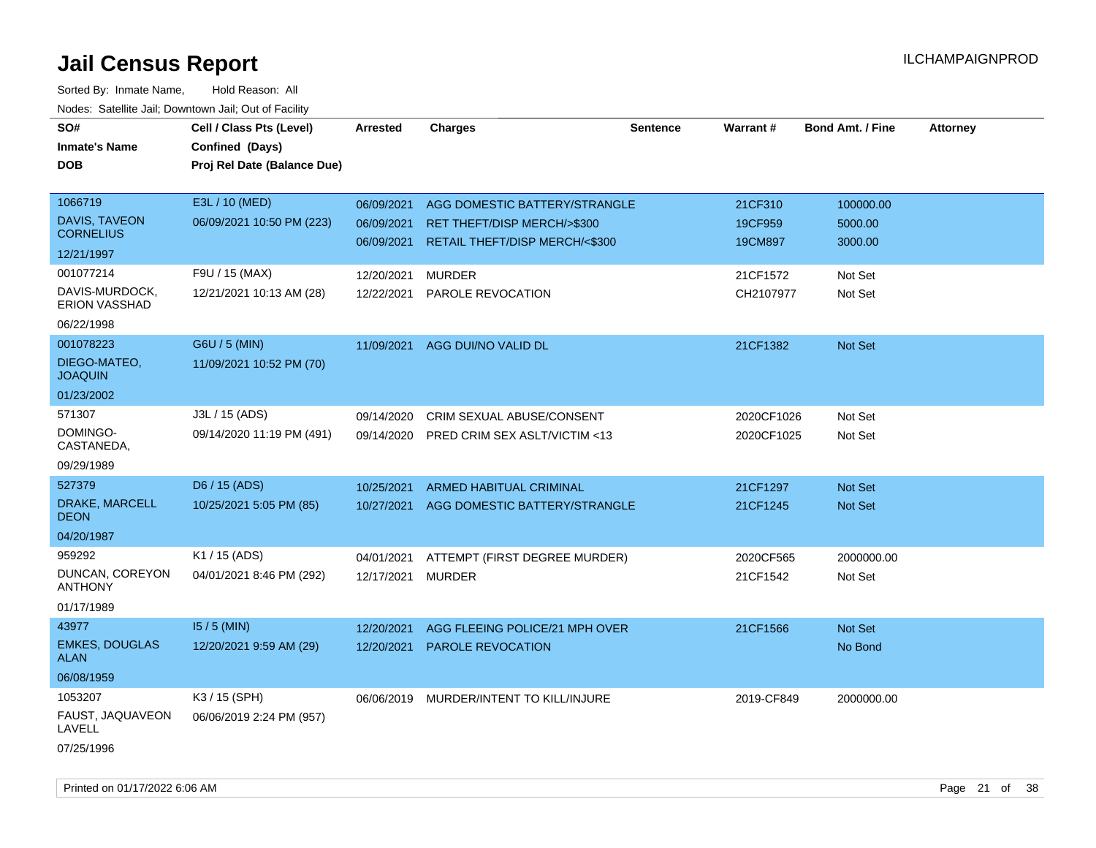| SO#<br><b>Inmate's Name</b><br><b>DOB</b> | Cell / Class Pts (Level)<br>Confined (Days)<br>Proj Rel Date (Balance Due) | <b>Arrested</b> | <b>Charges</b>                 | <b>Sentence</b> | Warrant#   | <b>Bond Amt. / Fine</b> | <b>Attorney</b> |
|-------------------------------------------|----------------------------------------------------------------------------|-----------------|--------------------------------|-----------------|------------|-------------------------|-----------------|
| 1066719                                   | E3L / 10 (MED)                                                             | 06/09/2021      | AGG DOMESTIC BATTERY/STRANGLE  |                 | 21CF310    | 100000.00               |                 |
| <b>DAVIS, TAVEON</b><br><b>CORNELIUS</b>  | 06/09/2021 10:50 PM (223)                                                  | 06/09/2021      | RET THEFT/DISP MERCH/>\$300    |                 | 19CF959    | 5000.00                 |                 |
| 12/21/1997                                |                                                                            | 06/09/2021      | RETAIL THEFT/DISP MERCH/<\$300 |                 | 19CM897    | 3000.00                 |                 |
| 001077214                                 | F9U / 15 (MAX)                                                             | 12/20/2021      | <b>MURDER</b>                  |                 | 21CF1572   | Not Set                 |                 |
| DAVIS-MURDOCK,<br><b>ERION VASSHAD</b>    | 12/21/2021 10:13 AM (28)                                                   | 12/22/2021      | PAROLE REVOCATION              |                 | CH2107977  | Not Set                 |                 |
| 06/22/1998                                |                                                                            |                 |                                |                 |            |                         |                 |
| 001078223                                 | G6U / 5 (MIN)                                                              | 11/09/2021      | AGG DUI/NO VALID DL            |                 | 21CF1382   | Not Set                 |                 |
| DIEGO-MATEO,<br><b>JOAQUIN</b>            | 11/09/2021 10:52 PM (70)                                                   |                 |                                |                 |            |                         |                 |
| 01/23/2002                                |                                                                            |                 |                                |                 |            |                         |                 |
| 571307                                    | J3L / 15 (ADS)                                                             | 09/14/2020      | CRIM SEXUAL ABUSE/CONSENT      |                 | 2020CF1026 | Not Set                 |                 |
| DOMINGO-<br>CASTANEDA,                    | 09/14/2020 11:19 PM (491)                                                  | 09/14/2020      | PRED CRIM SEX ASLT/VICTIM <13  |                 | 2020CF1025 | Not Set                 |                 |
| 09/29/1989                                |                                                                            |                 |                                |                 |            |                         |                 |
| 527379                                    | D6 / 15 (ADS)                                                              | 10/25/2021      | ARMED HABITUAL CRIMINAL        |                 | 21CF1297   | Not Set                 |                 |
| DRAKE, MARCELL<br><b>DEON</b>             | 10/25/2021 5:05 PM (85)                                                    | 10/27/2021      | AGG DOMESTIC BATTERY/STRANGLE  |                 | 21CF1245   | Not Set                 |                 |
| 04/20/1987                                |                                                                            |                 |                                |                 |            |                         |                 |
| 959292                                    | K1 / 15 (ADS)                                                              | 04/01/2021      | ATTEMPT (FIRST DEGREE MURDER)  |                 | 2020CF565  | 2000000.00              |                 |
| DUNCAN, COREYON<br><b>ANTHONY</b>         | 04/01/2021 8:46 PM (292)                                                   | 12/17/2021      | <b>MURDER</b>                  |                 | 21CF1542   | Not Set                 |                 |
| 01/17/1989                                |                                                                            |                 |                                |                 |            |                         |                 |
| 43977                                     | $15/5$ (MIN)                                                               | 12/20/2021      | AGG FLEEING POLICE/21 MPH OVER |                 | 21CF1566   | <b>Not Set</b>          |                 |
| <b>EMKES, DOUGLAS</b><br><b>ALAN</b>      | 12/20/2021 9:59 AM (29)                                                    | 12/20/2021      | <b>PAROLE REVOCATION</b>       |                 |            | No Bond                 |                 |
| 06/08/1959                                |                                                                            |                 |                                |                 |            |                         |                 |
| 1053207                                   | K3 / 15 (SPH)                                                              | 06/06/2019      | MURDER/INTENT TO KILL/INJURE   |                 | 2019-CF849 | 2000000.00              |                 |
| FAUST, JAQUAVEON<br>LAVELL                | 06/06/2019 2:24 PM (957)                                                   |                 |                                |                 |            |                         |                 |
| 07/25/1996                                |                                                                            |                 |                                |                 |            |                         |                 |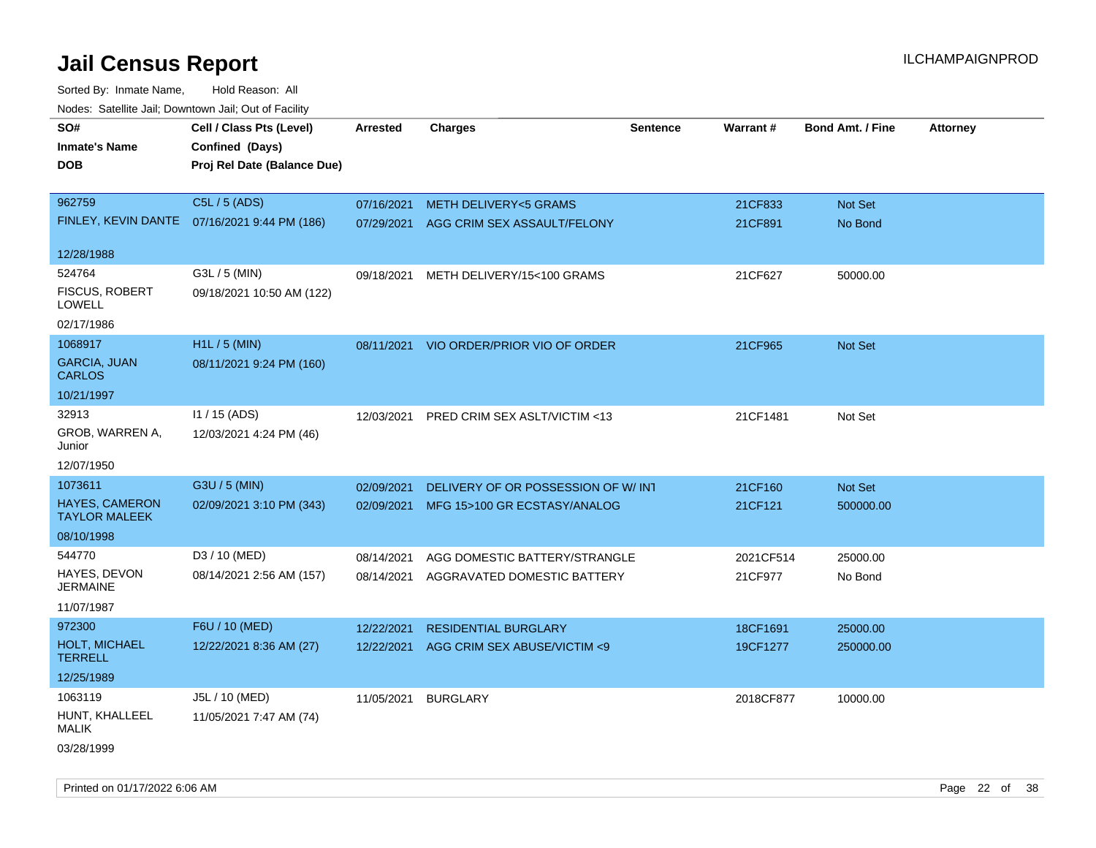Sorted By: Inmate Name, Hold Reason: All Nodes: Satellite Jail; Downtown Jail; Out of Facility

| rougs. Calcing Jan, Downtown Jan, Out of Facinty |                                              |                 |                                         |                 |           |                         |                 |
|--------------------------------------------------|----------------------------------------------|-----------------|-----------------------------------------|-----------------|-----------|-------------------------|-----------------|
| SO#                                              | Cell / Class Pts (Level)                     | <b>Arrested</b> | <b>Charges</b>                          | <b>Sentence</b> | Warrant#  | <b>Bond Amt. / Fine</b> | <b>Attorney</b> |
| <b>Inmate's Name</b>                             | Confined (Days)                              |                 |                                         |                 |           |                         |                 |
| <b>DOB</b>                                       | Proj Rel Date (Balance Due)                  |                 |                                         |                 |           |                         |                 |
|                                                  |                                              |                 |                                         |                 |           |                         |                 |
| 962759                                           | C5L / 5 (ADS)                                | 07/16/2021      | <b>METH DELIVERY&lt;5 GRAMS</b>         |                 | 21CF833   | Not Set                 |                 |
|                                                  | FINLEY, KEVIN DANTE 07/16/2021 9:44 PM (186) | 07/29/2021      | AGG CRIM SEX ASSAULT/FELONY             |                 | 21CF891   | No Bond                 |                 |
|                                                  |                                              |                 |                                         |                 |           |                         |                 |
| 12/28/1988                                       |                                              |                 |                                         |                 |           |                         |                 |
| 524764                                           | G3L / 5 (MIN)                                | 09/18/2021      | METH DELIVERY/15<100 GRAMS              |                 | 21CF627   | 50000.00                |                 |
| <b>FISCUS, ROBERT</b><br><b>LOWELL</b>           | 09/18/2021 10:50 AM (122)                    |                 |                                         |                 |           |                         |                 |
| 02/17/1986                                       |                                              |                 |                                         |                 |           |                         |                 |
| 1068917                                          | H1L / 5 (MIN)                                |                 | 08/11/2021 VIO ORDER/PRIOR VIO OF ORDER |                 | 21CF965   | Not Set                 |                 |
| <b>GARCIA, JUAN</b><br><b>CARLOS</b>             | 08/11/2021 9:24 PM (160)                     |                 |                                         |                 |           |                         |                 |
| 10/21/1997                                       |                                              |                 |                                         |                 |           |                         |                 |
| 32913                                            | $11 / 15$ (ADS)                              | 12/03/2021      | PRED CRIM SEX ASLT/VICTIM <13           |                 | 21CF1481  | Not Set                 |                 |
| GROB, WARREN A,<br>Junior                        | 12/03/2021 4:24 PM (46)                      |                 |                                         |                 |           |                         |                 |
| 12/07/1950                                       |                                              |                 |                                         |                 |           |                         |                 |
| 1073611                                          | G3U / 5 (MIN)                                | 02/09/2021      | DELIVERY OF OR POSSESSION OF W/INT      |                 | 21CF160   | Not Set                 |                 |
| <b>HAYES, CAMERON</b><br><b>TAYLOR MALEEK</b>    | 02/09/2021 3:10 PM (343)                     |                 | 02/09/2021 MFG 15>100 GR ECSTASY/ANALOG |                 | 21CF121   | 500000.00               |                 |
| 08/10/1998                                       |                                              |                 |                                         |                 |           |                         |                 |
| 544770                                           | D3 / 10 (MED)                                | 08/14/2021      | AGG DOMESTIC BATTERY/STRANGLE           |                 | 2021CF514 | 25000.00                |                 |
| HAYES, DEVON<br><b>JERMAINE</b>                  | 08/14/2021 2:56 AM (157)                     | 08/14/2021      | AGGRAVATED DOMESTIC BATTERY             |                 | 21CF977   | No Bond                 |                 |
| 11/07/1987                                       |                                              |                 |                                         |                 |           |                         |                 |
| 972300                                           | F6U / 10 (MED)                               | 12/22/2021      | <b>RESIDENTIAL BURGLARY</b>             |                 | 18CF1691  | 25000.00                |                 |
| HOLT, MICHAEL<br><b>TERRELL</b>                  | 12/22/2021 8:36 AM (27)                      | 12/22/2021      | AGG CRIM SEX ABUSE/VICTIM <9            |                 | 19CF1277  | 250000.00               |                 |
| 12/25/1989                                       |                                              |                 |                                         |                 |           |                         |                 |
| 1063119                                          | J5L / 10 (MED)                               | 11/05/2021      | <b>BURGLARY</b>                         |                 | 2018CF877 | 10000.00                |                 |
| HUNT, KHALLEEL<br>MALIK                          | 11/05/2021 7:47 AM (74)                      |                 |                                         |                 |           |                         |                 |
| 03/28/1999                                       |                                              |                 |                                         |                 |           |                         |                 |

Printed on 01/17/2022 6:06 AM Page 22 of 38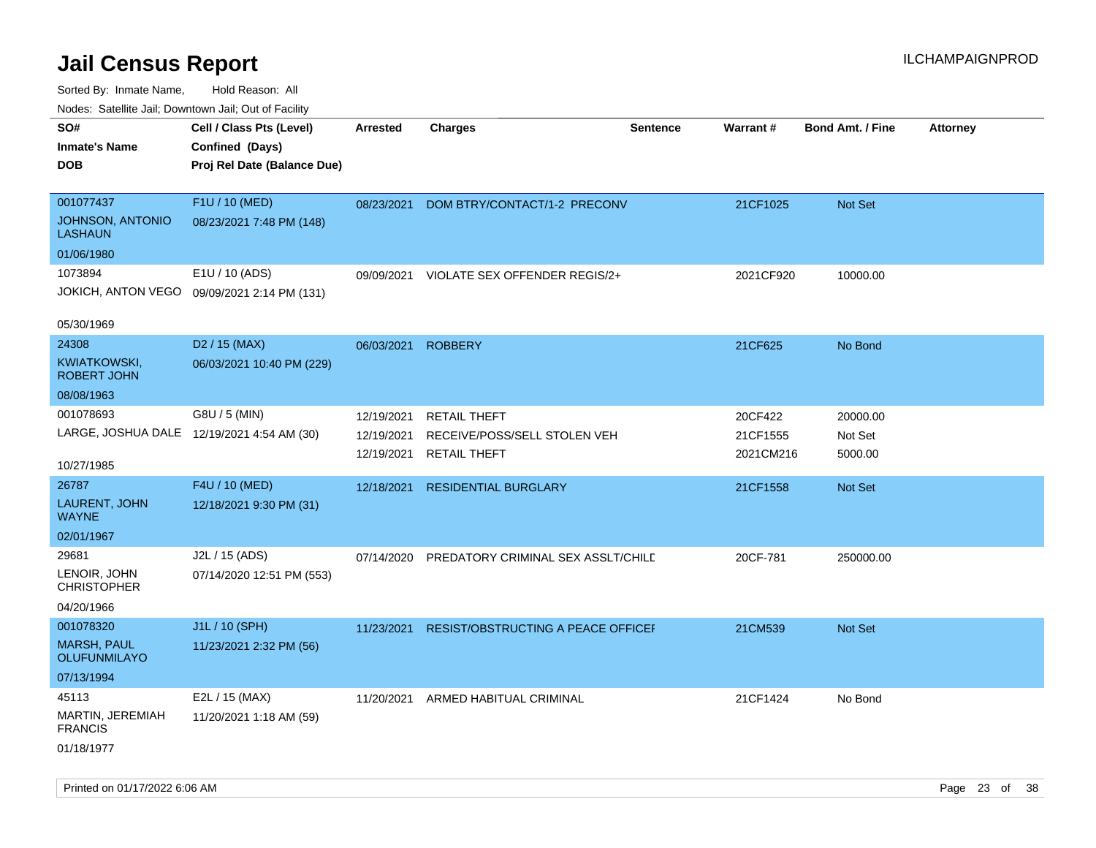| indues. Satellite Jali, Downtown Jali, Out of Facility |                                             |                 |                                    |                 |                 |                         |                 |
|--------------------------------------------------------|---------------------------------------------|-----------------|------------------------------------|-----------------|-----------------|-------------------------|-----------------|
| SO#                                                    | Cell / Class Pts (Level)                    | <b>Arrested</b> | <b>Charges</b>                     | <b>Sentence</b> | <b>Warrant#</b> | <b>Bond Amt. / Fine</b> | <b>Attorney</b> |
| <b>Inmate's Name</b>                                   | Confined (Days)                             |                 |                                    |                 |                 |                         |                 |
| <b>DOB</b>                                             | Proj Rel Date (Balance Due)                 |                 |                                    |                 |                 |                         |                 |
|                                                        |                                             |                 |                                    |                 |                 |                         |                 |
| 001077437                                              | F1U / 10 (MED)                              | 08/23/2021      | DOM BTRY/CONTACT/1-2 PRECONV       |                 | 21CF1025        | Not Set                 |                 |
| <b>JOHNSON, ANTONIO</b><br><b>LASHAUN</b>              | 08/23/2021 7:48 PM (148)                    |                 |                                    |                 |                 |                         |                 |
| 01/06/1980                                             |                                             |                 |                                    |                 |                 |                         |                 |
| 1073894                                                | E1U / 10 (ADS)                              | 09/09/2021      | VIOLATE SEX OFFENDER REGIS/2+      |                 | 2021CF920       | 10000.00                |                 |
|                                                        | JOKICH, ANTON VEGO 09/09/2021 2:14 PM (131) |                 |                                    |                 |                 |                         |                 |
| 05/30/1969                                             |                                             |                 |                                    |                 |                 |                         |                 |
| 24308                                                  | D <sub>2</sub> / 15 (MAX)                   | 06/03/2021      | <b>ROBBERY</b>                     |                 | 21CF625         | No Bond                 |                 |
| KWIATKOWSKI,<br><b>ROBERT JOHN</b>                     | 06/03/2021 10:40 PM (229)                   |                 |                                    |                 |                 |                         |                 |
| 08/08/1963                                             |                                             |                 |                                    |                 |                 |                         |                 |
| 001078693                                              | G8U / 5 (MIN)                               | 12/19/2021      | <b>RETAIL THEFT</b>                |                 | 20CF422         | 20000.00                |                 |
| LARGE, JOSHUA DALE 12/19/2021 4:54 AM (30)             |                                             | 12/19/2021      | RECEIVE/POSS/SELL STOLEN VEH       |                 | 21CF1555        | Not Set                 |                 |
| 10/27/1985                                             |                                             | 12/19/2021      | <b>RETAIL THEFT</b>                |                 | 2021CM216       | 5000.00                 |                 |
| 26787                                                  | F4U / 10 (MED)                              | 12/18/2021      | <b>RESIDENTIAL BURGLARY</b>        |                 | 21CF1558        | <b>Not Set</b>          |                 |
| LAURENT, JOHN<br><b>WAYNE</b>                          | 12/18/2021 9:30 PM (31)                     |                 |                                    |                 |                 |                         |                 |
| 02/01/1967                                             |                                             |                 |                                    |                 |                 |                         |                 |
| 29681                                                  | J2L / 15 (ADS)                              | 07/14/2020      | PREDATORY CRIMINAL SEX ASSLT/CHILD |                 | 20CF-781        | 250000.00               |                 |
| LENOIR, JOHN<br><b>CHRISTOPHER</b>                     | 07/14/2020 12:51 PM (553)                   |                 |                                    |                 |                 |                         |                 |
| 04/20/1966                                             |                                             |                 |                                    |                 |                 |                         |                 |
| 001078320                                              | J1L / 10 (SPH)                              | 11/23/2021      | RESIST/OBSTRUCTING A PEACE OFFICEF |                 | 21CM539         | Not Set                 |                 |
| <b>MARSH, PAUL</b><br><b>OLUFUNMILAYO</b>              | 11/23/2021 2:32 PM (56)                     |                 |                                    |                 |                 |                         |                 |
| 07/13/1994                                             |                                             |                 |                                    |                 |                 |                         |                 |
| 45113                                                  | E2L / 15 (MAX)                              | 11/20/2021      | ARMED HABITUAL CRIMINAL            |                 | 21CF1424        | No Bond                 |                 |
| MARTIN, JEREMIAH<br><b>FRANCIS</b>                     | 11/20/2021 1:18 AM (59)                     |                 |                                    |                 |                 |                         |                 |
| 01/18/1977                                             |                                             |                 |                                    |                 |                 |                         |                 |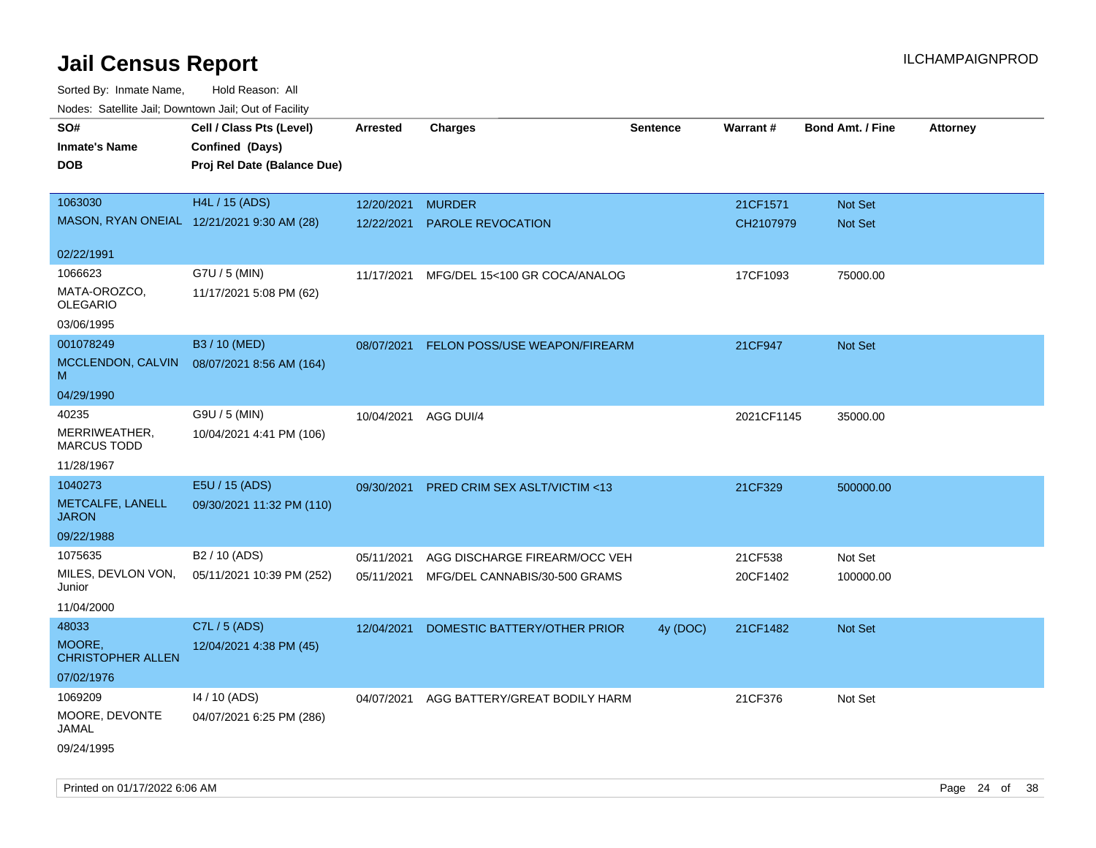| ivouss. Saleling Jali, Downtown Jali, Out of Facility |                             |                      |                                          |                 |            |                         |                 |
|-------------------------------------------------------|-----------------------------|----------------------|------------------------------------------|-----------------|------------|-------------------------|-----------------|
| SO#                                                   | Cell / Class Pts (Level)    | Arrested             | <b>Charges</b>                           | <b>Sentence</b> | Warrant#   | <b>Bond Amt. / Fine</b> | <b>Attorney</b> |
| <b>Inmate's Name</b>                                  | Confined (Days)             |                      |                                          |                 |            |                         |                 |
| <b>DOB</b>                                            | Proj Rel Date (Balance Due) |                      |                                          |                 |            |                         |                 |
|                                                       |                             |                      |                                          |                 |            |                         |                 |
| 1063030                                               | H4L / 15 (ADS)              | 12/20/2021           | <b>MURDER</b>                            |                 | 21CF1571   | Not Set                 |                 |
| MASON, RYAN ONEIAL 12/21/2021 9:30 AM (28)            |                             | 12/22/2021           | <b>PAROLE REVOCATION</b>                 |                 | CH2107979  | <b>Not Set</b>          |                 |
|                                                       |                             |                      |                                          |                 |            |                         |                 |
| 02/22/1991                                            |                             |                      |                                          |                 |            |                         |                 |
| 1066623                                               | G7U / 5 (MIN)               | 11/17/2021           | MFG/DEL 15<100 GR COCA/ANALOG            |                 | 17CF1093   | 75000.00                |                 |
| MATA-OROZCO,                                          | 11/17/2021 5:08 PM (62)     |                      |                                          |                 |            |                         |                 |
| <b>OLEGARIO</b>                                       |                             |                      |                                          |                 |            |                         |                 |
| 03/06/1995                                            |                             |                      |                                          |                 |            |                         |                 |
| 001078249                                             | B3 / 10 (MED)               | 08/07/2021           | FELON POSS/USE WEAPON/FIREARM            |                 | 21CF947    | Not Set                 |                 |
| MCCLENDON, CALVIN<br>м                                | 08/07/2021 8:56 AM (164)    |                      |                                          |                 |            |                         |                 |
| 04/29/1990                                            |                             |                      |                                          |                 |            |                         |                 |
| 40235                                                 | G9U / 5 (MIN)               | 10/04/2021 AGG DUI/4 |                                          |                 | 2021CF1145 | 35000.00                |                 |
| MERRIWEATHER,<br><b>MARCUS TODD</b>                   | 10/04/2021 4:41 PM (106)    |                      |                                          |                 |            |                         |                 |
| 11/28/1967                                            |                             |                      |                                          |                 |            |                         |                 |
| 1040273                                               | E5U / 15 (ADS)              | 09/30/2021           | PRED CRIM SEX ASLT/VICTIM <13            |                 | 21CF329    | 500000.00               |                 |
| METCALFE, LANELL<br><b>JARON</b>                      | 09/30/2021 11:32 PM (110)   |                      |                                          |                 |            |                         |                 |
| 09/22/1988                                            |                             |                      |                                          |                 |            |                         |                 |
| 1075635                                               | B2 / 10 (ADS)               | 05/11/2021           | AGG DISCHARGE FIREARM/OCC VEH            |                 | 21CF538    | Not Set                 |                 |
| MILES, DEVLON VON,<br>Junior                          | 05/11/2021 10:39 PM (252)   | 05/11/2021           | MFG/DEL CANNABIS/30-500 GRAMS            |                 | 20CF1402   | 100000.00               |                 |
| 11/04/2000                                            |                             |                      |                                          |                 |            |                         |                 |
| 48033                                                 | C7L / 5 (ADS)               | 12/04/2021           | DOMESTIC BATTERY/OTHER PRIOR             | 4y (DOC)        | 21CF1482   | <b>Not Set</b>          |                 |
| MOORE,<br><b>CHRISTOPHER ALLEN</b>                    | 12/04/2021 4:38 PM (45)     |                      |                                          |                 |            |                         |                 |
| 07/02/1976                                            |                             |                      |                                          |                 |            |                         |                 |
| 1069209                                               | 14 / 10 (ADS)               |                      | 04/07/2021 AGG BATTERY/GREAT BODILY HARM |                 | 21CF376    | Not Set                 |                 |
| MOORE, DEVONTE                                        | 04/07/2021 6:25 PM (286)    |                      |                                          |                 |            |                         |                 |
| JAMAL                                                 |                             |                      |                                          |                 |            |                         |                 |
| 09/24/1995                                            |                             |                      |                                          |                 |            |                         |                 |
|                                                       |                             |                      |                                          |                 |            |                         |                 |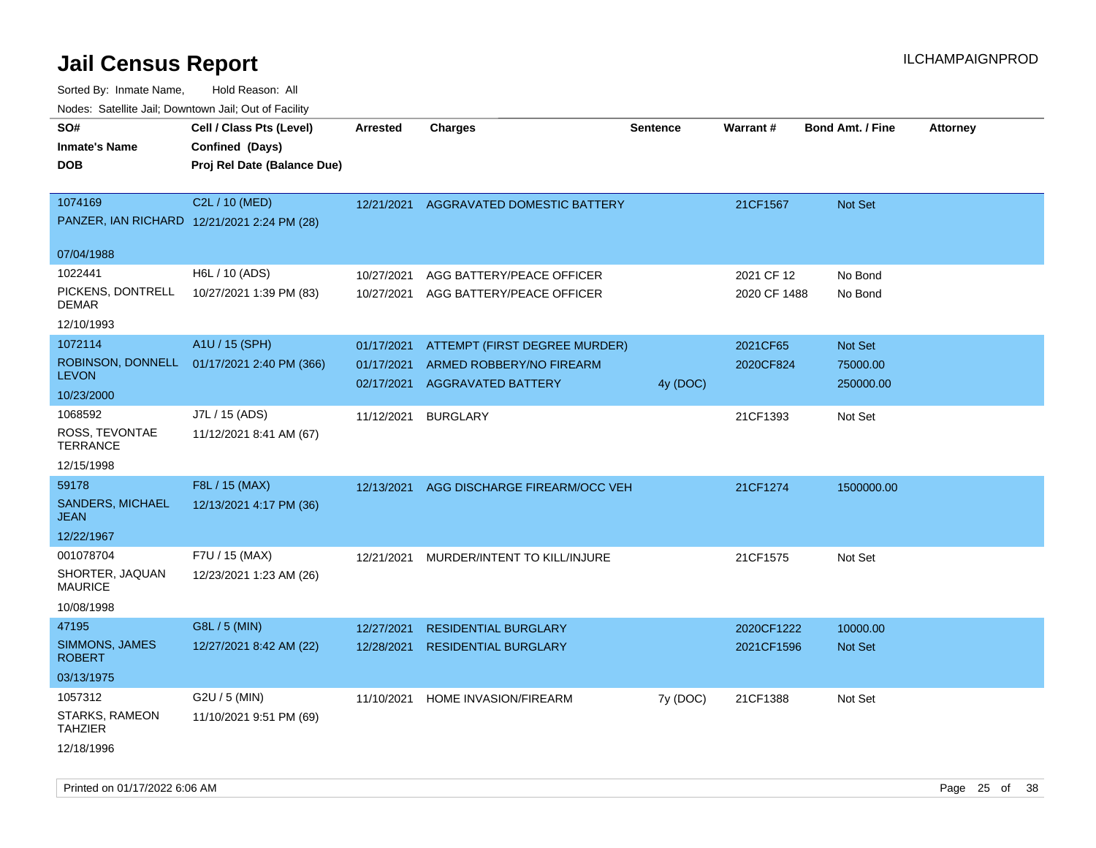Sorted By: Inmate Name, Hold Reason: All Nodes: Satellite Jail; Downtown Jail; Out of Facility

| ivodes. Satellite Jali, Downtown Jali, Out of Facility |                                             |                 |                                          |                 |              |                         |                 |
|--------------------------------------------------------|---------------------------------------------|-----------------|------------------------------------------|-----------------|--------------|-------------------------|-----------------|
| SO#                                                    | Cell / Class Pts (Level)                    | <b>Arrested</b> | <b>Charges</b>                           | <b>Sentence</b> | Warrant#     | <b>Bond Amt. / Fine</b> | <b>Attorney</b> |
| <b>Inmate's Name</b>                                   | Confined (Days)                             |                 |                                          |                 |              |                         |                 |
| <b>DOB</b>                                             | Proj Rel Date (Balance Due)                 |                 |                                          |                 |              |                         |                 |
|                                                        |                                             |                 |                                          |                 |              |                         |                 |
| 1074169                                                | C2L / 10 (MED)                              |                 | 12/21/2021 AGGRAVATED DOMESTIC BATTERY   |                 | 21CF1567     | <b>Not Set</b>          |                 |
|                                                        | PANZER, IAN RICHARD 12/21/2021 2:24 PM (28) |                 |                                          |                 |              |                         |                 |
|                                                        |                                             |                 |                                          |                 |              |                         |                 |
| 07/04/1988                                             |                                             |                 |                                          |                 |              |                         |                 |
| 1022441                                                | H6L / 10 (ADS)                              | 10/27/2021      | AGG BATTERY/PEACE OFFICER                |                 | 2021 CF 12   | No Bond                 |                 |
| PICKENS, DONTRELL<br>DEMAR                             | 10/27/2021 1:39 PM (83)                     | 10/27/2021      | AGG BATTERY/PEACE OFFICER                |                 | 2020 CF 1488 | No Bond                 |                 |
| 12/10/1993                                             |                                             |                 |                                          |                 |              |                         |                 |
| 1072114                                                | A1U / 15 (SPH)                              | 01/17/2021      | ATTEMPT (FIRST DEGREE MURDER)            |                 | 2021CF65     | <b>Not Set</b>          |                 |
|                                                        | ROBINSON, DONNELL 01/17/2021 2:40 PM (366)  | 01/17/2021      | ARMED ROBBERY/NO FIREARM                 |                 | 2020CF824    | 75000.00                |                 |
| <b>LEVON</b>                                           |                                             | 02/17/2021      | <b>AGGRAVATED BATTERY</b>                | 4y (DOC)        |              | 250000.00               |                 |
| 10/23/2000                                             |                                             |                 |                                          |                 |              |                         |                 |
| 1068592                                                | J7L / 15 (ADS)                              | 11/12/2021      | <b>BURGLARY</b>                          |                 | 21CF1393     | Not Set                 |                 |
| ROSS, TEVONTAE<br>TERRANCE                             | 11/12/2021 8:41 AM (67)                     |                 |                                          |                 |              |                         |                 |
| 12/15/1998                                             |                                             |                 |                                          |                 |              |                         |                 |
| 59178                                                  | F8L / 15 (MAX)                              |                 | 12/13/2021 AGG DISCHARGE FIREARM/OCC VEH |                 | 21CF1274     | 1500000.00              |                 |
| <b>SANDERS, MICHAEL</b><br>JEAN                        | 12/13/2021 4:17 PM (36)                     |                 |                                          |                 |              |                         |                 |
| 12/22/1967                                             |                                             |                 |                                          |                 |              |                         |                 |
| 001078704                                              | F7U / 15 (MAX)                              | 12/21/2021      | MURDER/INTENT TO KILL/INJURE             |                 | 21CF1575     | Not Set                 |                 |
| SHORTER, JAQUAN<br>MAURICE                             | 12/23/2021 1:23 AM (26)                     |                 |                                          |                 |              |                         |                 |
| 10/08/1998                                             |                                             |                 |                                          |                 |              |                         |                 |
| 47195                                                  | G8L / 5 (MIN)                               | 12/27/2021      | <b>RESIDENTIAL BURGLARY</b>              |                 | 2020CF1222   | 10000.00                |                 |
| SIMMONS, JAMES<br>ROBERT                               | 12/27/2021 8:42 AM (22)                     | 12/28/2021      | <b>RESIDENTIAL BURGLARY</b>              |                 | 2021CF1596   | <b>Not Set</b>          |                 |
| 03/13/1975                                             |                                             |                 |                                          |                 |              |                         |                 |
| 1057312                                                | $G2U / 5$ (MIN)                             | 11/10/2021      | HOME INVASION/FIREARM                    | 7y (DOC)        | 21CF1388     | Not Set                 |                 |
| STARKS, RAMEON<br>TAHZIER                              | 11/10/2021 9:51 PM (69)                     |                 |                                          |                 |              |                         |                 |
| 12/18/1996                                             |                                             |                 |                                          |                 |              |                         |                 |

Printed on 01/17/2022 6:06 AM Page 25 of 38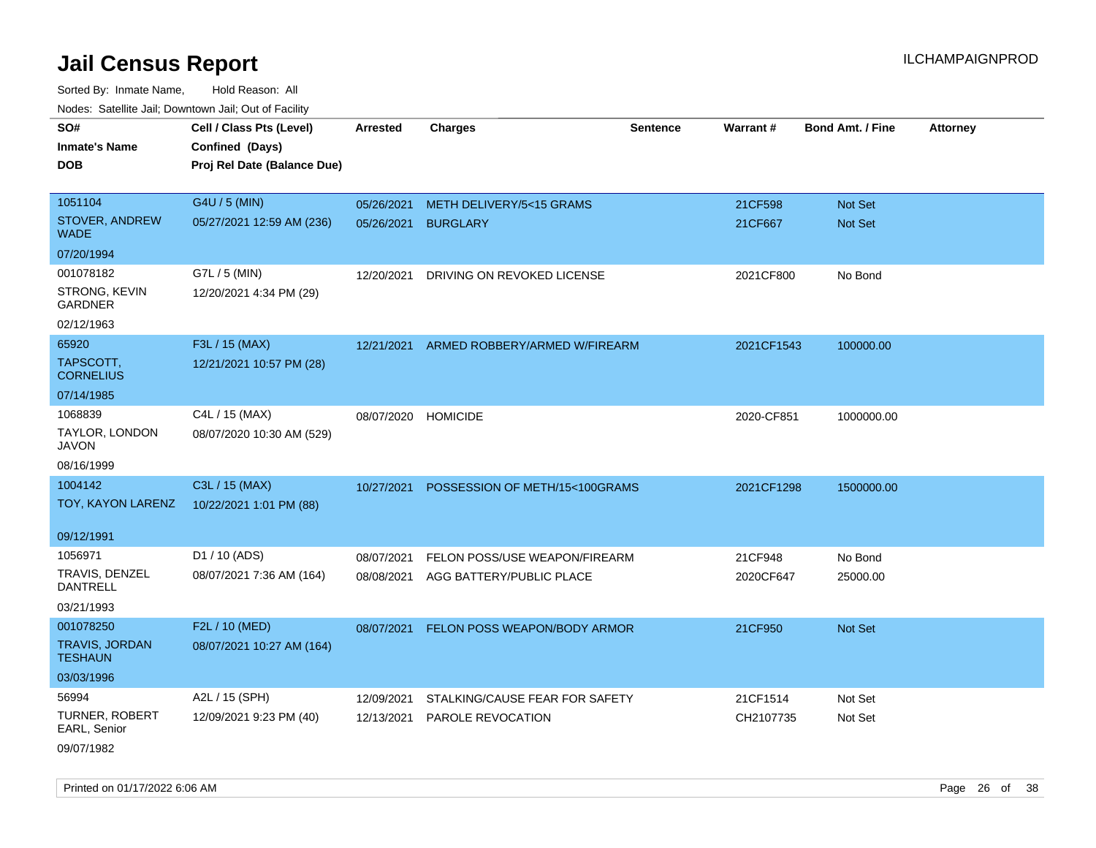Sorted By: Inmate Name, Hold Reason: All Nodes: Satellite Jail; Downtown Jail; Out of Facility

| SO#                                     | Cell / Class Pts (Level)    | Arrested   | <b>Charges</b>                 | <b>Sentence</b> | Warrant#   | <b>Bond Amt. / Fine</b> | <b>Attorney</b> |
|-----------------------------------------|-----------------------------|------------|--------------------------------|-----------------|------------|-------------------------|-----------------|
| <b>Inmate's Name</b>                    | Confined (Days)             |            |                                |                 |            |                         |                 |
| <b>DOB</b>                              | Proj Rel Date (Balance Due) |            |                                |                 |            |                         |                 |
|                                         |                             |            |                                |                 |            |                         |                 |
| 1051104                                 | G4U / 5 (MIN)               | 05/26/2021 | METH DELIVERY/5<15 GRAMS       |                 | 21CF598    | Not Set                 |                 |
| STOVER, ANDREW<br><b>WADE</b>           | 05/27/2021 12:59 AM (236)   | 05/26/2021 | <b>BURGLARY</b>                |                 | 21CF667    | Not Set                 |                 |
| 07/20/1994                              |                             |            |                                |                 |            |                         |                 |
| 001078182                               | G7L / 5 (MIN)               | 12/20/2021 | DRIVING ON REVOKED LICENSE     |                 | 2021CF800  | No Bond                 |                 |
| STRONG, KEVIN<br><b>GARDNER</b>         | 12/20/2021 4:34 PM (29)     |            |                                |                 |            |                         |                 |
| 02/12/1963                              |                             |            |                                |                 |            |                         |                 |
| 65920                                   | F3L / 15 (MAX)              | 12/21/2021 | ARMED ROBBERY/ARMED W/FIREARM  |                 | 2021CF1543 | 100000.00               |                 |
| TAPSCOTT,<br><b>CORNELIUS</b>           | 12/21/2021 10:57 PM (28)    |            |                                |                 |            |                         |                 |
| 07/14/1985                              |                             |            |                                |                 |            |                         |                 |
| 1068839                                 | C4L / 15 (MAX)              | 08/07/2020 | <b>HOMICIDE</b>                |                 | 2020-CF851 | 1000000.00              |                 |
| TAYLOR, LONDON<br><b>JAVON</b>          | 08/07/2020 10:30 AM (529)   |            |                                |                 |            |                         |                 |
| 08/16/1999                              |                             |            |                                |                 |            |                         |                 |
| 1004142                                 | C3L / 15 (MAX)              | 10/27/2021 | POSSESSION OF METH/15<100GRAMS |                 | 2021CF1298 | 1500000.00              |                 |
| TOY, KAYON LARENZ                       | 10/22/2021 1:01 PM (88)     |            |                                |                 |            |                         |                 |
| 09/12/1991                              |                             |            |                                |                 |            |                         |                 |
| 1056971                                 | D1 / 10 (ADS)               | 08/07/2021 | FELON POSS/USE WEAPON/FIREARM  |                 | 21CF948    | No Bond                 |                 |
| TRAVIS, DENZEL<br><b>DANTRELL</b>       | 08/07/2021 7:36 AM (164)    | 08/08/2021 | AGG BATTERY/PUBLIC PLACE       |                 | 2020CF647  | 25000.00                |                 |
| 03/21/1993                              |                             |            |                                |                 |            |                         |                 |
| 001078250                               | F2L / 10 (MED)              | 08/07/2021 | FELON POSS WEAPON/BODY ARMOR   |                 | 21CF950    | Not Set                 |                 |
| <b>TRAVIS, JORDAN</b><br><b>TESHAUN</b> | 08/07/2021 10:27 AM (164)   |            |                                |                 |            |                         |                 |
| 03/03/1996                              |                             |            |                                |                 |            |                         |                 |
| 56994                                   | A2L / 15 (SPH)              | 12/09/2021 | STALKING/CAUSE FEAR FOR SAFETY |                 | 21CF1514   | Not Set                 |                 |
| <b>TURNER, ROBERT</b><br>EARL, Senior   | 12/09/2021 9:23 PM (40)     | 12/13/2021 | <b>PAROLE REVOCATION</b>       |                 | CH2107735  | Not Set                 |                 |
| 09/07/1982                              |                             |            |                                |                 |            |                         |                 |

Printed on 01/17/2022 6:06 AM Page 26 of 38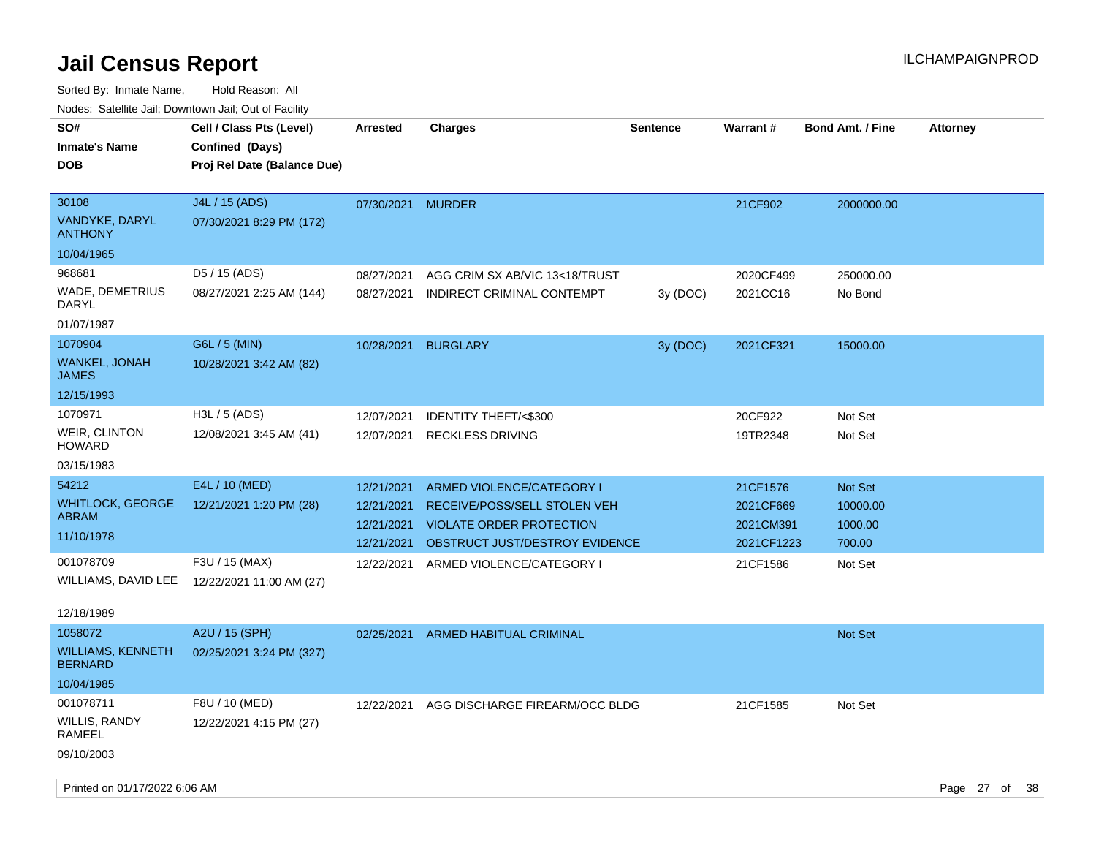Sorted By: Inmate Name, Hold Reason: All Nodes: Satellite Jail; Downtown Jail; Out of Facility

| SO#                                   | Nodes. Satellite Jali, Downtown Jali, Out of Facility<br>Cell / Class Pts (Level) | <b>Arrested</b>   | <b>Charges</b>                  | <b>Sentence</b> | Warrant#   | <b>Bond Amt. / Fine</b> | <b>Attorney</b> |
|---------------------------------------|-----------------------------------------------------------------------------------|-------------------|---------------------------------|-----------------|------------|-------------------------|-----------------|
| <b>Inmate's Name</b>                  | <b>Confined (Days)</b>                                                            |                   |                                 |                 |            |                         |                 |
| <b>DOB</b>                            | Proj Rel Date (Balance Due)                                                       |                   |                                 |                 |            |                         |                 |
|                                       |                                                                                   |                   |                                 |                 |            |                         |                 |
| 30108                                 | J4L / 15 (ADS)                                                                    | 07/30/2021 MURDER |                                 |                 | 21CF902    | 2000000.00              |                 |
| VANDYKE, DARYL<br><b>ANTHONY</b>      | 07/30/2021 8:29 PM (172)                                                          |                   |                                 |                 |            |                         |                 |
| 10/04/1965                            |                                                                                   |                   |                                 |                 |            |                         |                 |
| 968681                                | D5 / 15 (ADS)                                                                     | 08/27/2021        | AGG CRIM SX AB/VIC 13<18/TRUST  |                 | 2020CF499  | 250000.00               |                 |
| WADE, DEMETRIUS<br><b>DARYL</b>       | 08/27/2021 2:25 AM (144)                                                          | 08/27/2021        | INDIRECT CRIMINAL CONTEMPT      | 3y (DOC)        | 2021CC16   | No Bond                 |                 |
| 01/07/1987                            |                                                                                   |                   |                                 |                 |            |                         |                 |
| 1070904                               | G6L / 5 (MIN)                                                                     | 10/28/2021        | <b>BURGLARY</b>                 | 3y (DOC)        | 2021CF321  | 15000.00                |                 |
| WANKEL, JONAH<br><b>JAMES</b>         | 10/28/2021 3:42 AM (82)                                                           |                   |                                 |                 |            |                         |                 |
| 12/15/1993                            |                                                                                   |                   |                                 |                 |            |                         |                 |
| 1070971                               | H3L / 5 (ADS)                                                                     | 12/07/2021        | <b>IDENTITY THEFT/&lt;\$300</b> |                 | 20CF922    | Not Set                 |                 |
| <b>WEIR, CLINTON</b><br><b>HOWARD</b> | 12/08/2021 3:45 AM (41)                                                           | 12/07/2021        | <b>RECKLESS DRIVING</b>         |                 | 19TR2348   | Not Set                 |                 |
| 03/15/1983                            |                                                                                   |                   |                                 |                 |            |                         |                 |
| 54212                                 | E4L / 10 (MED)                                                                    | 12/21/2021        | ARMED VIOLENCE/CATEGORY I       |                 | 21CF1576   | Not Set                 |                 |
| <b>WHITLOCK, GEORGE</b>               | 12/21/2021 1:20 PM (28)                                                           | 12/21/2021        | RECEIVE/POSS/SELL STOLEN VEH    |                 | 2021CF669  | 10000.00                |                 |
| <b>ABRAM</b>                          |                                                                                   | 12/21/2021        | <b>VIOLATE ORDER PROTECTION</b> |                 | 2021CM391  | 1000.00                 |                 |
| 11/10/1978                            |                                                                                   | 12/21/2021        | OBSTRUCT JUST/DESTROY EVIDENCE  |                 | 2021CF1223 | 700.00                  |                 |
| 001078709                             | F3U / 15 (MAX)                                                                    | 12/22/2021        | ARMED VIOLENCE/CATEGORY I       |                 | 21CF1586   | Not Set                 |                 |
| WILLIAMS, DAVID LEE                   | 12/22/2021 11:00 AM (27)                                                          |                   |                                 |                 |            |                         |                 |
| 12/18/1989                            |                                                                                   |                   |                                 |                 |            |                         |                 |
| 1058072                               | A2U / 15 (SPH)                                                                    | 02/25/2021        | ARMED HABITUAL CRIMINAL         |                 |            | Not Set                 |                 |
| WILLIAMS, KENNETH<br><b>BERNARD</b>   | 02/25/2021 3:24 PM (327)                                                          |                   |                                 |                 |            |                         |                 |
| 10/04/1985                            |                                                                                   |                   |                                 |                 |            |                         |                 |
| 001078711                             | F8U / 10 (MED)                                                                    | 12/22/2021        | AGG DISCHARGE FIREARM/OCC BLDG  |                 | 21CF1585   | Not Set                 |                 |
| WILLIS, RANDY<br><b>RAMEEL</b>        | 12/22/2021 4:15 PM (27)                                                           |                   |                                 |                 |            |                         |                 |

09/10/2003

Printed on 01/17/2022 6:06 AM Page 27 of 38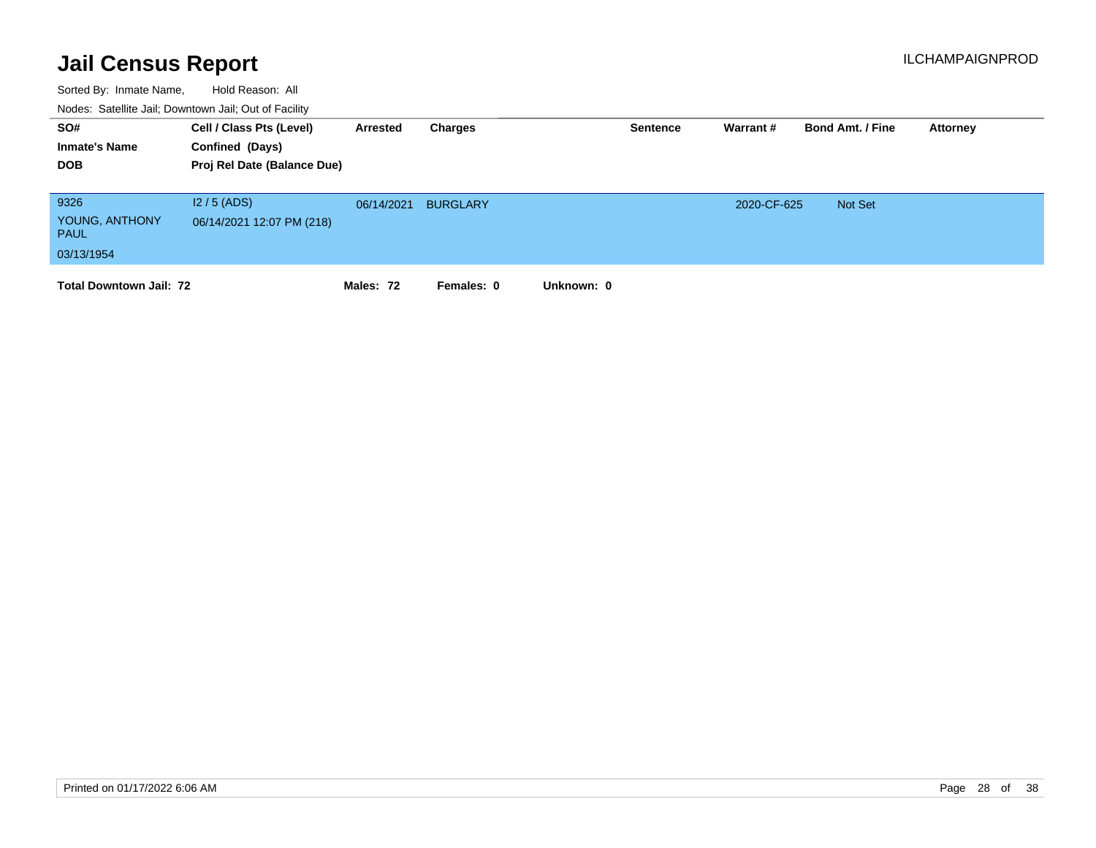| SO#<br><b>Inmate's Name</b><br><b>DOB</b>           | Cell / Class Pts (Level)<br>Confined (Days)<br>Proj Rel Date (Balance Due) | Arrested   | Charges         | <b>Sentence</b> | Warrant#    | <b>Bond Amt. / Fine</b> | Attorney |
|-----------------------------------------------------|----------------------------------------------------------------------------|------------|-----------------|-----------------|-------------|-------------------------|----------|
| 9326<br>YOUNG, ANTHONY<br><b>PAUL</b><br>03/13/1954 | $12/5$ (ADS)<br>06/14/2021 12:07 PM (218)                                  | 06/14/2021 | <b>BURGLARY</b> |                 | 2020-CF-625 | Not Set                 |          |
| <b>Total Downtown Jail: 72</b>                      |                                                                            | Males: 72  | Females: 0      | Unknown: 0      |             |                         |          |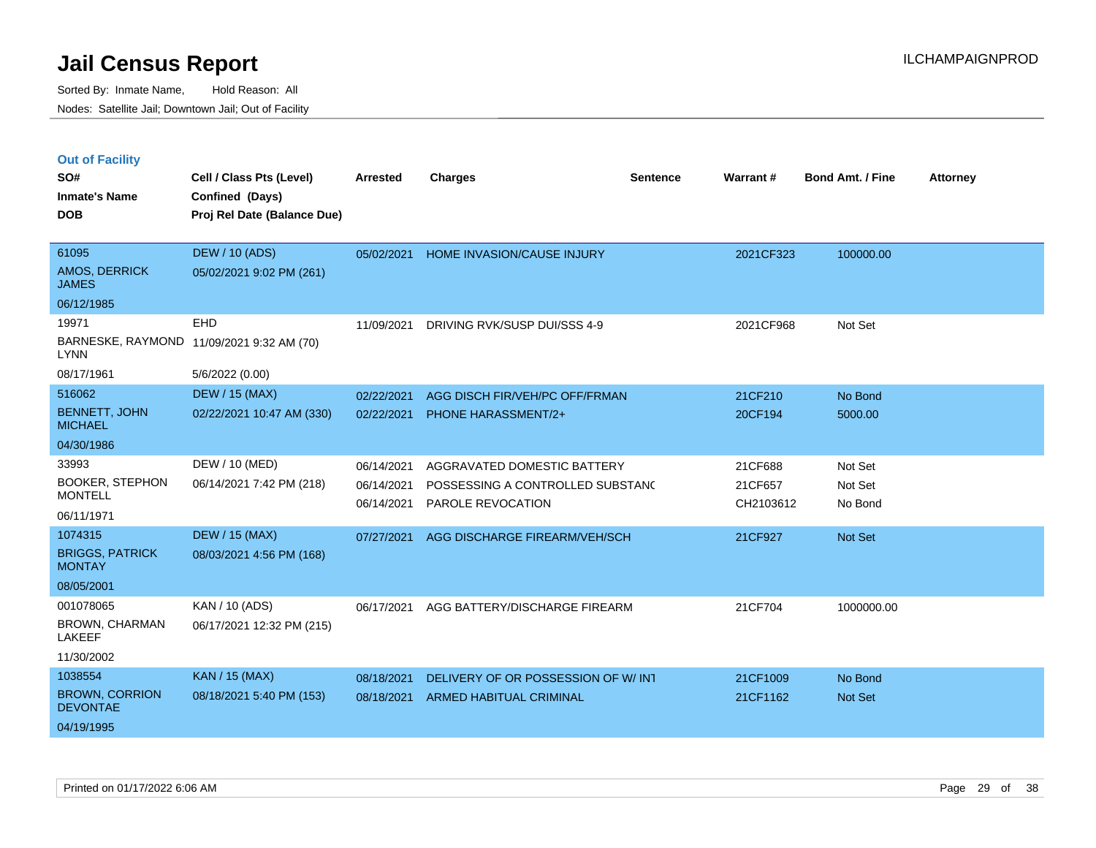|  | <b>Out of Facility</b> |  |
|--|------------------------|--|

| SO#<br><b>Inmate's Name</b><br><b>DOB</b> | Cell / Class Pts (Level)<br>Confined (Days)<br>Proj Rel Date (Balance Due) | <b>Arrested</b>          | <b>Charges</b>                                               | <b>Sentence</b> | <b>Warrant#</b>      | <b>Bond Amt. / Fine</b> | <b>Attorney</b> |
|-------------------------------------------|----------------------------------------------------------------------------|--------------------------|--------------------------------------------------------------|-----------------|----------------------|-------------------------|-----------------|
| 61095<br>AMOS, DERRICK<br><b>JAMES</b>    | <b>DEW / 10 (ADS)</b><br>05/02/2021 9:02 PM (261)                          | 05/02/2021               | HOME INVASION/CAUSE INJURY                                   |                 | 2021CF323            | 100000.00               |                 |
| 06/12/1985                                |                                                                            |                          |                                                              |                 |                      |                         |                 |
| 19971<br><b>LYNN</b>                      | EHD<br>BARNESKE, RAYMOND 11/09/2021 9:32 AM (70)                           | 11/09/2021               | DRIVING RVK/SUSP DUI/SSS 4-9                                 |                 | 2021CF968            | Not Set                 |                 |
| 08/17/1961                                | 5/6/2022 (0.00)                                                            |                          |                                                              |                 |                      |                         |                 |
| 516062                                    | <b>DEW / 15 (MAX)</b>                                                      | 02/22/2021               | AGG DISCH FIR/VEH/PC OFF/FRMAN                               |                 | 21CF210              | No Bond                 |                 |
| <b>BENNETT, JOHN</b><br><b>MICHAEL</b>    | 02/22/2021 10:47 AM (330)                                                  | 02/22/2021               | <b>PHONE HARASSMENT/2+</b>                                   |                 | 20CF194              | 5000.00                 |                 |
| 04/30/1986                                |                                                                            |                          |                                                              |                 |                      |                         |                 |
| 33993                                     | DEW / 10 (MED)                                                             | 06/14/2021               | AGGRAVATED DOMESTIC BATTERY                                  |                 | 21CF688              | Not Set                 |                 |
| <b>BOOKER, STEPHON</b><br><b>MONTELL</b>  | 06/14/2021 7:42 PM (218)                                                   | 06/14/2021<br>06/14/2021 | POSSESSING A CONTROLLED SUBSTAND<br><b>PAROLE REVOCATION</b> |                 | 21CF657<br>CH2103612 | Not Set<br>No Bond      |                 |
| 06/11/1971                                |                                                                            |                          |                                                              |                 |                      |                         |                 |
| 1074315                                   | <b>DEW / 15 (MAX)</b>                                                      | 07/27/2021               | AGG DISCHARGE FIREARM/VEH/SCH                                |                 | 21CF927              | Not Set                 |                 |
| <b>BRIGGS, PATRICK</b><br><b>MONTAY</b>   | 08/03/2021 4:56 PM (168)                                                   |                          |                                                              |                 |                      |                         |                 |
| 08/05/2001                                |                                                                            |                          |                                                              |                 |                      |                         |                 |
| 001078065                                 | KAN / 10 (ADS)                                                             | 06/17/2021               | AGG BATTERY/DISCHARGE FIREARM                                |                 | 21CF704              | 1000000.00              |                 |
| <b>BROWN, CHARMAN</b><br><b>LAKEEF</b>    | 06/17/2021 12:32 PM (215)                                                  |                          |                                                              |                 |                      |                         |                 |
| 11/30/2002                                |                                                                            |                          |                                                              |                 |                      |                         |                 |
| 1038554                                   | KAN / 15 (MAX)                                                             | 08/18/2021               | DELIVERY OF OR POSSESSION OF W/INT                           |                 | 21CF1009             | No Bond                 |                 |
| <b>BROWN, CORRION</b><br><b>DEVONTAE</b>  | 08/18/2021 5:40 PM (153)                                                   | 08/18/2021               | ARMED HABITUAL CRIMINAL                                      |                 | 21CF1162             | Not Set                 |                 |
| 04/19/1995                                |                                                                            |                          |                                                              |                 |                      |                         |                 |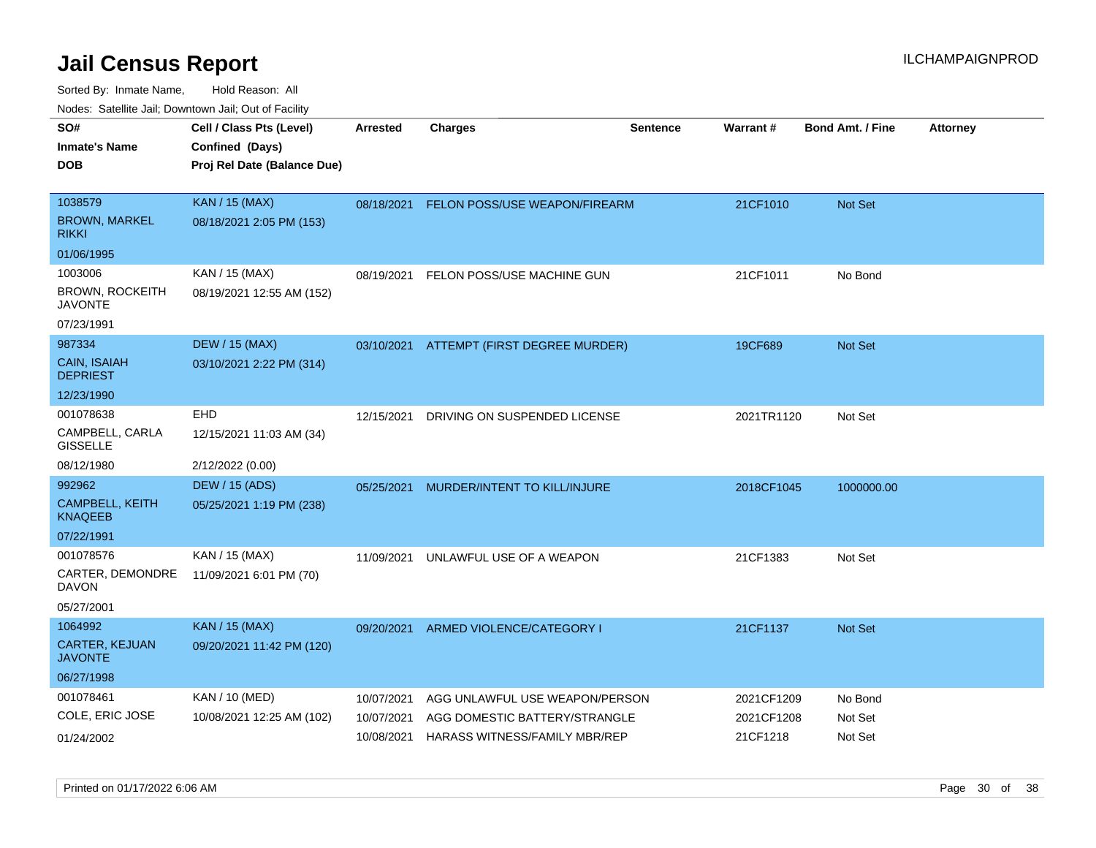| Cell / Class Pts (Level)    | <b>Arrested</b> |                              |                                                                                                                     |                                                                                                                                                                                          |                          |                          |
|-----------------------------|-----------------|------------------------------|---------------------------------------------------------------------------------------------------------------------|------------------------------------------------------------------------------------------------------------------------------------------------------------------------------------------|--------------------------|--------------------------|
|                             |                 | <b>Charges</b>               | <b>Sentence</b>                                                                                                     | Warrant#                                                                                                                                                                                 | <b>Bond Amt. / Fine</b>  | <b>Attorney</b>          |
| Confined (Days)             |                 |                              |                                                                                                                     |                                                                                                                                                                                          |                          |                          |
| Proj Rel Date (Balance Due) |                 |                              |                                                                                                                     |                                                                                                                                                                                          |                          |                          |
|                             |                 |                              |                                                                                                                     |                                                                                                                                                                                          |                          |                          |
| <b>KAN / 15 (MAX)</b>       |                 |                              |                                                                                                                     | 21CF1010                                                                                                                                                                                 | <b>Not Set</b>           |                          |
| 08/18/2021 2:05 PM (153)    |                 |                              |                                                                                                                     |                                                                                                                                                                                          |                          |                          |
|                             |                 |                              |                                                                                                                     |                                                                                                                                                                                          |                          |                          |
| KAN / 15 (MAX)              | 08/19/2021      |                              |                                                                                                                     | 21CF1011                                                                                                                                                                                 | No Bond                  |                          |
| 08/19/2021 12:55 AM (152)   |                 |                              |                                                                                                                     |                                                                                                                                                                                          |                          |                          |
|                             |                 |                              |                                                                                                                     |                                                                                                                                                                                          |                          |                          |
| <b>DEW / 15 (MAX)</b>       |                 |                              |                                                                                                                     | 19CF689                                                                                                                                                                                  | <b>Not Set</b>           |                          |
| 03/10/2021 2:22 PM (314)    |                 |                              |                                                                                                                     |                                                                                                                                                                                          |                          |                          |
|                             |                 |                              |                                                                                                                     |                                                                                                                                                                                          |                          |                          |
| <b>EHD</b>                  | 12/15/2021      | DRIVING ON SUSPENDED LICENSE |                                                                                                                     |                                                                                                                                                                                          | Not Set                  |                          |
| 12/15/2021 11:03 AM (34)    |                 |                              |                                                                                                                     |                                                                                                                                                                                          |                          |                          |
| 2/12/2022 (0.00)            |                 |                              |                                                                                                                     |                                                                                                                                                                                          |                          |                          |
| <b>DEW / 15 (ADS)</b>       | 05/25/2021      |                              |                                                                                                                     |                                                                                                                                                                                          | 1000000.00               |                          |
| 05/25/2021 1:19 PM (238)    |                 |                              |                                                                                                                     |                                                                                                                                                                                          |                          |                          |
|                             |                 |                              |                                                                                                                     |                                                                                                                                                                                          |                          |                          |
| KAN / 15 (MAX)              | 11/09/2021      |                              |                                                                                                                     | 21CF1383                                                                                                                                                                                 | Not Set                  |                          |
| 11/09/2021 6:01 PM (70)     |                 |                              |                                                                                                                     |                                                                                                                                                                                          |                          |                          |
|                             |                 |                              |                                                                                                                     |                                                                                                                                                                                          |                          |                          |
| <b>KAN / 15 (MAX)</b>       | 09/20/2021      |                              |                                                                                                                     | 21CF1137                                                                                                                                                                                 | <b>Not Set</b>           |                          |
| 09/20/2021 11:42 PM (120)   |                 |                              |                                                                                                                     |                                                                                                                                                                                          |                          |                          |
|                             |                 |                              |                                                                                                                     |                                                                                                                                                                                          |                          |                          |
| KAN / 10 (MED)              | 10/07/2021      |                              |                                                                                                                     |                                                                                                                                                                                          | No Bond                  |                          |
| 10/08/2021 12:25 AM (102)   | 10/07/2021      |                              |                                                                                                                     |                                                                                                                                                                                          | Not Set                  |                          |
|                             | 10/08/2021      |                              |                                                                                                                     | 21CF1218                                                                                                                                                                                 | Not Set                  |                          |
|                             |                 |                              | FELON POSS/USE MACHINE GUN<br>MURDER/INTENT TO KILL/INJURE<br>UNLAWFUL USE OF A WEAPON<br>ARMED VIOLENCE/CATEGORY I | 08/18/2021 FELON POSS/USE WEAPON/FIREARM<br>03/10/2021 ATTEMPT (FIRST DEGREE MURDER)<br>AGG UNLAWFUL USE WEAPON/PERSON<br>AGG DOMESTIC BATTERY/STRANGLE<br>HARASS WITNESS/FAMILY MBR/REP | 2021TR1120<br>2021CF1209 | 2018CF1045<br>2021CF1208 |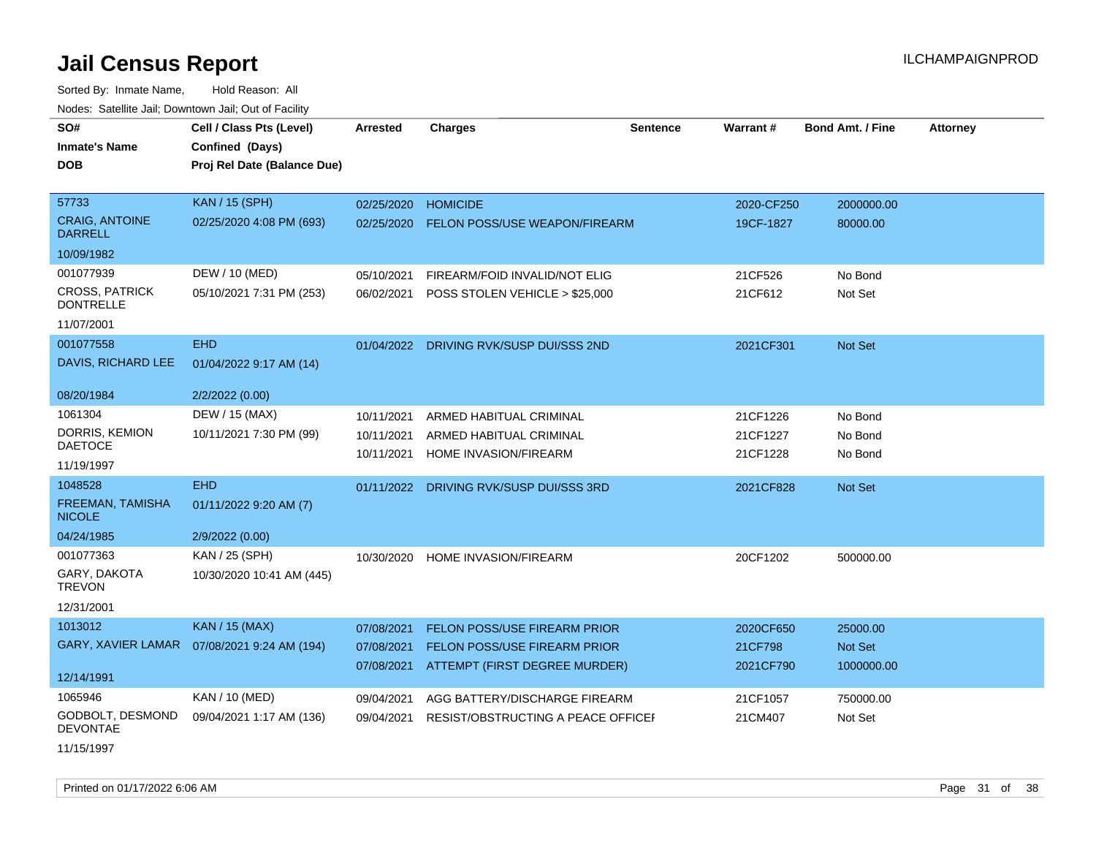Sorted By: Inmate Name, Hold Reason: All Nodes: Satellite Jail; Downtown Jail; Out of Facility

| wacs. Calcinic Jan, Downtown Jan, Out of Facility |                                              |                 |                                         |                 |                 |                         |                 |
|---------------------------------------------------|----------------------------------------------|-----------------|-----------------------------------------|-----------------|-----------------|-------------------------|-----------------|
| SO#                                               | Cell / Class Pts (Level)                     | <b>Arrested</b> | <b>Charges</b>                          | <b>Sentence</b> | <b>Warrant#</b> | <b>Bond Amt. / Fine</b> | <b>Attorney</b> |
| <b>Inmate's Name</b>                              | Confined (Days)                              |                 |                                         |                 |                 |                         |                 |
| <b>DOB</b>                                        | Proj Rel Date (Balance Due)                  |                 |                                         |                 |                 |                         |                 |
|                                                   |                                              |                 |                                         |                 |                 |                         |                 |
| 57733                                             | KAN / 15 (SPH)                               | 02/25/2020      | <b>HOMICIDE</b>                         |                 | 2020-CF250      | 2000000.00              |                 |
| <b>CRAIG, ANTOINE</b><br><b>DARRELL</b>           | 02/25/2020 4:08 PM (693)                     | 02/25/2020      | <b>FELON POSS/USE WEAPON/FIREARM</b>    |                 | 19CF-1827       | 80000.00                |                 |
| 10/09/1982                                        |                                              |                 |                                         |                 |                 |                         |                 |
| 001077939                                         | DEW / 10 (MED)                               | 05/10/2021      | FIREARM/FOID INVALID/NOT ELIG           |                 | 21CF526         | No Bond                 |                 |
| <b>CROSS, PATRICK</b><br><b>DONTRELLE</b>         | 05/10/2021 7:31 PM (253)                     | 06/02/2021      | POSS STOLEN VEHICLE > \$25,000          |                 | 21CF612         | Not Set                 |                 |
| 11/07/2001                                        |                                              |                 |                                         |                 |                 |                         |                 |
| 001077558                                         | <b>EHD</b>                                   |                 | 01/04/2022 DRIVING RVK/SUSP DUI/SSS 2ND |                 | 2021CF301       | Not Set                 |                 |
| DAVIS, RICHARD LEE                                | 01/04/2022 9:17 AM (14)                      |                 |                                         |                 |                 |                         |                 |
| 08/20/1984                                        | 2/2/2022 (0.00)                              |                 |                                         |                 |                 |                         |                 |
| 1061304                                           | DEW / 15 (MAX)                               | 10/11/2021      | ARMED HABITUAL CRIMINAL                 |                 | 21CF1226        | No Bond                 |                 |
| DORRIS, KEMION                                    | 10/11/2021 7:30 PM (99)                      | 10/11/2021      | ARMED HABITUAL CRIMINAL                 |                 | 21CF1227        | No Bond                 |                 |
| <b>DAETOCE</b>                                    |                                              | 10/11/2021      | HOME INVASION/FIREARM                   |                 | 21CF1228        | No Bond                 |                 |
| 11/19/1997                                        |                                              |                 |                                         |                 |                 |                         |                 |
| 1048528                                           | <b>EHD</b>                                   | 01/11/2022      | DRIVING RVK/SUSP DUI/SSS 3RD            |                 | 2021CF828       | Not Set                 |                 |
| <b>FREEMAN, TAMISHA</b><br><b>NICOLE</b>          | 01/11/2022 9:20 AM (7)                       |                 |                                         |                 |                 |                         |                 |
| 04/24/1985                                        | 2/9/2022 (0.00)                              |                 |                                         |                 |                 |                         |                 |
| 001077363                                         | KAN / 25 (SPH)                               | 10/30/2020      | <b>HOME INVASION/FIREARM</b>            |                 | 20CF1202        | 500000.00               |                 |
| GARY, DAKOTA<br><b>TREVON</b>                     | 10/30/2020 10:41 AM (445)                    |                 |                                         |                 |                 |                         |                 |
| 12/31/2001                                        |                                              |                 |                                         |                 |                 |                         |                 |
| 1013012                                           | <b>KAN / 15 (MAX)</b>                        | 07/08/2021      | FELON POSS/USE FIREARM PRIOR            |                 | 2020CF650       | 25000.00                |                 |
|                                                   | GARY, XAVIER LAMAR  07/08/2021 9:24 AM (194) | 07/08/2021      | FELON POSS/USE FIREARM PRIOR            |                 | 21CF798         | Not Set                 |                 |
|                                                   |                                              | 07/08/2021      | ATTEMPT (FIRST DEGREE MURDER)           |                 | 2021CF790       | 1000000.00              |                 |
| 12/14/1991                                        |                                              |                 |                                         |                 |                 |                         |                 |
| 1065946                                           | KAN / 10 (MED)                               | 09/04/2021      | AGG BATTERY/DISCHARGE FIREARM           |                 | 21CF1057        | 750000.00               |                 |
| GODBOLT, DESMOND<br><b>DEVONTAE</b>               | 09/04/2021 1:17 AM (136)                     | 09/04/2021      | RESIST/OBSTRUCTING A PEACE OFFICEF      |                 | 21CM407         | Not Set                 |                 |
|                                                   |                                              |                 |                                         |                 |                 |                         |                 |

11/15/1997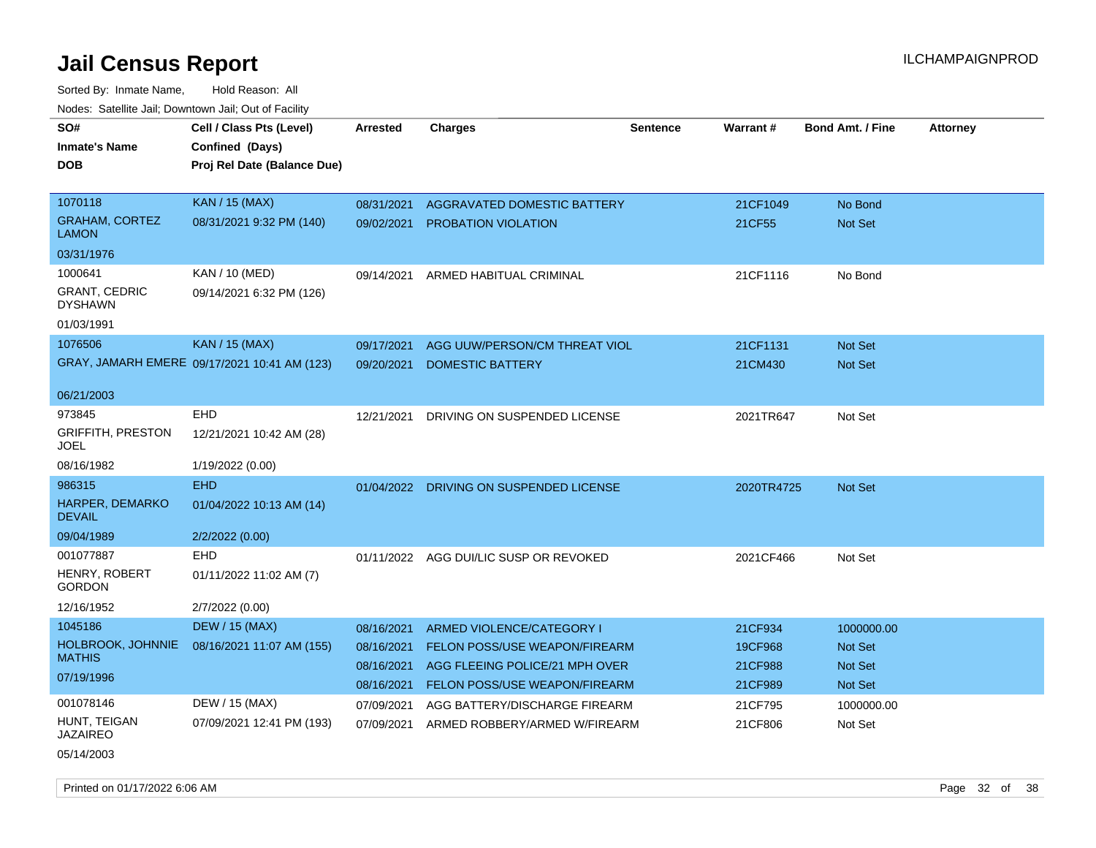| SO#<br><b>Inmate's Name</b><br><b>DOB</b> | Cell / Class Pts (Level)<br>Confined (Days)<br>Proj Rel Date (Balance Due) | Arrested   | <b>Charges</b>                          | <b>Sentence</b> | <b>Warrant#</b> | <b>Bond Amt. / Fine</b> | <b>Attorney</b> |
|-------------------------------------------|----------------------------------------------------------------------------|------------|-----------------------------------------|-----------------|-----------------|-------------------------|-----------------|
| 1070118                                   | <b>KAN / 15 (MAX)</b>                                                      | 08/31/2021 | <b>AGGRAVATED DOMESTIC BATTERY</b>      |                 | 21CF1049        | No Bond                 |                 |
| <b>GRAHAM, CORTEZ</b><br><b>LAMON</b>     | 08/31/2021 9:32 PM (140)                                                   | 09/02/2021 | <b>PROBATION VIOLATION</b>              |                 | 21CF55          | Not Set                 |                 |
| 03/31/1976                                |                                                                            |            |                                         |                 |                 |                         |                 |
| 1000641                                   | KAN / 10 (MED)                                                             | 09/14/2021 | ARMED HABITUAL CRIMINAL                 |                 | 21CF1116        | No Bond                 |                 |
| <b>GRANT, CEDRIC</b><br><b>DYSHAWN</b>    | 09/14/2021 6:32 PM (126)                                                   |            |                                         |                 |                 |                         |                 |
| 01/03/1991                                |                                                                            |            |                                         |                 |                 |                         |                 |
| 1076506                                   | <b>KAN / 15 (MAX)</b>                                                      | 09/17/2021 | AGG UUW/PERSON/CM THREAT VIOL           |                 | 21CF1131        | Not Set                 |                 |
|                                           | GRAY, JAMARH EMERE 09/17/2021 10:41 AM (123)                               | 09/20/2021 | DOMESTIC BATTERY                        |                 | 21CM430         | Not Set                 |                 |
| 06/21/2003                                |                                                                            |            |                                         |                 |                 |                         |                 |
| 973845                                    | EHD                                                                        | 12/21/2021 | DRIVING ON SUSPENDED LICENSE            |                 | 2021TR647       | Not Set                 |                 |
| <b>GRIFFITH, PRESTON</b><br><b>JOEL</b>   | 12/21/2021 10:42 AM (28)                                                   |            |                                         |                 |                 |                         |                 |
| 08/16/1982                                | 1/19/2022 (0.00)                                                           |            |                                         |                 |                 |                         |                 |
| 986315                                    | <b>EHD</b>                                                                 |            | 01/04/2022 DRIVING ON SUSPENDED LICENSE |                 | 2020TR4725      | Not Set                 |                 |
| <b>HARPER, DEMARKO</b><br><b>DEVAIL</b>   | 01/04/2022 10:13 AM (14)                                                   |            |                                         |                 |                 |                         |                 |
| 09/04/1989                                | 2/2/2022 (0.00)                                                            |            |                                         |                 |                 |                         |                 |
| 001077887                                 | <b>EHD</b>                                                                 |            | 01/11/2022 AGG DUI/LIC SUSP OR REVOKED  |                 | 2021CF466       | Not Set                 |                 |
| HENRY, ROBERT<br><b>GORDON</b>            | 01/11/2022 11:02 AM (7)                                                    |            |                                         |                 |                 |                         |                 |
| 12/16/1952                                | 2/7/2022 (0.00)                                                            |            |                                         |                 |                 |                         |                 |
| 1045186                                   | <b>DEW / 15 (MAX)</b>                                                      | 08/16/2021 | <b>ARMED VIOLENCE/CATEGORY I</b>        |                 | 21CF934         | 1000000.00              |                 |
| HOLBROOK, JOHNNIE                         | 08/16/2021 11:07 AM (155)                                                  | 08/16/2021 | <b>FELON POSS/USE WEAPON/FIREARM</b>    |                 | 19CF968         | Not Set                 |                 |
| <b>MATHIS</b>                             |                                                                            | 08/16/2021 | AGG FLEEING POLICE/21 MPH OVER          |                 | 21CF988         | <b>Not Set</b>          |                 |
| 07/19/1996                                |                                                                            | 08/16/2021 | <b>FELON POSS/USE WEAPON/FIREARM</b>    |                 | 21CF989         | Not Set                 |                 |
| 001078146                                 | DEW / 15 (MAX)                                                             | 07/09/2021 | AGG BATTERY/DISCHARGE FIREARM           |                 | 21CF795         | 1000000.00              |                 |
| HUNT, TEIGAN<br><b>JAZAIREO</b>           | 07/09/2021 12:41 PM (193)                                                  | 07/09/2021 | ARMED ROBBERY/ARMED W/FIREARM           |                 | 21CF806         | Not Set                 |                 |
| 05/14/2003                                |                                                                            |            |                                         |                 |                 |                         |                 |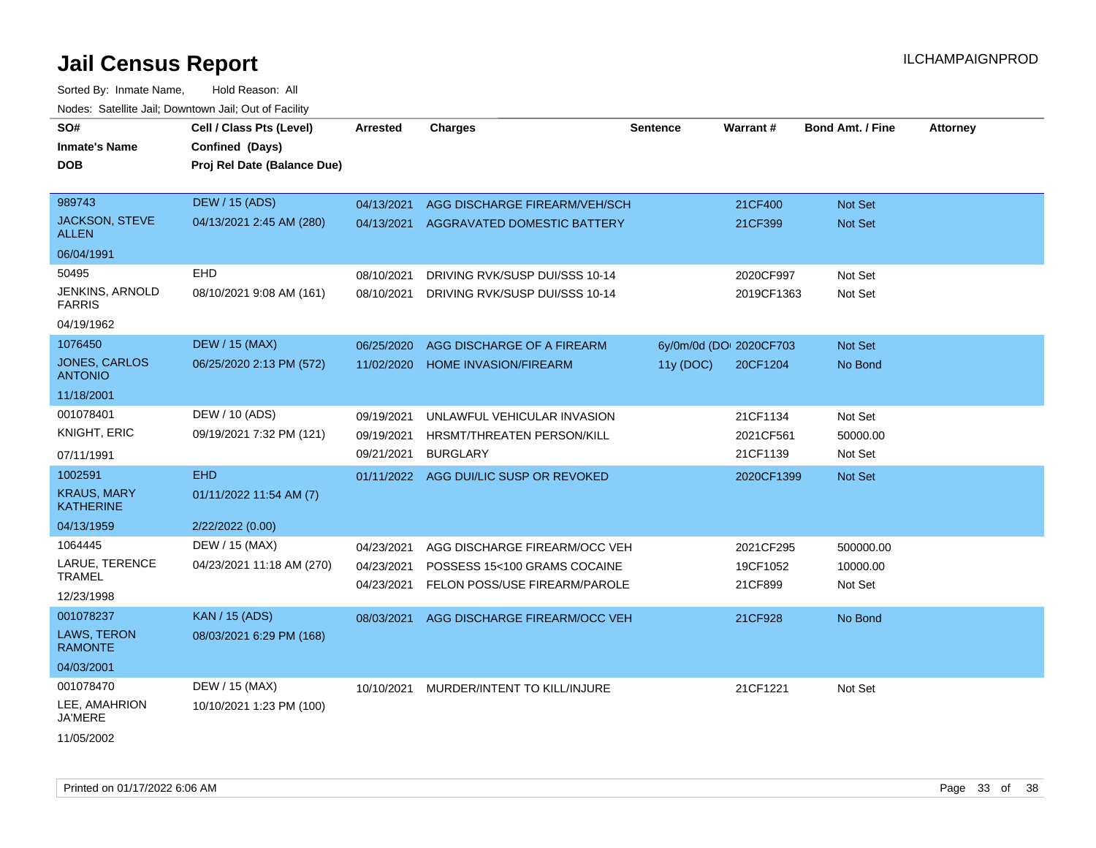Sorted By: Inmate Name, Hold Reason: All Nodes: Satellite Jail; Downtown Jail; Out of Facility

| SO#<br><b>Inmate's Name</b><br><b>DOB</b> | Cell / Class Pts (Level)<br>Confined (Days)<br>Proj Rel Date (Balance Due) | Arrested   | <b>Charges</b>                     | <b>Sentence</b> | <b>Warrant#</b>         | <b>Bond Amt. / Fine</b> | <b>Attorney</b> |
|-------------------------------------------|----------------------------------------------------------------------------|------------|------------------------------------|-----------------|-------------------------|-------------------------|-----------------|
| 989743                                    | <b>DEW / 15 (ADS)</b>                                                      | 04/13/2021 | AGG DISCHARGE FIREARM/VEH/SCH      |                 | 21CF400                 | Not Set                 |                 |
| <b>JACKSON, STEVE</b><br><b>ALLEN</b>     | 04/13/2021 2:45 AM (280)                                                   | 04/13/2021 | <b>AGGRAVATED DOMESTIC BATTERY</b> |                 | 21CF399                 | Not Set                 |                 |
| 06/04/1991                                |                                                                            |            |                                    |                 |                         |                         |                 |
| 50495                                     | <b>EHD</b>                                                                 | 08/10/2021 | DRIVING RVK/SUSP DUI/SSS 10-14     |                 | 2020CF997               | Not Set                 |                 |
| JENKINS, ARNOLD<br><b>FARRIS</b>          | 08/10/2021 9:08 AM (161)                                                   | 08/10/2021 | DRIVING RVK/SUSP DUI/SSS 10-14     |                 | 2019CF1363              | Not Set                 |                 |
| 04/19/1962                                |                                                                            |            |                                    |                 |                         |                         |                 |
| 1076450                                   | <b>DEW / 15 (MAX)</b>                                                      | 06/25/2020 | AGG DISCHARGE OF A FIREARM         |                 | 6y/0m/0d (DOI 2020CF703 | Not Set                 |                 |
| <b>JONES, CARLOS</b><br><b>ANTONIO</b>    | 06/25/2020 2:13 PM (572)                                                   | 11/02/2020 | <b>HOME INVASION/FIREARM</b>       | 11y (DOC)       | 20CF1204                | No Bond                 |                 |
| 11/18/2001                                |                                                                            |            |                                    |                 |                         |                         |                 |
| 001078401                                 | DEW / 10 (ADS)                                                             | 09/19/2021 | UNLAWFUL VEHICULAR INVASION        |                 | 21CF1134                | Not Set                 |                 |
| <b>KNIGHT, ERIC</b>                       | 09/19/2021 7:32 PM (121)                                                   | 09/19/2021 | HRSMT/THREATEN PERSON/KILL         |                 | 2021CF561               | 50000.00                |                 |
| 07/11/1991                                |                                                                            | 09/21/2021 | <b>BURGLARY</b>                    |                 | 21CF1139                | Not Set                 |                 |
| 1002591                                   | <b>EHD</b>                                                                 | 01/11/2022 | AGG DUI/LIC SUSP OR REVOKED        |                 | 2020CF1399              | Not Set                 |                 |
| <b>KRAUS, MARY</b><br><b>KATHERINE</b>    | 01/11/2022 11:54 AM (7)                                                    |            |                                    |                 |                         |                         |                 |
| 04/13/1959                                | 2/22/2022 (0.00)                                                           |            |                                    |                 |                         |                         |                 |
| 1064445                                   | DEW / 15 (MAX)                                                             | 04/23/2021 | AGG DISCHARGE FIREARM/OCC VEH      |                 | 2021CF295               | 500000.00               |                 |
| LARUE, TERENCE                            | 04/23/2021 11:18 AM (270)                                                  | 04/23/2021 | POSSESS 15<100 GRAMS COCAINE       |                 | 19CF1052                | 10000.00                |                 |
| <b>TRAMEL</b>                             |                                                                            | 04/23/2021 | FELON POSS/USE FIREARM/PAROLE      |                 | 21CF899                 | Not Set                 |                 |
| 12/23/1998                                |                                                                            |            |                                    |                 |                         |                         |                 |
| 001078237                                 | <b>KAN / 15 (ADS)</b>                                                      | 08/03/2021 | AGG DISCHARGE FIREARM/OCC VEH      |                 | 21CF928                 | No Bond                 |                 |
| <b>LAWS, TERON</b><br><b>RAMONTE</b>      | 08/03/2021 6:29 PM (168)                                                   |            |                                    |                 |                         |                         |                 |
| 04/03/2001                                |                                                                            |            |                                    |                 |                         |                         |                 |
| 001078470                                 | DEW / 15 (MAX)                                                             | 10/10/2021 | MURDER/INTENT TO KILL/INJURE       |                 | 21CF1221                | Not Set                 |                 |
| LEE, AMAHRION<br>JA'MERE                  | 10/10/2021 1:23 PM (100)                                                   |            |                                    |                 |                         |                         |                 |
| 11/05/2002                                |                                                                            |            |                                    |                 |                         |                         |                 |

Printed on 01/17/2022 6:06 AM Page 33 of 38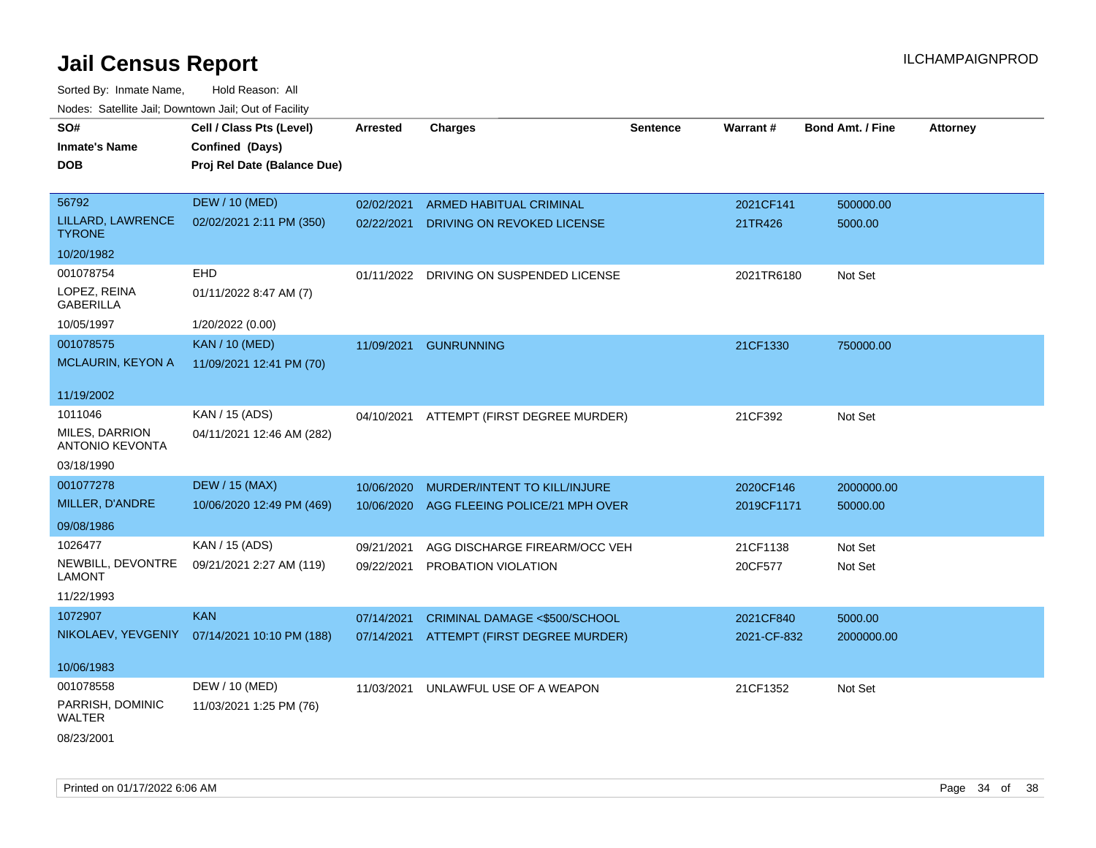| SO#                                             | Cell / Class Pts (Level)                     | <b>Arrested</b> | <b>Charges</b>                          | <b>Sentence</b> | Warrant#    | <b>Bond Amt. / Fine</b> | <b>Attorney</b> |
|-------------------------------------------------|----------------------------------------------|-----------------|-----------------------------------------|-----------------|-------------|-------------------------|-----------------|
| <b>Inmate's Name</b>                            | Confined (Days)                              |                 |                                         |                 |             |                         |                 |
| <b>DOB</b>                                      | Proj Rel Date (Balance Due)                  |                 |                                         |                 |             |                         |                 |
|                                                 |                                              |                 |                                         |                 |             |                         |                 |
| 56792                                           | <b>DEW / 10 (MED)</b>                        | 02/02/2021      | ARMED HABITUAL CRIMINAL                 |                 | 2021CF141   | 500000.00               |                 |
| LILLARD, LAWRENCE<br><b>TYRONE</b>              | 02/02/2021 2:11 PM (350)                     | 02/22/2021      | DRIVING ON REVOKED LICENSE              |                 | 21TR426     | 5000.00                 |                 |
| 10/20/1982                                      |                                              |                 |                                         |                 |             |                         |                 |
| 001078754                                       | <b>EHD</b>                                   |                 | 01/11/2022 DRIVING ON SUSPENDED LICENSE |                 | 2021TR6180  | Not Set                 |                 |
| LOPEZ, REINA<br><b>GABERILLA</b>                | 01/11/2022 8:47 AM (7)                       |                 |                                         |                 |             |                         |                 |
| 10/05/1997                                      | 1/20/2022 (0.00)                             |                 |                                         |                 |             |                         |                 |
| 001078575                                       | <b>KAN / 10 (MED)</b>                        | 11/09/2021      | <b>GUNRUNNING</b>                       |                 | 21CF1330    | 750000.00               |                 |
| <b>MCLAURIN, KEYON A</b>                        | 11/09/2021 12:41 PM (70)                     |                 |                                         |                 |             |                         |                 |
|                                                 |                                              |                 |                                         |                 |             |                         |                 |
| 11/19/2002                                      |                                              |                 |                                         |                 |             |                         |                 |
| 1011046                                         | KAN / 15 (ADS)                               | 04/10/2021      | ATTEMPT (FIRST DEGREE MURDER)           |                 | 21CF392     | Not Set                 |                 |
| <b>MILES, DARRION</b><br><b>ANTONIO KEVONTA</b> | 04/11/2021 12:46 AM (282)                    |                 |                                         |                 |             |                         |                 |
| 03/18/1990                                      |                                              |                 |                                         |                 |             |                         |                 |
| 001077278                                       | <b>DEW / 15 (MAX)</b>                        | 10/06/2020      | MURDER/INTENT TO KILL/INJURE            |                 | 2020CF146   | 2000000.00              |                 |
| MILLER, D'ANDRE                                 | 10/06/2020 12:49 PM (469)                    | 10/06/2020      | AGG FLEEING POLICE/21 MPH OVER          |                 | 2019CF1171  | 50000.00                |                 |
| 09/08/1986                                      |                                              |                 |                                         |                 |             |                         |                 |
| 1026477                                         | KAN / 15 (ADS)                               | 09/21/2021      | AGG DISCHARGE FIREARM/OCC VEH           |                 | 21CF1138    | Not Set                 |                 |
| NEWBILL, DEVONTRE<br><b>LAMONT</b>              | 09/21/2021 2:27 AM (119)                     | 09/22/2021      | PROBATION VIOLATION                     |                 | 20CF577     | Not Set                 |                 |
| 11/22/1993                                      |                                              |                 |                                         |                 |             |                         |                 |
| 1072907                                         | <b>KAN</b>                                   | 07/14/2021      | CRIMINAL DAMAGE <\$500/SCHOOL           |                 | 2021CF840   | 5000.00                 |                 |
|                                                 | NIKOLAEV, YEVGENIY 07/14/2021 10:10 PM (188) | 07/14/2021      | ATTEMPT (FIRST DEGREE MURDER)           |                 | 2021-CF-832 | 2000000.00              |                 |
| 10/06/1983                                      |                                              |                 |                                         |                 |             |                         |                 |
| 001078558                                       | DEW / 10 (MED)                               | 11/03/2021      | UNLAWFUL USE OF A WEAPON                |                 | 21CF1352    | Not Set                 |                 |
| PARRISH, DOMINIC<br>WALTER                      | 11/03/2021 1:25 PM (76)                      |                 |                                         |                 |             |                         |                 |
| 08/23/2001                                      |                                              |                 |                                         |                 |             |                         |                 |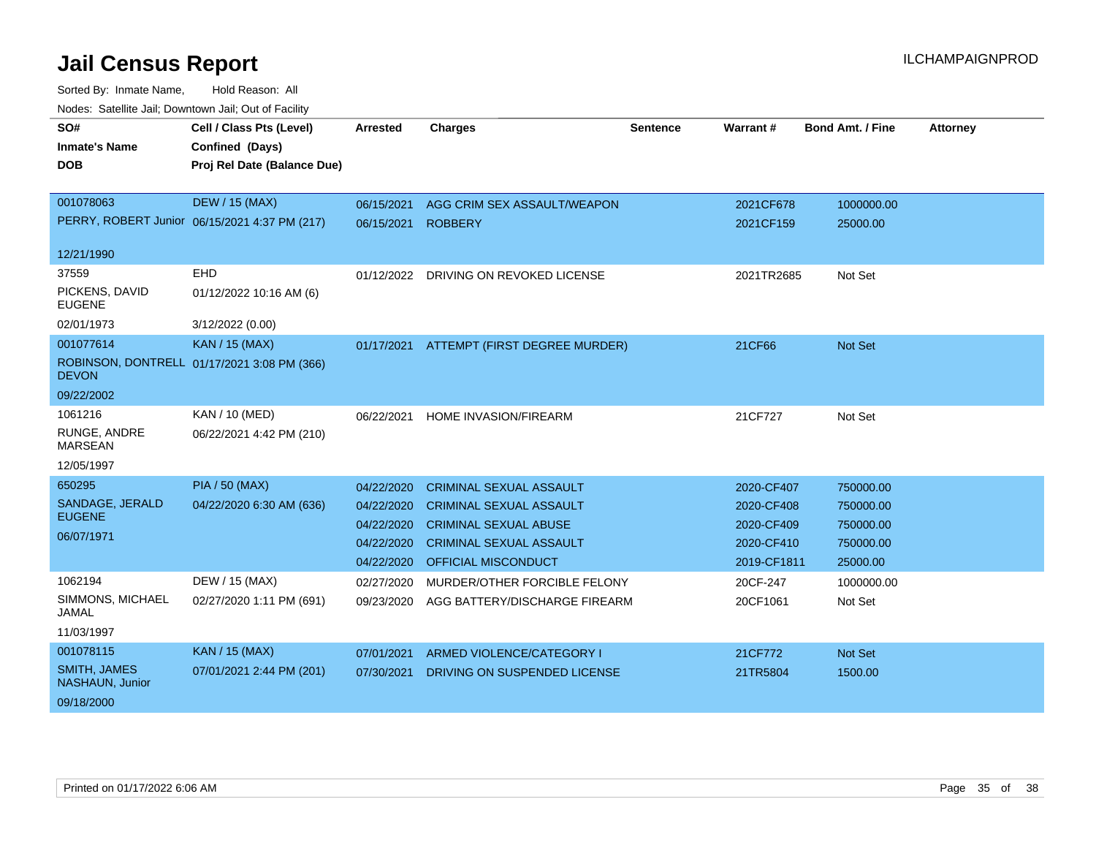| SO#<br><b>Inmate's Name</b><br><b>DOB</b> | Cell / Class Pts (Level)<br>Confined (Days)<br>Proj Rel Date (Balance Due) | <b>Arrested</b> | <b>Charges</b>                           | <b>Sentence</b> | Warrant#    | <b>Bond Amt. / Fine</b> | <b>Attorney</b> |
|-------------------------------------------|----------------------------------------------------------------------------|-----------------|------------------------------------------|-----------------|-------------|-------------------------|-----------------|
|                                           |                                                                            |                 |                                          |                 |             |                         |                 |
| 001078063                                 | <b>DEW / 15 (MAX)</b>                                                      | 06/15/2021      | AGG CRIM SEX ASSAULT/WEAPON              |                 | 2021CF678   | 1000000.00              |                 |
|                                           | PERRY, ROBERT Junior 06/15/2021 4:37 PM (217)                              | 06/15/2021      | <b>ROBBERY</b>                           |                 | 2021CF159   | 25000.00                |                 |
| 12/21/1990                                |                                                                            |                 |                                          |                 |             |                         |                 |
| 37559                                     | <b>EHD</b>                                                                 |                 | 01/12/2022 DRIVING ON REVOKED LICENSE    |                 | 2021TR2685  | Not Set                 |                 |
| PICKENS, DAVID<br><b>EUGENE</b>           | 01/12/2022 10:16 AM (6)                                                    |                 |                                          |                 |             |                         |                 |
| 02/01/1973                                | 3/12/2022 (0.00)                                                           |                 |                                          |                 |             |                         |                 |
| 001077614                                 | <b>KAN / 15 (MAX)</b>                                                      |                 | 01/17/2021 ATTEMPT (FIRST DEGREE MURDER) |                 | 21CF66      | Not Set                 |                 |
| <b>DEVON</b>                              | ROBINSON, DONTRELL 01/17/2021 3:08 PM (366)                                |                 |                                          |                 |             |                         |                 |
| 09/22/2002                                |                                                                            |                 |                                          |                 |             |                         |                 |
| 1061216                                   | <b>KAN / 10 (MED)</b>                                                      | 06/22/2021      | HOME INVASION/FIREARM                    |                 | 21CF727     | Not Set                 |                 |
| RUNGE, ANDRE<br><b>MARSEAN</b>            | 06/22/2021 4:42 PM (210)                                                   |                 |                                          |                 |             |                         |                 |
| 12/05/1997                                |                                                                            |                 |                                          |                 |             |                         |                 |
| 650295                                    | <b>PIA / 50 (MAX)</b>                                                      | 04/22/2020      | <b>CRIMINAL SEXUAL ASSAULT</b>           |                 | 2020-CF407  | 750000.00               |                 |
| SANDAGE, JERALD                           | 04/22/2020 6:30 AM (636)                                                   | 04/22/2020      | <b>CRIMINAL SEXUAL ASSAULT</b>           |                 | 2020-CF408  | 750000.00               |                 |
| <b>EUGENE</b>                             |                                                                            | 04/22/2020      | <b>CRIMINAL SEXUAL ABUSE</b>             |                 | 2020-CF409  | 750000.00               |                 |
| 06/07/1971                                |                                                                            | 04/22/2020      | <b>CRIMINAL SEXUAL ASSAULT</b>           |                 | 2020-CF410  | 750000.00               |                 |
|                                           |                                                                            | 04/22/2020      | OFFICIAL MISCONDUCT                      |                 | 2019-CF1811 | 25000.00                |                 |
| 1062194                                   | DEW / 15 (MAX)                                                             | 02/27/2020      | MURDER/OTHER FORCIBLE FELONY             |                 | 20CF-247    | 1000000.00              |                 |
| SIMMONS, MICHAEL<br><b>JAMAL</b>          | 02/27/2020 1:11 PM (691)                                                   | 09/23/2020      | AGG BATTERY/DISCHARGE FIREARM            |                 | 20CF1061    | Not Set                 |                 |
| 11/03/1997                                |                                                                            |                 |                                          |                 |             |                         |                 |
| 001078115                                 | <b>KAN / 15 (MAX)</b>                                                      | 07/01/2021      | ARMED VIOLENCE/CATEGORY I                |                 | 21CF772     | Not Set                 |                 |
| <b>SMITH, JAMES</b><br>NASHAUN, Junior    | 07/01/2021 2:44 PM (201)                                                   | 07/30/2021      | DRIVING ON SUSPENDED LICENSE             |                 | 21TR5804    | 1500.00                 |                 |
| 09/18/2000                                |                                                                            |                 |                                          |                 |             |                         |                 |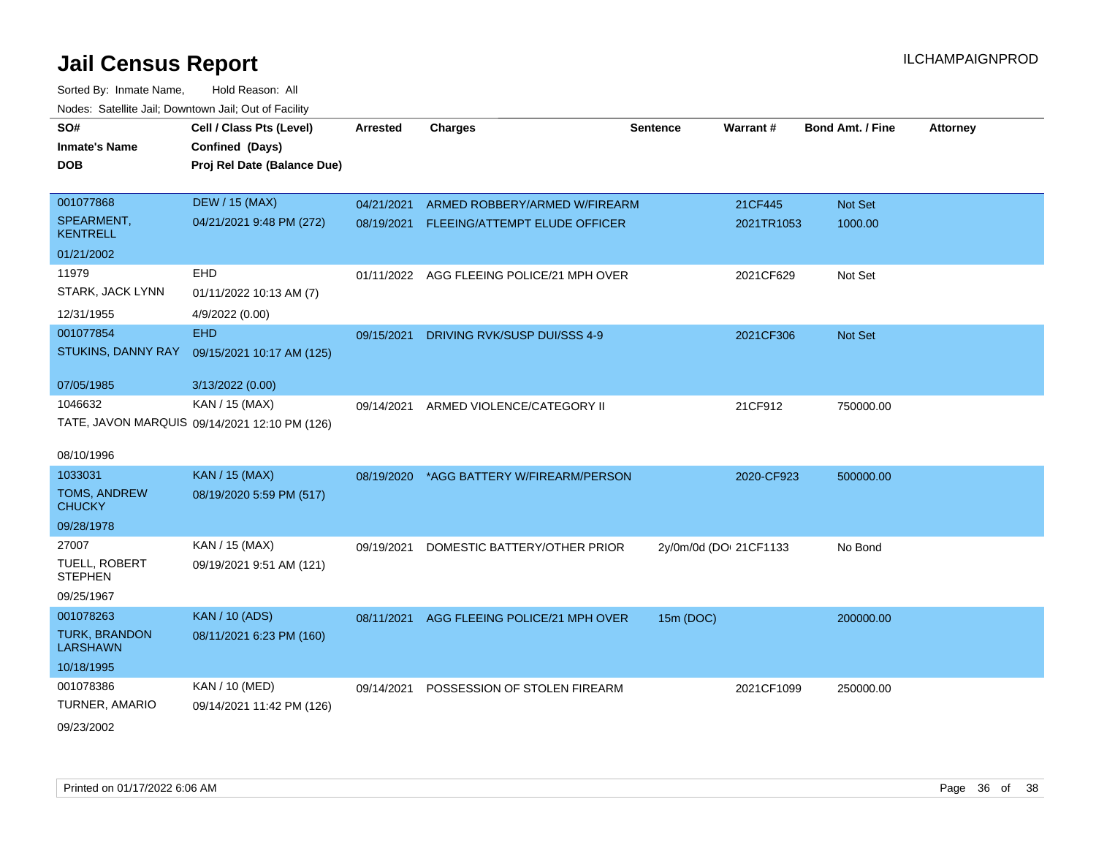| SO#                                     | Cell / Class Pts (Level)                      | <b>Arrested</b> | <b>Charges</b>                            | <b>Sentence</b>        | Warrant#   | <b>Bond Amt. / Fine</b> | <b>Attorney</b> |
|-----------------------------------------|-----------------------------------------------|-----------------|-------------------------------------------|------------------------|------------|-------------------------|-----------------|
| <b>Inmate's Name</b>                    | Confined (Days)                               |                 |                                           |                        |            |                         |                 |
| <b>DOB</b>                              | Proj Rel Date (Balance Due)                   |                 |                                           |                        |            |                         |                 |
|                                         |                                               |                 |                                           |                        |            |                         |                 |
| 001077868                               | <b>DEW / 15 (MAX)</b>                         | 04/21/2021      | ARMED ROBBERY/ARMED W/FIREARM             |                        | 21CF445    | Not Set                 |                 |
| SPEARMENT,<br><b>KENTRELL</b>           | 04/21/2021 9:48 PM (272)                      | 08/19/2021      | FLEEING/ATTEMPT ELUDE OFFICER             |                        | 2021TR1053 | 1000.00                 |                 |
| 01/21/2002                              |                                               |                 |                                           |                        |            |                         |                 |
| 11979                                   | EHD                                           |                 | 01/11/2022 AGG FLEEING POLICE/21 MPH OVER |                        | 2021CF629  | Not Set                 |                 |
| STARK, JACK LYNN                        | 01/11/2022 10:13 AM (7)                       |                 |                                           |                        |            |                         |                 |
| 12/31/1955                              | 4/9/2022 (0.00)                               |                 |                                           |                        |            |                         |                 |
| 001077854                               | <b>EHD</b>                                    | 09/15/2021      | DRIVING RVK/SUSP DUI/SSS 4-9              |                        | 2021CF306  | Not Set                 |                 |
| STUKINS, DANNY RAY                      | 09/15/2021 10:17 AM (125)                     |                 |                                           |                        |            |                         |                 |
| 07/05/1985                              | 3/13/2022 (0.00)                              |                 |                                           |                        |            |                         |                 |
| 1046632                                 | KAN / 15 (MAX)                                | 09/14/2021      | ARMED VIOLENCE/CATEGORY II                |                        | 21CF912    | 750000.00               |                 |
|                                         | TATE, JAVON MARQUIS 09/14/2021 12:10 PM (126) |                 |                                           |                        |            |                         |                 |
|                                         |                                               |                 |                                           |                        |            |                         |                 |
| 08/10/1996                              |                                               |                 |                                           |                        |            |                         |                 |
| 1033031                                 | <b>KAN / 15 (MAX)</b>                         | 08/19/2020      | *AGG BATTERY W/FIREARM/PERSON             |                        | 2020-CF923 | 500000.00               |                 |
| <b>TOMS, ANDREW</b><br><b>CHUCKY</b>    | 08/19/2020 5:59 PM (517)                      |                 |                                           |                        |            |                         |                 |
| 09/28/1978                              |                                               |                 |                                           |                        |            |                         |                 |
| 27007                                   | KAN / 15 (MAX)                                | 09/19/2021      | DOMESTIC BATTERY/OTHER PRIOR              | 2y/0m/0d (DOI 21CF1133 |            | No Bond                 |                 |
| TUELL, ROBERT<br><b>STEPHEN</b>         | 09/19/2021 9:51 AM (121)                      |                 |                                           |                        |            |                         |                 |
| 09/25/1967                              |                                               |                 |                                           |                        |            |                         |                 |
| 001078263                               | <b>KAN / 10 (ADS)</b>                         | 08/11/2021      | AGG FLEEING POLICE/21 MPH OVER            | 15m (DOC)              |            | 200000.00               |                 |
| <b>TURK, BRANDON</b><br><b>LARSHAWN</b> | 08/11/2021 6:23 PM (160)                      |                 |                                           |                        |            |                         |                 |
| 10/18/1995                              |                                               |                 |                                           |                        |            |                         |                 |
| 001078386                               | KAN / 10 (MED)                                | 09/14/2021      | POSSESSION OF STOLEN FIREARM              |                        | 2021CF1099 | 250000.00               |                 |
| TURNER, AMARIO                          | 09/14/2021 11:42 PM (126)                     |                 |                                           |                        |            |                         |                 |
| 09/23/2002                              |                                               |                 |                                           |                        |            |                         |                 |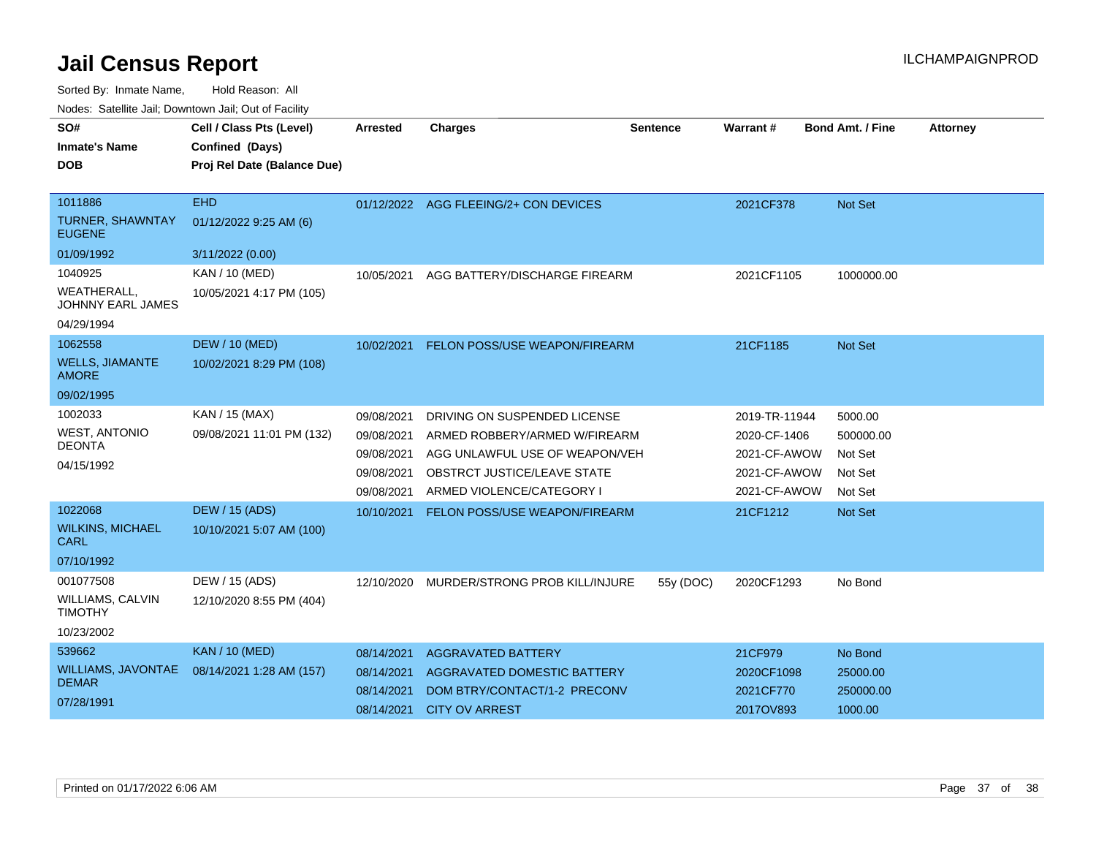Sorted By: Inmate Name, Hold Reason: All

Nodes: Satellite Jail; Downtown Jail; Out of Facility

| SO#<br><b>Inmate's Name</b><br><b>DOB</b><br>1011886 | Cell / Class Pts (Level)<br>Confined (Days)<br>Proj Rel Date (Balance Due)<br><b>EHD</b> | <b>Arrested</b> | <b>Charges</b>                        | <b>Sentence</b> | <b>Warrant#</b> | <b>Bond Amt. / Fine</b> | <b>Attorney</b> |
|------------------------------------------------------|------------------------------------------------------------------------------------------|-----------------|---------------------------------------|-----------------|-----------------|-------------------------|-----------------|
| <b>TURNER, SHAWNTAY</b><br><b>EUGENE</b>             | 01/12/2022 9:25 AM (6)                                                                   |                 | 01/12/2022 AGG FLEEING/2+ CON DEVICES |                 | 2021CF378       | Not Set                 |                 |
| 01/09/1992                                           | 3/11/2022 (0.00)                                                                         |                 |                                       |                 |                 |                         |                 |
| 1040925<br>WEATHERALL.                               | KAN / 10 (MED)<br>10/05/2021 4:17 PM (105)                                               | 10/05/2021      | AGG BATTERY/DISCHARGE FIREARM         |                 | 2021CF1105      | 1000000.00              |                 |
| JOHNNY EARL JAMES                                    |                                                                                          |                 |                                       |                 |                 |                         |                 |
| 04/29/1994                                           |                                                                                          |                 |                                       |                 |                 |                         |                 |
| 1062558                                              | <b>DEW / 10 (MED)</b>                                                                    | 10/02/2021      | FELON POSS/USE WEAPON/FIREARM         |                 | 21CF1185        | <b>Not Set</b>          |                 |
| <b>WELLS, JIAMANTE</b><br><b>AMORE</b>               | 10/02/2021 8:29 PM (108)                                                                 |                 |                                       |                 |                 |                         |                 |
| 09/02/1995                                           |                                                                                          |                 |                                       |                 |                 |                         |                 |
| 1002033                                              | KAN / 15 (MAX)                                                                           | 09/08/2021      | DRIVING ON SUSPENDED LICENSE          |                 | 2019-TR-11944   | 5000.00                 |                 |
| <b>WEST, ANTONIO</b>                                 | 09/08/2021 11:01 PM (132)                                                                | 09/08/2021      | ARMED ROBBERY/ARMED W/FIREARM         |                 | 2020-CF-1406    | 500000.00               |                 |
| <b>DEONTA</b>                                        |                                                                                          | 09/08/2021      | AGG UNLAWFUL USE OF WEAPON/VEH        |                 | 2021-CF-AWOW    | Not Set                 |                 |
| 04/15/1992                                           |                                                                                          | 09/08/2021      | OBSTRCT JUSTICE/LEAVE STATE           |                 | 2021-CF-AWOW    | Not Set                 |                 |
|                                                      |                                                                                          | 09/08/2021      | ARMED VIOLENCE/CATEGORY I             |                 | 2021-CF-AWOW    | Not Set                 |                 |
| 1022068                                              | <b>DEW / 15 (ADS)</b>                                                                    | 10/10/2021      | FELON POSS/USE WEAPON/FIREARM         |                 | 21CF1212        | Not Set                 |                 |
| <b>WILKINS, MICHAEL</b><br><b>CARL</b>               | 10/10/2021 5:07 AM (100)                                                                 |                 |                                       |                 |                 |                         |                 |
| 07/10/1992                                           |                                                                                          |                 |                                       |                 |                 |                         |                 |
| 001077508                                            | DEW / 15 (ADS)                                                                           | 12/10/2020      | MURDER/STRONG PROB KILL/INJURE        | 55y (DOC)       | 2020CF1293      | No Bond                 |                 |
| <b>WILLIAMS, CALVIN</b><br><b>TIMOTHY</b>            | 12/10/2020 8:55 PM (404)                                                                 |                 |                                       |                 |                 |                         |                 |
| 10/23/2002                                           |                                                                                          |                 |                                       |                 |                 |                         |                 |
| 539662                                               | <b>KAN / 10 (MED)</b>                                                                    | 08/14/2021      | <b>AGGRAVATED BATTERY</b>             |                 | 21CF979         | No Bond                 |                 |
| <b>WILLIAMS, JAVONTAE</b><br><b>DEMAR</b>            | 08/14/2021 1:28 AM (157)                                                                 | 08/14/2021      | AGGRAVATED DOMESTIC BATTERY           |                 | 2020CF1098      | 25000.00                |                 |
|                                                      |                                                                                          | 08/14/2021      | DOM BTRY/CONTACT/1-2 PRECONV          |                 | 2021CF770       | 250000.00               |                 |
| 07/28/1991                                           |                                                                                          |                 | 08/14/2021 CITY OV ARREST             |                 | 2017OV893       | 1000.00                 |                 |